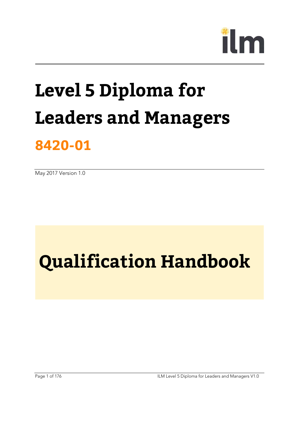# m

## **Level 5 Diploma for Leaders and Managers**

## **8420-01**

May 2017 Version 1.0

## **Qualification Handbook**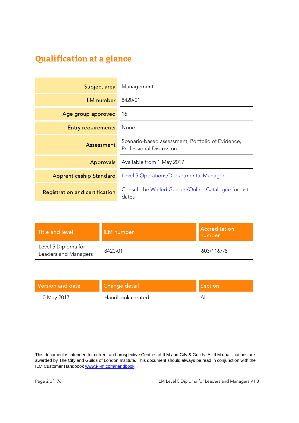## **Qualification at a glance**

| Subject area                   | Management                                                                   |
|--------------------------------|------------------------------------------------------------------------------|
| <b>ILM</b> number              | 8420-01                                                                      |
| Age group approved             | $16+$                                                                        |
| <b>Entry requirements</b>      | None                                                                         |
| Assessment                     | Scenario-based assessment, Portfolio of Evidence,<br>Professional Discussion |
| <b>Approvals</b>               | Available from 1 May 2017                                                    |
| <b>Apprenticeship Standard</b> | <b>Level 5 Operations/Departmental Manager</b>                               |
| Registration and certification | Consult the Walled Garden/Online Cataloque for last<br>dates                 |

| Title and level                             | ILM number | Accreditation<br>number |
|---------------------------------------------|------------|-------------------------|
| Level 5 Diploma for<br>Leaders and Managers | 8420-01    | 603/1167/8              |

| Version and date <b>b</b> | Change detail    | <b>Section</b> |
|---------------------------|------------------|----------------|
| 1.0 May 2017              | Handbook created |                |

This document is intended for current and prospective Centres of ILM and City & Guilds. All ILM qualifications are awarded by The City and Guilds of London Institute. This document should always be read in conjunction with the ILM Customer Handbook www.i-l-m.com/handbook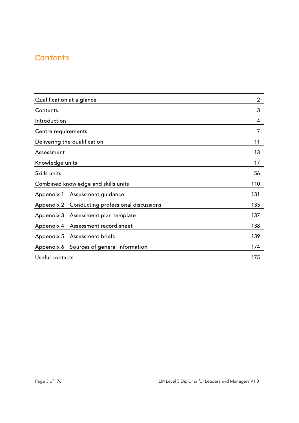## **Contents**

| Qualification at a glance                         | $\overline{2}$ |
|---------------------------------------------------|----------------|
| Contents                                          | 3              |
| Introduction                                      | 4              |
| Centre requirements                               | 7              |
| Delivering the qualification                      | 11             |
| Assessment                                        | 13             |
| Knowledge units                                   | 17             |
| Skills units                                      | 56             |
| Combined knowledge and skills units               | 110            |
| Appendix 1<br>Assessment guidance                 | 131            |
| Conducting professional discussions<br>Appendix 2 | 135            |
| Appendix 3<br>Assessment plan template            | 137            |
| Appendix 4<br>Assessment record sheet             | 138            |
| Appendix 5<br><b>Assessment briefs</b>            | 139            |
| Sources of general information<br>Appendix 6      | 174            |
| Useful contacts                                   | 175            |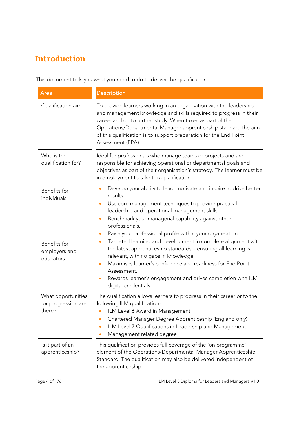## **Introduction**

This document tells you what you need to do to deliver the qualification:

| Area                                                | <b>Description</b>                                                                                                                                                                                                                                                                                                                                                   |  |
|-----------------------------------------------------|----------------------------------------------------------------------------------------------------------------------------------------------------------------------------------------------------------------------------------------------------------------------------------------------------------------------------------------------------------------------|--|
| Qualification aim                                   | To provide learners working in an organisation with the leadership<br>and management knowledge and skills required to progress in their<br>career and on to further study. When taken as part of the<br>Operations/Departmental Manager apprenticeship standard the aim<br>of this qualification is to support preparation for the End Point<br>Assessment (EPA).    |  |
| Who is the<br>qualification for?                    | Ideal for professionals who manage teams or projects and are<br>responsible for achieving operational or departmental goals and<br>objectives as part of their organisation's strategy. The learner must be<br>in employment to take this qualification.                                                                                                             |  |
| Benefits for<br>individuals                         | Develop your ability to lead, motivate and inspire to drive better<br>$\bullet$<br>results.<br>Use core management techniques to provide practical<br>leadership and operational management skills.<br>Benchmark your managerial capability against other<br>$\bullet$<br>professionals.<br>Raise your professional profile within your organisation.<br>$\bullet$   |  |
| Benefits for<br>employers and<br>educators          | Targeted learning and development in complete alignment with<br>$\bullet$<br>the latest apprenticeship standards - ensuring all learning is<br>relevant, with no gaps in knowledge.<br>Maximises learner's confidence and readiness for End Point<br>Assessment.<br>Rewards learner's engagement and drives completion with ILM<br>$\bullet$<br>digital credentials. |  |
| What opportunities<br>for progression are<br>there? | The qualification allows learners to progress in their career or to the<br>following ILM qualifications:<br>ILM Level 6 Award in Management<br>Chartered Manager Degree Apprenticeship (England only)<br>$\bullet$<br>ILM Level 7 Qualifications in Leadership and Management<br>Management related degree                                                           |  |
| Is it part of an<br>apprenticeship?                 | This qualification provides full coverage of the 'on programme'<br>element of the Operations/Departmental Manager Apprenticeship<br>Standard. The qualification may also be delivered independent of<br>the apprenticeship.                                                                                                                                          |  |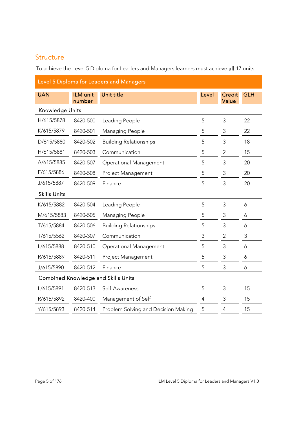### **Structure**

To achieve the Level 5 Diploma for Leaders and Managers learners must achieve all 17 units.

| Level 5 Diploma for Leaders and Managers   |                    |                                     |                |                        |            |
|--------------------------------------------|--------------------|-------------------------------------|----------------|------------------------|------------|
| <b>UAN</b>                                 | ILM unit<br>number | Unit title                          | Level          | <b>Credit</b><br>Value | <b>GLH</b> |
| <b>Knowledge Units</b>                     |                    |                                     |                |                        |            |
| H/615/5878                                 | 8420-500           | Leading People                      | 5              | 3                      | 22         |
| K/615/5879                                 | 8420-501           | Managing People                     | 5              | 3                      | 22         |
| D/615/5880                                 | 8420-502           | <b>Building Relationships</b>       | 5              | $\mathsf 3$            | 18         |
| H/615/5881                                 | 8420-503           | Communication                       | 5              | $\mathbf{2}$           | 15         |
| A/615/5885                                 | 8420-507           | Operational Management              | 5              | 3                      | 20         |
| F/615/5886                                 | 8420-508           | Project Management                  | 5              | 3                      | 20         |
| J/615/5887                                 | 8420-509           | Finance                             | 5              | 3                      | 20         |
| <b>Skills Units</b>                        |                    |                                     |                |                        |            |
| K/615/5882                                 | 8420-504           | Leading People                      | 5              | 3                      | 6          |
| M/615/5883                                 | 8420-505           | Managing People                     | 5              | 3                      | 6          |
| T/615/5884                                 | 8420-506           | <b>Building Relationships</b>       | 5              | 3                      | 6          |
| T/615/5562                                 | 8420-307           | Communication                       | 3              | $\overline{2}$         | 3          |
| L/615/5888                                 | 8420-510           | <b>Operational Management</b>       | 5              | 3                      | 6          |
| R/615/5889                                 | 8420-511           | Project Management                  | 5              | 3                      | 6          |
| J/615/5890                                 | 8420-512           | Finance                             | 5              | 3                      | 6          |
| <b>Combined Knowledge and Skills Units</b> |                    |                                     |                |                        |            |
| L/615/5891                                 | 8420-513           | Self-Awareness                      | 5              | 3                      | 15         |
| R/615/5892                                 | 8420-400           | Management of Self                  | $\overline{4}$ | 3                      | 15         |
| Y/615/5893                                 | 8420-514           | Problem Solving and Decision Making | 5              | $\overline{4}$         | 15         |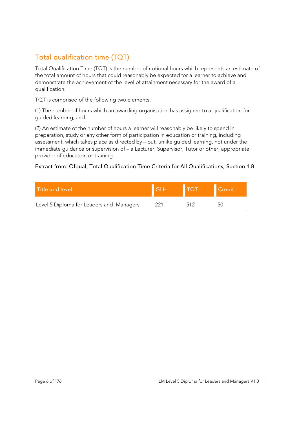## Total qualification time (TQT)

Total Qualification Time (TQT) is the number of notional hours which represents an estimate of the total amount of hours that could reasonably be expected for a learner to achieve and demonstrate the achievement of the level of attainment necessary for the award of a qualification.

TQT is comprised of the following two elements:

(1) The number of hours which an awarding organisation has assigned to a qualification for guided learning, and

(2) An estimate of the number of hours a learner will reasonably be likely to spend in preparation, study or any other form of participation in education or training, including assessment, which takes place as directed by – but, unlike guided learning, not under the immediate guidance or supervision of – a Lecturer, Supervisor, Tutor or other, appropriate provider of education or training.

#### Extract from: Ofqual, Total Qualification Time Criteria for All Qualifications, Section 1.8

| Title and level                          | GLH TOT | <b>V</b> Credit |
|------------------------------------------|---------|-----------------|
| Level 5 Diploma for Leaders and Managers |         | $\sim$ ()       |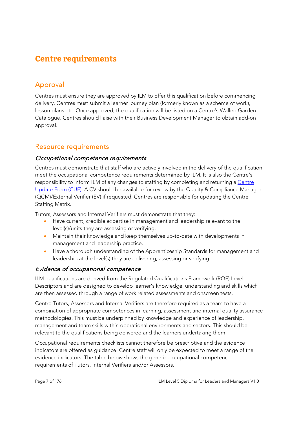## **Centre requirements**

## Approval

Centres must ensure they are approved by ILM to offer this qualification before commencing delivery. Centres must submit a learner journey plan (formerly known as a scheme of work), lesson plans etc. Once approved, the qualification will be listed on a Centre's Walled Garden Catalogue. Centres should liaise with their Business Development Manager to obtain add-on approval.

#### Resource requirements

#### Occupational competence requirements

Centres must demonstrate that staff who are actively involved in the delivery of the qualification meet the occupational competence requirements determined by ILM. It is also the Centre's responsibility to inform ILM of any changes to staffing by completing and returning a Centre Update Form (CUF). A CV should be available for review by the Quality & Compliance Manager (QCM)/External Verifier (EV) if requested. Centres are responsible for updating the Centre Staffing Matrix.

Tutors, Assessors and Internal Verifiers must demonstrate that they:

- Have current, credible expertise in management and leadership relevant to the level(s)/units they are assessing or verifying.
- Maintain their knowledge and keep themselves up-to-date with developments in management and leadership practice.
- Have a thorough understanding of the Apprenticeship Standards for management and leadership at the level(s) they are delivering, assessing or verifying.

#### Evidence of occupational competence

ILM qualifications are derived from the Regulated Qualifications Framework (RQF) Level Descriptors and are designed to develop learner's knowledge, understanding and skills which are then assessed through a range of work related assessments and onscreen tests.

Centre Tutors, Assessors and Internal Verifiers are therefore required as a team to have a combination of appropriate competences in learning, assessment and internal quality assurance methodologies. This must be underpinned by knowledge and experience of leadership, management and team skills within operational environments and sectors. This should be relevant to the qualifications being delivered and the learners undertaking them.

Occupational requirements checklists cannot therefore be prescriptive and the evidence indicators are offered as guidance. Centre staff will only be expected to meet a range of the evidence indicators. The table below shows the generic occupational competence requirements of Tutors, Internal Verifiers and/or Assessors.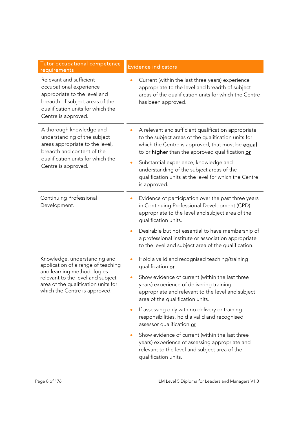| Tutor occupational competence<br>requirements                                                                                                                                         | <b>Evidence indicators</b>                                                                                                                                                                                                                                                                                                                                                       |  |
|---------------------------------------------------------------------------------------------------------------------------------------------------------------------------------------|----------------------------------------------------------------------------------------------------------------------------------------------------------------------------------------------------------------------------------------------------------------------------------------------------------------------------------------------------------------------------------|--|
| Relevant and sufficient<br>occupational experience<br>appropriate to the level and<br>breadth of subject areas of the<br>qualification units for which the<br>Centre is approved.     | Current (within the last three years) experience<br>appropriate to the level and breadth of subject<br>areas of the qualification units for which the Centre<br>has been approved.                                                                                                                                                                                               |  |
| A thorough knowledge and<br>understanding of the subject<br>areas appropriate to the level,<br>breadth and content of the<br>qualification units for which the<br>Centre is approved. | A relevant and sufficient qualification appropriate<br>to the subject areas of the qualification units for<br>which the Centre is approved, that must be equal<br>to or higher than the approved qualification or<br>Substantial experience, knowledge and<br>understanding of the subject areas of the<br>qualification units at the level for which the Centre<br>is approved. |  |
| Continuing Professional<br>Development.                                                                                                                                               | Evidence of participation over the past three years<br>in Continuing Professional Development (CPD)<br>appropriate to the level and subject area of the<br>qualification units.<br>Desirable but not essential to have membership of<br>a professional institute or association appropriate                                                                                      |  |
|                                                                                                                                                                                       | to the level and subject area of the qualification.                                                                                                                                                                                                                                                                                                                              |  |
| Knowledge, understanding and<br>application of a range of teaching                                                                                                                    | Hold a valid and recognised teaching/training<br>qualification or                                                                                                                                                                                                                                                                                                                |  |
| and learning methodologies<br>relevant to the level and subject<br>area of the qualification units for<br>which the Centre is approved.                                               | Show evidence of current (within the last three<br>years) experience of delivering training<br>appropriate and relevant to the level and subject<br>area of the qualification units.                                                                                                                                                                                             |  |
|                                                                                                                                                                                       | If assessing only with no delivery or training<br>$\bullet$<br>responsibilities, hold a valid and recognised<br>assessor qualification or                                                                                                                                                                                                                                        |  |
|                                                                                                                                                                                       | Show evidence of current (within the last three<br>$\bullet$<br>years) experience of assessing appropriate and<br>relevant to the level and subject area of the<br>qualification units.                                                                                                                                                                                          |  |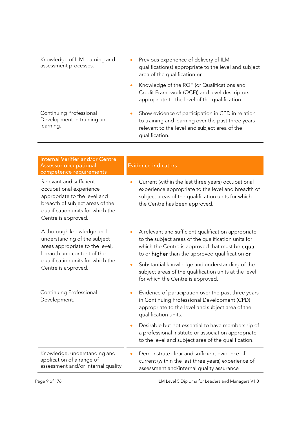| Knowledge of ILM learning and<br>assessment processes.              | $\bullet$ | Previous experience of delivery of ILM<br>qualification(s) appropriate to the level and subject<br>area of the qualification or                                            |
|---------------------------------------------------------------------|-----------|----------------------------------------------------------------------------------------------------------------------------------------------------------------------------|
|                                                                     | $\bullet$ | Knowledge of the RQF (or Qualifications and<br>Credit Framework (QCF)) and level descriptors<br>appropriate to the level of the qualification.                             |
| Continuing Professional<br>Development in training and<br>learning. |           | Show evidence of participation in CPD in relation<br>to training and learning over the past three years<br>relevant to the level and subject area of the<br>qualification. |

| Internal Verifier and/or Centre<br><b>Assessor occupational</b><br>competence requirements                                                                                            | <b>Evidence indicators</b>                                                                                                                                                                                       |
|---------------------------------------------------------------------------------------------------------------------------------------------------------------------------------------|------------------------------------------------------------------------------------------------------------------------------------------------------------------------------------------------------------------|
| Relevant and sufficient<br>occupational experience<br>appropriate to the level and<br>breadth of subject areas of the<br>qualification units for which the<br>Centre is approved.     | Current (within the last three years) occupational<br>experience appropriate to the level and breadth of<br>subject areas of the qualification units for which<br>the Centre has been approved.                  |
| A thorough knowledge and<br>understanding of the subject<br>areas appropriate to the level,<br>breadth and content of the<br>qualification units for which the<br>Centre is approved. | A relevant and sufficient qualification appropriate<br>to the subject areas of the qualification units for<br>which the Centre is approved that must be equal<br>to or higher than the approved qualification or |
|                                                                                                                                                                                       | Substantial knowledge and understanding of the<br>subject areas of the qualification units at the level<br>for which the Centre is approved.                                                                     |
| Continuing Professional<br>Development.                                                                                                                                               | Evidence of participation over the past three years<br>in Continuing Professional Development (CPD)<br>appropriate to the level and subject area of the<br>qualification units.                                  |
|                                                                                                                                                                                       | Desirable but not essential to have membership of<br>a professional institute or association appropriate<br>to the level and subject area of the qualification.                                                  |
| Knowledge, understanding and<br>application of a range of<br>assessment and/or internal quality                                                                                       | Demonstrate clear and sufficient evidence of<br>current (within the last three years) experience of<br>assessment and/internal quality assurance                                                                 |
| age 9 of 176                                                                                                                                                                          | II M Level 5 Diploma for Leaders and Managers V10                                                                                                                                                                |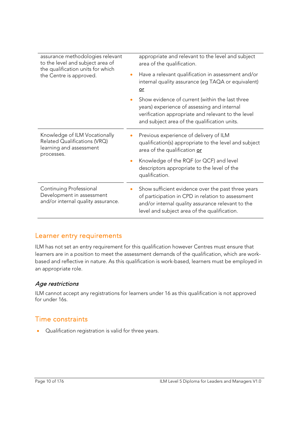| assurance methodologies relevant<br>to the level and subject area of<br>the qualification units for which<br>the Centre is approved. |           | appropriate and relevant to the level and subject<br>area of the qualification.                                                                                                                              |
|--------------------------------------------------------------------------------------------------------------------------------------|-----------|--------------------------------------------------------------------------------------------------------------------------------------------------------------------------------------------------------------|
|                                                                                                                                      |           | Have a relevant qualification in assessment and/or<br>internal quality assurance (eg TAQA or equivalent)<br>$or$                                                                                             |
|                                                                                                                                      |           | Show evidence of current (within the last three<br>years) experience of assessing and internal<br>verification appropriate and relevant to the level<br>and subject area of the qualification units.         |
| Knowledge of ILM Vocationally<br>Related Qualifications (VRQ)<br>learning and assessment<br>processes.                               |           | Previous experience of delivery of ILM<br>qualification(s) appropriate to the level and subject<br>area of the qualification or                                                                              |
|                                                                                                                                      | $\bullet$ | Knowledge of the RQF (or QCF) and level<br>descriptors appropriate to the level of the<br>qualification.                                                                                                     |
| Continuing Professional<br>Development in assessment<br>and/or internal quality assurance.                                           |           | Show sufficient evidence over the past three years<br>of participation in CPD in relation to assessment<br>and/or internal quality assurance relevant to the<br>level and subject area of the qualification. |

#### Learner entry requirements

ILM has not set an entry requirement for this qualification however Centres must ensure that learners are in a position to meet the assessment demands of the qualification, which are workbased and reflective in nature. As this qualification is work-based, learners must be employed in an appropriate role.

#### Age restrictions

ILM cannot accept any registrations for learners under 16 as this qualification is not approved for under 16s.

#### Time constraints

• Cualification registration is valid for three years.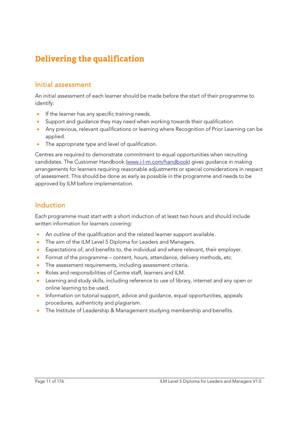## **Delivering the qualification**

#### Initial assessment

An initial assessment of each learner should be made before the start of their programme to identify:

- **If the learner has any specific training needs.**
- Support and guidance they may need when working towards their qualification.
- Any previous, relevant qualifications or learning where Recognition of Prior Learning can be applied.
- The appropriate type and level of qualification.

Centres are required to demonstrate commitment to equal opportunities when recruiting candidates. The Customer Handbook (www.i-l-m.com/handbook) gives guidance in making arrangements for learners requiring reasonable adjustments or special considerations in respect of assessment. This should be done as early as possible in the programme and needs to be approved by ILM before implementation.

#### Induction

Each programme must start with a short induction of at least two hours and should include written information for learners covering:

- An outline of the qualification and the related learner support available.
- The aim of the ILM Level 5 Diploma for Leaders and Managers.
- Expectations of, and benefits to, the individual and where relevant, their employer.
- Format of the programme content, hours, attendance, delivery methods, etc.
- The assessment requirements, including assessment criteria.
- Roles and responsibilities of Centre staff, learners and ILM.
- Learning and study skills, including reference to use of library, internet and any open or online learning to be used.
- Information on tutorial support, advice and quidance, equal opportunities, appeals procedures, authenticity and plagiarism.
- The Institute of Leadership & Management studying membership and benefits.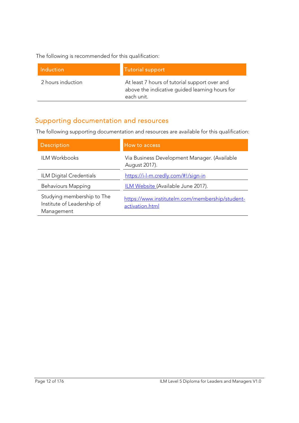The following is recommended for this qualification:

| Induction         | Tutorial support                                                                                              |
|-------------------|---------------------------------------------------------------------------------------------------------------|
| 2 hours induction | At least 7 hours of tutorial support over and<br>above the indicative guided learning hours for<br>each unit. |

## Supporting documentation and resources

The following supporting documentation and resources are available for this qualification:

| <b>Description</b>                                                     | How to access                                                      |
|------------------------------------------------------------------------|--------------------------------------------------------------------|
| <b>ILM Workbooks</b>                                                   | Via Business Development Manager. (Available<br>August 2017).      |
| ILM Digital Credentials                                                | https://i-l-m.credly.com/#!/sign-in                                |
| <b>Behaviours Mapping</b>                                              | ILM Website (Available June 2017).                                 |
| Studying membership to The<br>Institute of Leadership of<br>Management | https://www.institutelm.com/membership/student-<br>activation.html |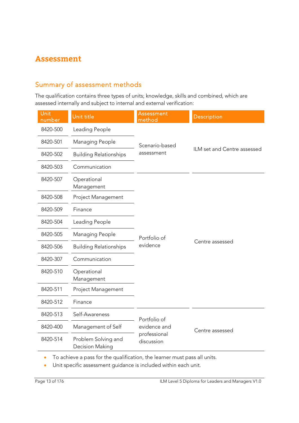## **Assessment**

### Summary of assessment methods

The qualification contains three types of units; knowledge, skills and combined, which are assessed internally and subject to internal and external verification:

| Unit<br>number | Unit title                             | <b>Assessment</b><br>method                | <b>Description</b>          |
|----------------|----------------------------------------|--------------------------------------------|-----------------------------|
| 8420-500       | Leading People                         |                                            |                             |
| 8420-501       | Managing People                        | Scenario-based                             |                             |
| 8420-502       | <b>Building Relationships</b>          | assessment                                 | ILM set and Centre assessed |
| 8420-503       | Communication                          |                                            |                             |
| 8420-507       | Operational<br>Management              |                                            |                             |
| 8420-508       | Project Management                     |                                            |                             |
| 8420-509       | Finance                                |                                            |                             |
| 8420-504       | Leading People                         | Portfolio of<br>evidence                   | Centre assessed             |
| 8420-505       | Managing People                        |                                            |                             |
| 8420-506       | <b>Building Relationships</b>          |                                            |                             |
| 8420-307       | Communication                          |                                            |                             |
| 8420-510       | Operational<br>Management              |                                            |                             |
| 8420-511       | Project Management                     |                                            |                             |
| 8420-512       | Finance                                |                                            |                             |
| 8420-513       | Self-Awareness                         | Portfolio of                               |                             |
| 8420-400       | Management of Self                     | evidence and<br>professional<br>discussion | Centre assessed             |
| 8420-514       | Problem Solving and<br>Decision Making |                                            |                             |

To achieve a pass for the qualification, the learner must pass all units.

Unit specific assessment guidance is included within each unit.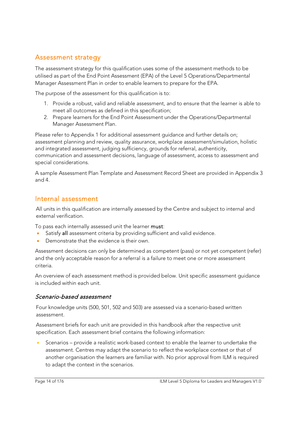### Assessment strategy

The assessment strategy for this qualification uses some of the assessment methods to be utilised as part of the End Point Assessment (EPA) of the Level 5 Operations/Departmental Manager Assessment Plan in order to enable learners to prepare for the EPA.

The purpose of the assessment for this qualification is to:

- 1. Provide a robust, valid and reliable assessment, and to ensure that the learner is able to meet all outcomes as defined in this specification;
- 2. Prepare learners for the End Point Assessment under the Operations/Departmental Manager Assessment Plan.

Please refer to Appendix 1 for additional assessment guidance and further details on; assessment planning and review, quality assurance, workplace assessment/simulation, holistic and integrated assessment, judging sufficiency, grounds for referral, authenticity, communication and assessment decisions, language of assessment, access to assessment and special considerations.

A sample Assessment Plan Template and Assessment Record Sheet are provided in Appendix 3 and 4.

#### Internal assessment

All units in this qualification are internally assessed by the Centre and subject to internal and external verification.

To pass each internally assessed unit the learner must:

- Satisfy all assessment criteria by providing sufficient and valid evidence.
- Demonstrate that the evidence is their own.

Assessment decisions can only be determined as competent (pass) or not yet competent (refer) and the only acceptable reason for a referral is a failure to meet one or more assessment criteria.

An overview of each assessment method is provided below. Unit specific assessment guidance is included within each unit.

#### Scenario-based assessment

Four knowledge units (500, 501, 502 and 503) are assessed via a scenario-based written assessment.

Assessment briefs for each unit are provided in this handbook after the respective unit specification. Each assessment brief contains the following information:

 Scenarios – provide a realistic work-based context to enable the learner to undertake the assessment. Centres may adapt the scenario to reflect the workplace context or that of another organisation the learners are familiar with. No prior approval from ILM is required to adapt the context in the scenarios.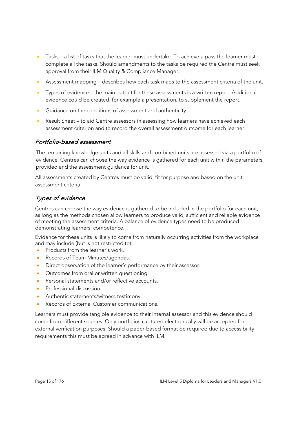- Tasks a list of tasks that the learner must undertake. To achieve a pass the learner must complete all the tasks. Should amendments to the tasks be required the Centre must seek approval from their ILM Quality & Compliance Manager.
- Assessment mapping describes how each task maps to the assessment criteria of the unit.
- Types of evidence the main output for these assessments is a written report. Additional evidence could be created, for example a presentation, to supplement the report.
- **Guidance on the conditions of assessment and authenticity.**
- Result Sheet to aid Centre assessors in assessing how learners have achieved each assessment criterion and to record the overall assessment outcome for each learner.

#### Portfolio-based assessment

The remaining knowledge units and all skills and combined units are assessed via a portfolio of evidence. Centres can choose the way evidence is gathered for each unit within the parameters provided and the assessment guidance for unit.

All assessments created by Centres must be valid, fit for purpose and based on the unit assessment criteria.

#### Types of evidence

Centres can choose the way evidence is gathered to be included in the portfolio for each unit, as long as the methods chosen allow learners to produce valid, sufficient and reliable evidence of meeting the assessment criteria. A balance of evidence types need to be produced demonstrating learners' competence.

Evidence for these units is likely to come from naturally occurring activities from the workplace and may include (but is not restricted to):

- Products from the learner's work.
- Records of Team Minutes/agendas.
- Direct observation of the learner's performance by their assessor.
- Outcomes from oral or written questioning.
- Personal statements and/or reflective accounts.
- **•** Professional discussion.
- Authentic statements/witness testimony.
- Records of External Customer communications.

Learners must provide tangible evidence to their internal assessor and this evidence should come from different sources. Only portfolios captured electronically will be accepted for external verification purposes. Should a paper-based format be required due to accessibility requirements this must be agreed in advance with ILM.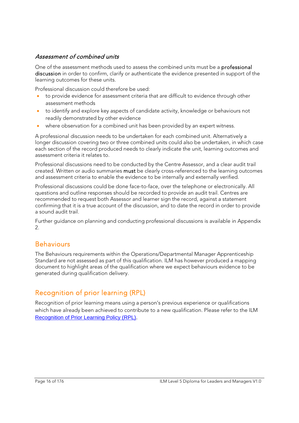#### Assessment of combined units

One of the assessment methods used to assess the combined units must be a professional discussion in order to confirm, clarify or authenticate the evidence presented in support of the learning outcomes for these units.

Professional discussion could therefore be used:

- to provide evidence for assessment criteria that are difficult to evidence through other assessment methods
- to identify and explore key aspects of candidate activity, knowledge or behaviours not readily demonstrated by other evidence
- where observation for a combined unit has been provided by an expert witness.

A professional discussion needs to be undertaken for each combined unit. Alternatively a longer discussion covering two or three combined units could also be undertaken, in which case each section of the record produced needs to clearly indicate the unit, learning outcomes and assessment criteria it relates to.

Professional discussions need to be conducted by the Centre Assessor, and a clear audit trail created. Written or audio summaries must be clearly cross-referenced to the learning outcomes and assessment criteria to enable the evidence to be internally and externally verified.

Professional discussions could be done face-to-face, over the telephone or electronically. All questions and outline responses should be recorded to provide an audit trail. Centres are recommended to request both Assessor and learner sign the record, against a statement confirming that it is a true account of the discussion, and to date the record in order to provide a sound audit trail.

Further guidance on planning and conducting professional discussions is available in Appendix 2.

#### **Behaviours**

The Behaviours requirements within the Operations/Departmental Manager Apprenticeship Standard are not assessed as part of this qualification. ILM has however produced a mapping document to highlight areas of the qualification where we expect behaviours evidence to be generated during qualification delivery.

## Recognition of prior learning (RPL)

Recognition of prior learning means using a person's previous experience or qualifications which have already been achieved to contribute to a new qualification. Please refer to the ILM Recognition of Prior Learning Policy (RPL).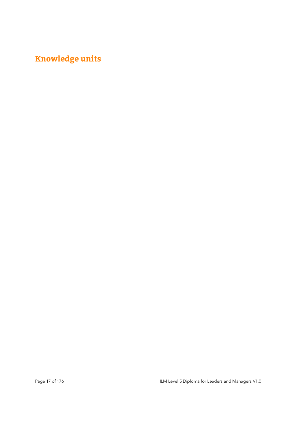## **Knowledge units**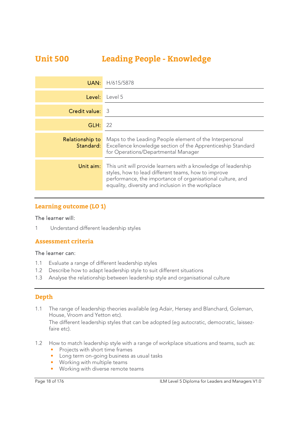## **Unit 500 Leading People - Knowledge**

| UAN:            | H/615/5878                                                                                                                                                                                                                                |
|-----------------|-------------------------------------------------------------------------------------------------------------------------------------------------------------------------------------------------------------------------------------------|
| Level:          | Level 5                                                                                                                                                                                                                                   |
| Credit value:   | -3                                                                                                                                                                                                                                        |
| GLH:            | 22                                                                                                                                                                                                                                        |
| Relationship to | Maps to the Leading People element of the Interpersonal<br><b>Standard:</b> Excellence knowledge section of the Apprenticeship Standard<br>for Operations/Departmental Manager                                                            |
| Unit aim:       | This unit will provide learners with a knowledge of leadership<br>styles, how to lead different teams, how to improve<br>performance, the importance of organisational culture, and<br>equality, diversity and inclusion in the workplace |

#### **Learning outcome (LO 1)**

#### The learner will:

1 Understand different leadership styles

#### **Assessment criteria**

#### The learner can:

- 1.1 Evaluate a range of different leadership styles
- 1.2 Describe how to adapt leadership style to suit different situations
- 1.3 Analyse the relationship between leadership style and organisational culture

#### **Depth**

1.1 The range of leadership theories available (eg Adair, Hersey and Blanchard, Goleman, House, Vroom and Yetton etc).

The different leadership styles that can be adopted (eg autocratic, democratic, laissezfaire etc).

- 1.2 How to match leadership style with a range of workplace situations and teams, such as:
	- Projects with short time frames
	- Long term on-going business as usual tasks
	- Working with multiple teams
	- Working with diverse remote teams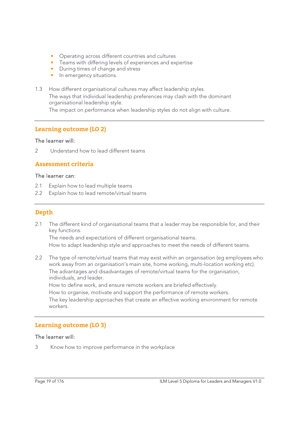- Operating across different countries and cultures
- Teams with differing levels of experiences and expertise
- During times of change and stress
- In emergency situations.
- 1.3 How different organisational cultures may affect leadership styles. The ways that individual leadership preferences may clash with the dominant organisational leadership style. The impact on performance when leadership styles do not align with culture.

#### **Learning outcome (LO 2)**

#### The learner will:

2 Understand how to lead different teams

#### **Assessment criteria**

#### The learner can:

- 2.1 Explain how to lead multiple teams
- 2.2 Explain how to lead remote/virtual teams

#### **Depth**

2.1 The different kind of organisational teams that a leader may be responsible for, and their key functions.

The needs and expectations of different organisational teams.

How to adapt leadership style and approaches to meet the needs of different teams.

2.2 The type of remote/virtual teams that may exist within an organisation (eg employees who work away from an organisation's main site, home working, multi-location working etc). The advantages and disadvantages of remote/virtual teams for the organisation, individuals, and leader.

How to define work, and ensure remote workers are briefed effectively.

How to organise, motivate and support the performance of remote workers.

The key leadership approaches that create an effective working environment for remote workers.

#### **Learning outcome (LO 3)**

#### The learner will:

3 Know how to improve performance in the workplace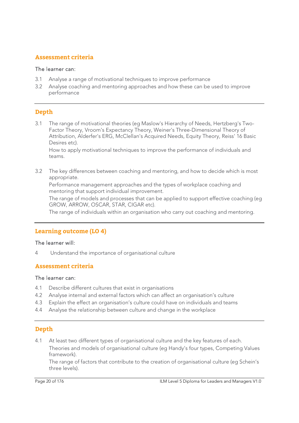#### **Assessment criteria**

#### The learner can:

- 3.1 Analyse a range of motivational techniques to improve performance
- 3.2 Analyse coaching and mentoring approaches and how these can be used to improve performance

#### **Depth**

3.1 The range of motivational theories (eg Maslow's Hierarchy of Needs, Hertzberg's Two-Factor Theory, Vroom's Expectancy Theory, Weiner's Three-Dimensional Theory of Attribution, Alderfer's ERG, McClellan's Acquired Needs, Equity Theory, Reiss' 16 Basic Desires etc).

How to apply motivational techniques to improve the performance of individuals and teams.

3.2 The key differences between coaching and mentoring, and how to decide which is most appropriate.

 Performance management approaches and the types of workplace coaching and mentoring that support individual improvement.

 The range of models and processes that can be applied to support effective coaching (eg GROW, ARROW, OSCAR, STAR, CIGAR etc).

The range of individuals within an organisation who carry out coaching and mentoring.

#### **Learning outcome (LO 4)**

#### The learner will:

4 Understand the importance of organisational culture

#### **Assessment criteria**

#### The learner can:

- 4.1 Describe different cultures that exist in organisations
- 4.2 Analyse internal and external factors which can affect an organisation's culture
- 4.3 Explain the effect an organisation's culture could have on individuals and teams
- 4.4 Analyse the relationship between culture and change in the workplace

#### **Depth**

4.1 At least two different types of organisational culture and the key features of each. Theories and models of organisational culture (eg Handy's four types, Competing Values framework).

The range of factors that contribute to the creation of organisational culture (eg Schein's three levels).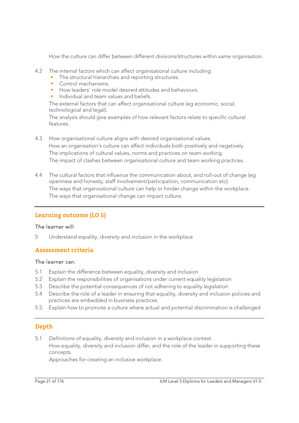How the culture can differ between different divisions/structures within same organisation.

- 4.2 The internal factors which can affect organisational culture including:
	- The structural hierarchies and reporting structures.
	- Control mechanisms.
	- How leaders' role model desired attitudes and behaviours.
	- Individual and team values and beliefs.

 The external factors that can affect organisational culture (eg economic, social, technological and legal).

 The analysis should give examples of how relevant factors relate to specific cultural features.

- 4.3 How organisational culture aligns with desired organisational values. How an organisation's culture can affect individuals both positively and negatively. The implications of cultural values, norms and practices on team working. The impact of clashes between organisational culture and team working practices.
- 4.4 The cultural factors that influence the communication about, and roll-out of change (eg openness and honesty, staff involvement/participation, communication etc). The ways that organisational culture can help or hinder change within the workplace. The ways that organisational change can impact culture.

#### **Learning outcome (LO 5)**

#### The learner will:

5 Understand equality, diversity and inclusion in the workplace

#### **Assessment criteria**

#### The learner can:

- 5.1 Explain the difference between equality, diversity and inclusion
- 5.2 Explain the responsibilities of organisations under current equality legislation
- 5.3 Describe the potential consequences of not adhering to equality legislation
- 5.4 Describe the role of a leader in ensuring that equality, diversity and inclusion policies and practices are embedded in business practices
- 5.5 Explain how to promote a culture where actual and potential discrimination is challenged

#### **Depth**

5.1 Definitions of equality, diversity and inclusion in a workplace context. How equality, diversity and inclusion differ, and the role of the leader in supporting these concepts.

Approaches for creating an inclusive workplace.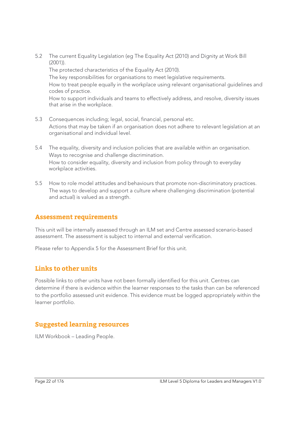5.2 The current Equality Legislation (eg The Equality Act (2010) and Dignity at Work Bill (2001)).

The protected characteristics of the Equality Act (2010).

The key responsibilities for organisations to meet legislative requirements.

 How to treat people equally in the workplace using relevant organisational guidelines and codes of practice.

 How to support individuals and teams to effectively address, and resolve, diversity issues that arise in the workplace.

- 5.3 Consequences including; legal, social, financial, personal etc. Actions that may be taken if an organisation does not adhere to relevant legislation at an organisational and individual level.
- 5.4 The equality, diversity and inclusion policies that are available within an organisation. Ways to recognise and challenge discrimination. How to consider equality, diversity and inclusion from policy through to everyday workplace activities.
- 5.5 How to role model attitudes and behaviours that promote non-discriminatory practices. The ways to develop and support a culture where challenging discrimination (potential and actual) is valued as a strength.

#### **Assessment requirements**

This unit will be internally assessed through an ILM set and Centre assessed scenario-based assessment. The assessment is subject to internal and external verification.

Please refer to Appendix 5 for the Assessment Brief for this unit.

#### **Links to other units**

Possible links to other units have not been formally identified for this unit. Centres can determine if there is evidence within the learner responses to the tasks than can be referenced to the portfolio assessed unit evidence. This evidence must be logged appropriately within the learner portfolio.

#### **Suggested learning resources**

ILM Workbook – Leading People.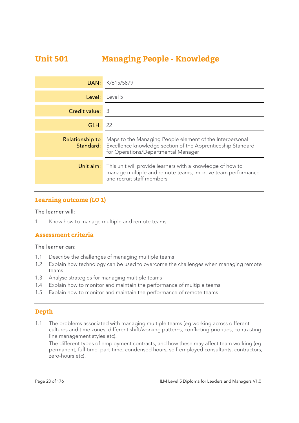## **Unit 501 Managing People - Knowledge**

| UAN:            | K/615/5879                                                                                                                                                                      |
|-----------------|---------------------------------------------------------------------------------------------------------------------------------------------------------------------------------|
| Level:          | Level 5                                                                                                                                                                         |
| Credit value:   | -3                                                                                                                                                                              |
| GLH:            | 22                                                                                                                                                                              |
| Relationship to | Maps to the Managing People element of the Interpersonal<br><b>Standard:</b> Excellence knowledge section of the Apprenticeship Standard<br>for Operations/Departmental Manager |
| Unit aim:       | This unit will provide learners with a knowledge of how to<br>manage multiple and remote teams, improve team performance<br>and recruit staff members                           |

#### **Learning outcome (LO 1)**

#### The learner will:

1 Know how to manage multiple and remote teams

#### **Assessment criteria**

#### The learner can:

- 1.1 Describe the challenges of managing multiple teams
- 1.2 Explain how technology can be used to overcome the challenges when managing remote teams
- 1.3 Analyse strategies for managing multiple teams
- 1.4 Explain how to monitor and maintain the performance of multiple teams
- 1.5 Explain how to monitor and maintain the performance of remote teams

#### **Depth**

1.1 The problems associated with managing multiple teams (eg working across different cultures and time zones, different shift/working patterns, conflicting priorities, contrasting line management styles etc).

The different types of employment contracts, and how these may affect team working (eg permanent, full-time, part-time, condensed hours, self-employed consultants, contractors, zero-hours etc).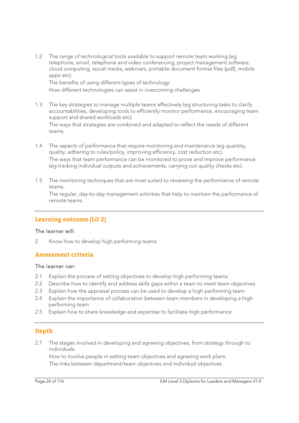1.2 The range of technological tools available to support remote team working (eg telephone, email, telephone and video conferencing, project management software, cloud computing, social media, webinars, portable document format files (pdf), mobile apps etc).

The benefits of using different types of technology.

How different technologies can assist in overcoming challenges.

- 1.3 The key strategies to manage multiple teams effectively (eg structuring tasks to clarify accountabilities, developing tools to efficiently monitor performance, encouraging team support and shared workloads etc). The ways that strategies are combined and adapted to reflect the needs of different teams.
- 1.4 The aspects of performance that require monitoring and maintenance (eg quantity, quality, adhering to rules/policy, improving efficiency, cost reduction etc). The ways that team performance can be monitored to prove and improve performance (eg tracking individual outputs and achievements, carrying out quality checks etc).
- 1.5 The monitoring techniques that are most suited to reviewing the performance of remote teams.

The regular, day-to-day management activities that help to maintain the performance of remote teams.

#### **Learning outcome (LO 2)**

#### The learner will:

2 Know how to develop high performing teams

#### **Assessment criteria**

#### The learner can:

- 2.1 Explain the process of setting objectives to develop high performing teams
- 2.2 Describe how to identify and address skills gaps within a team to meet team objectives
- 2.3 Explain how the appraisal process can be used to develop a high performing team
- 2.4 Explain the importance of collaboration between team members in developing a high performing team
- 2.5 Explain how to share knowledge and expertise to facilitate high performance

#### **Depth**

2.1 The stages involved in developing and agreeing objectives, from strategy through to individuals.

 How to involve people in setting team objectives and agreeing work plans. The links between department/team objectives and individual objectives.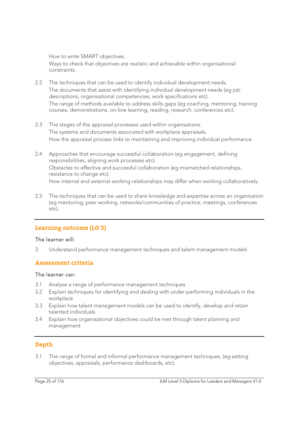How to write SMART objectives.

 Ways to check that objectives are realistic and achievable within organisational constraints.

- 2.2 The techniques that can be used to identify individual development needs. The documents that assist with identifying individual development needs (eg job descriptions, organisational competencies, work specifications etc). The range of methods available to address skills gaps (eg coaching, mentoring, training courses, demonstrations, on-line learning, reading, research, conferences etc).
- 2.3 The stages of the appraisal processes used within organisations. The systems and documents associated with workplace appraisals. How the appraisal process links to maintaining and improving individual performance.
- 2.4 Approaches that encourage successful collaboration (eg engagement, defining responsibilities, aligning work processes etc). Obstacles to effective and successful collaboration (eg mismatched relationships, resistance to change etc). How internal and external working relationships may differ when working collaboratively.
- 2.5 The techniques that can be used to share knowledge and expertise across an organisation (eg mentoring, peer working, networks/communities of practice, meetings, conferences etc).

#### **Learning outcome (LO 3)**

#### The learner will:

3 Understand performance management techniques and talent management models

#### **Assessment criteria**

#### The learner can:

- 3.1 Analyse a range of performance management techniques
- 3.2 Explain techniques for identifying and dealing with under-performing individuals in the workplace
- 3.3 Explain how talent management models can be used to identify, develop and retain talented individuals
- 3.4 Explain how organisational objectives could be met through talent planning and management

#### **Depth**

3.1 The range of formal and informal performance management techniques. (eg setting objectives, appraisals, performance dashboards, etc).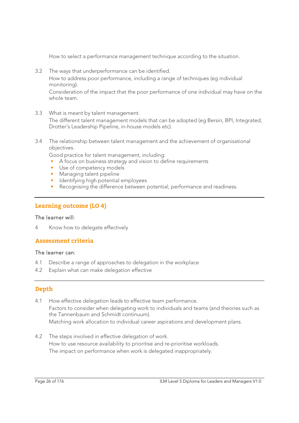How to select a performance management technique according to the situation.

3.2 The ways that underperformance can be identified.

 How to address poor performance, including a range of techniques (eg individual monitoring).

 Consideration of the impact that the poor performance of one individual may have on the whole team.

- 3.3 What is meant by talent management. The different talent management models that can be adopted (eg Bersin, BPI, Integrated, Drotter's Leadership Pipeline, in-house models etc).
- 3.4 The relationship between talent management and the achievement of organisational objectives.

Good practice for talent management, including:

- A focus on business strategy and vision to define requirements
- Use of competency models
- Managing talent pipeline
- Identifying high potential employees
- Recognising the difference between potential, performance and readiness.

#### **Learning outcome (LO 4)**

#### The learner will:

4 Know how to delegate effectively

#### **Assessment criteria**

#### The learner can:

- 4.1 Describe a range of approaches to delegation in the workplace
- 4.2 Explain what can make delegation effective

#### **Depth**

- 4.1 How effective delegation leads to effective team performance. Factors to consider when delegating work to individuals and teams (and theories such as the Tannenbaum and Schmidt continuum). Matching work allocation to individual career aspirations and development plans.
- 4.2 The steps involved in effective delegation of work. How to use resource availability to prioritise and re-prioritise workloads. The impact on performance when work is delegated inappropriately.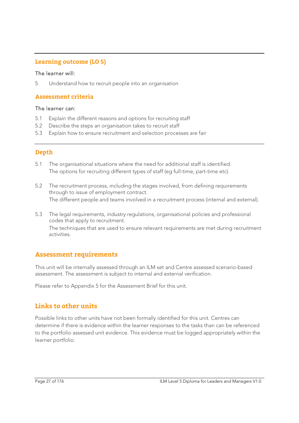#### **Learning outcome (LO 5)**

#### The learner will:

5 Understand how to recruit people into an organisation

#### **Assessment criteria**

#### The learner can:

- 5.1 Explain the different reasons and options for recruiting staff
- 5.2 Describe the steps an organisation takes to recruit staff
- 5.3 Explain how to ensure recruitment and selection processes are fair

#### **Depth**

- 5.1 The organisational situations where the need for additional staff is identified. The options for recruiting different types of staff (eg full-time, part-time etc).
- 5.2 The recruitment process, including the stages involved, from defining requirements through to issue of employment contract. The different people and teams involved in a recruitment process (internal and external).
- 5.3 The legal requirements, industry regulations, organisational policies and professional codes that apply to recruitment. The techniques that are used to ensure relevant requirements are met during recruitment activities.

#### **Assessment requirements**

This unit will be internally assessed through an ILM set and Centre assessed scenario-based assessment. The assessment is subject to internal and external verification.

Please refer to Appendix 5 for the Assessment Brief for this unit.

#### **Links to other units**

Possible links to other units have not been formally identified for this unit. Centres can determine if there is evidence within the learner responses to the tasks than can be referenced to the portfolio assessed unit evidence. This evidence must be logged appropriately within the learner portfolio.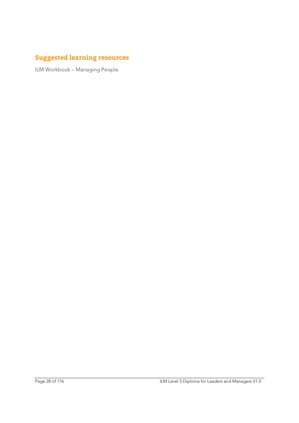## **Suggested learning resources**

ILM Workbook – Managing People.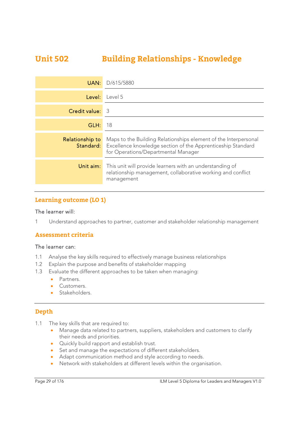## **Unit 502 Building Relationships - Knowledge**

| UAN:            | D/615/5880                                                                                                                                                                             |
|-----------------|----------------------------------------------------------------------------------------------------------------------------------------------------------------------------------------|
| Level:          | Level 5                                                                                                                                                                                |
| Credit value:   | -3                                                                                                                                                                                     |
| GLH:            | 18                                                                                                                                                                                     |
| Relationship to | Maps to the Building Relationships element of the Interpersonal<br><b>Standard:</b> Excellence knowledge section of the Apprenticeship Standard<br>for Operations/Departmental Manager |
| Unit aim:       | This unit will provide learners with an understanding of<br>relationship management, collaborative working and conflict<br>management                                                  |

#### **Learning outcome (LO 1)**

#### The learner will:

1 Understand approaches to partner, customer and stakeholder relationship management

#### **Assessment criteria**

#### The learner can:

- 1.1 Analyse the key skills required to effectively manage business relationships
- 1.2 Explain the purpose and benefits of stakeholder mapping
- 1.3 Evaluate the different approaches to be taken when managing:
	- Partners.
	- **Customers.**
	- Stakeholders.

#### **Depth**

- 1.1 The key skills that are required to:
	- Manage data related to partners, suppliers, stakeholders and customers to clarify their needs and priorities.
	- Quickly build rapport and establish trust.
	- Set and manage the expectations of different stakeholders.
	- Adapt communication method and style according to needs.
	- Network with stakeholders at different levels within the organisation.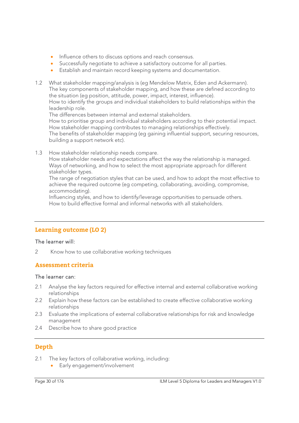- Influence others to discuss options and reach consensus.
- Successfully negotiate to achieve a satisfactory outcome for all parties.
- Establish and maintain record keeping systems and documentation.
- 1.2 What stakeholder mapping/analysis is (eg Mendelow Matrix, Eden and Ackermann). The key components of stakeholder mapping, and how these are defined according to the situation (eg position, attitude, power, impact, interest, influence). How to identify the groups and individual stakeholders to build relationships within the leadership role.

The differences between internal and external stakeholders.

How to prioritise group and individual stakeholders according to their potential impact. How stakeholder mapping contributes to managing relationships effectively. The benefits of stakeholder mapping (eg gaining influential support, securing resources, building a support network etc).

1.3 How stakeholder relationship needs compare.

How stakeholder needs and expectations affect the way the relationship is managed. Ways of networking, and how to select the most appropriate approach for different stakeholder types.

The range of negotiation styles that can be used, and how to adopt the most effective to achieve the required outcome (eg competing, collaborating, avoiding, compromise, accommodating).

Influencing styles, and how to identify/leverage opportunities to persuade others. How to build effective formal and informal networks with all stakeholders.

#### **Learning outcome (LO 2)**

#### The learner will:

2 Know how to use collaborative working techniques

#### **Assessment criteria**

#### The learner can:

- 2.1 Analyse the key factors required for effective internal and external collaborative working relationships
- 2.2 Explain how these factors can be established to create effective collaborative working relationships
- 2.3 Evaluate the implications of external collaborative relationships for risk and knowledge management
- 2.4 Describe how to share good practice

#### **Depth**

- 2.1 The key factors of collaborative working, including:
	- **Early engagement/involvement**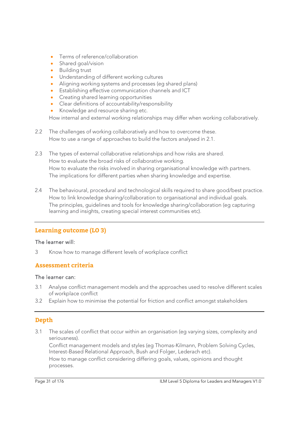- Terms of reference/collaboration
- Shared goal/vision
- **•** Building trust
- Understanding of different working cultures
- Aligning working systems and processes (eg shared plans)
- Establishing effective communication channels and ICT
- **•** Creating shared learning opportunities
- Clear definitions of accountability/responsibility
- Knowledge and resource sharing etc.

How internal and external working relationships may differ when working collaboratively.

- 2.2 The challenges of working collaboratively and how to overcome these. How to use a range of approaches to build the factors analysed in 2.1.
- 2.3 The types of external collaborative relationships and how risks are shared. How to evaluate the broad risks of collaborative working. How to evaluate the risks involved in sharing organisational knowledge with partners. The implications for different parties when sharing knowledge and expertise.
- 2.4 The behavioural, procedural and technological skills required to share good/best practice. How to link knowledge sharing/collaboration to organisational and individual goals. The principles, guidelines and tools for knowledge sharing/collaboration (eg capturing learning and insights, creating special interest communities etc).

#### **Learning outcome (LO 3)**

#### The learner will:

3 Know how to manage different levels of workplace conflict

#### **Assessment criteria**

#### The learner can:

- 3.1 Analyse conflict management models and the approaches used to resolve different scales of workplace conflict
- 3.2 Explain how to minimise the potential for friction and conflict amongst stakeholders

#### **Depth**

3.1 The scales of conflict that occur within an organisation (eg varying sizes, complexity and seriousness).

 Conflict management models and styles (eg Thomas-Kilmann, Problem Solving Cycles, Interest-Based Relational Approach, Bush and Folger, Lederach etc). How to manage conflict considering differing goals, values, opinions and thought processes.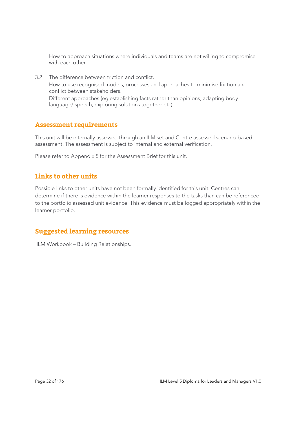How to approach situations where individuals and teams are not willing to compromise with each other.

3.2 The difference between friction and conflict. How to use recognised models, processes and approaches to minimise friction and conflict between stakeholders. Different approaches (eg establishing facts rather than opinions, adapting body

language/ speech, exploring solutions together etc).

#### **Assessment requirements**

This unit will be internally assessed through an ILM set and Centre assessed scenario-based assessment. The assessment is subject to internal and external verification.

Please refer to Appendix 5 for the Assessment Brief for this unit.

#### **Links to other units**

Possible links to other units have not been formally identified for this unit. Centres can determine if there is evidence within the learner responses to the tasks than can be referenced to the portfolio assessed unit evidence. This evidence must be logged appropriately within the learner portfolio.

#### **Suggested learning resources**

ILM Workbook – Building Relationships.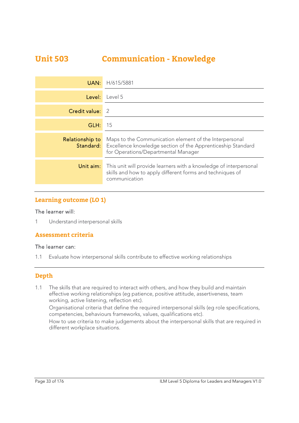## **Unit 503 Communication - Knowledge**

| UAN:            | H/615/5881                                                                                                                                                                    |
|-----------------|-------------------------------------------------------------------------------------------------------------------------------------------------------------------------------|
| Level:          | Level 5                                                                                                                                                                       |
| Credit value:   | $\mathcal{L}$                                                                                                                                                                 |
| GLH:            | 15                                                                                                                                                                            |
| Relationship to | Maps to the Communication element of the Interpersonal<br><b>Standard:</b> Excellence knowledge section of the Apprenticeship Standard<br>for Operations/Departmental Manager |
| Unit aim:       | This unit will provide learners with a knowledge of interpersonal<br>skills and how to apply different forms and techniques of<br>communication                               |

#### **Learning outcome (LO 1)**

#### The learner will:

1 Understand interpersonal skills

#### **Assessment criteria**

#### The learner can:

1.1 Evaluate how interpersonal skills contribute to effective working relationships

#### **Depth**

1.1 The skills that are required to interact with others, and how they build and maintain effective working relationships (eg patience, positive attitude, assertiveness, team working, active listening, reflection etc).

Organisational criteria that define the required interpersonal skills (eg role specifications, competencies, behaviours frameworks, values, qualifications etc).

How to use criteria to make judgements about the interpersonal skills that are required in different workplace situations.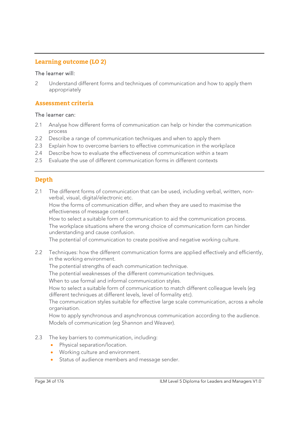#### **Learning outcome (LO 2)**

#### The learner will:

2 Understand different forms and techniques of communication and how to apply them appropriately

#### **Assessment criteria**

#### The learner can:

- 2.1 Analyse how different forms of communication can help or hinder the communication process
- 2.2 Describe a range of communication techniques and when to apply them
- 2.3 Explain how to overcome barriers to effective communication in the workplace
- 2.4 Describe how to evaluate the effectiveness of communication within a team
- 2.5 Evaluate the use of different communication forms in different contexts

#### **Depth**

2.1 The different forms of communication that can be used, including verbal, written, nonverbal, visual, digital/electronic etc.

 How the forms of communication differ, and when they are used to maximise the effectiveness of message content.

 How to select a suitable form of communication to aid the communication process. The workplace situations where the wrong choice of communication form can hinder understanding and cause confusion.

The potential of communication to create positive and negative working culture.

2.2 Techniques: how the different communication forms are applied effectively and efficiently, in the working environment.

The potential strengths of each communication technique.

The potential weaknesses of the different communication techniques.

When to use formal and informal communication styles.

How to select a suitable form of communication to match different colleague levels (eg different techniques at different levels, level of formality etc).

The communication styles suitable for effective large scale communication, across a whole organisation.

How to apply synchronous and asynchronous communication according to the audience. Models of communication (eg Shannon and Weaver).

- 2.3 The key barriers to communication, including:
	- Physical separation/location.
	- Working culture and environment.
	- Status of audience members and message sender.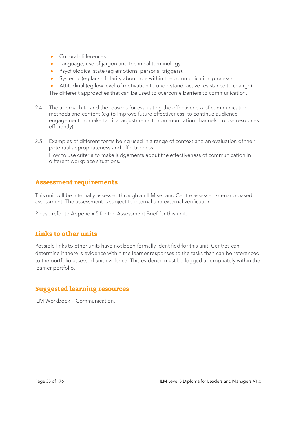- Cultural differences.
- Language, use of jargon and technical terminology.
- Psychological state (eg emotions, personal triggers).
- Systemic (eg lack of clarity about role within the communication process).
- Attitudinal (eg low level of motivation to understand, active resistance to change).

The different approaches that can be used to overcome barriers to communication.

- 2.4 The approach to and the reasons for evaluating the effectiveness of communication methods and content (eg to improve future effectiveness, to continue audience engagement, to make tactical adjustments to communication channels, to use resources efficiently).
- 2.5 Examples of different forms being used in a range of context and an evaluation of their potential appropriateness and effectiveness. How to use criteria to make judgements about the effectiveness of communication in different workplace situations.

#### **Assessment requirements**

This unit will be internally assessed through an ILM set and Centre assessed scenario-based assessment. The assessment is subject to internal and external verification.

Please refer to Appendix 5 for the Assessment Brief for this unit.

#### **Links to other units**

Possible links to other units have not been formally identified for this unit. Centres can determine if there is evidence within the learner responses to the tasks than can be referenced to the portfolio assessed unit evidence. This evidence must be logged appropriately within the learner portfolio.

#### **Suggested learning resources**

ILM Workbook – Communication.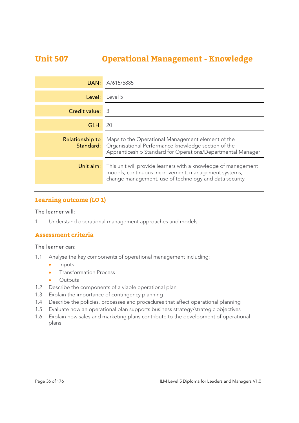## **Unit 507 Operational Management - Knowledge**

| UAN:            | A/615/5885                                                                                                                                                                               |
|-----------------|------------------------------------------------------------------------------------------------------------------------------------------------------------------------------------------|
| Level:          | Level 5                                                                                                                                                                                  |
| Credit value:   | -3                                                                                                                                                                                       |
| GLH:            | 20                                                                                                                                                                                       |
| Relationship to | Maps to the Operational Management element of the<br><b>Standard:</b> Organisational Performance knowledge section of the<br>Apprenticeship Standard for Operations/Departmental Manager |
| Unit aim:       | This unit will provide learners with a knowledge of management<br>models, continuous improvement, management systems,<br>change management, use of technology and data security          |

#### **Learning outcome (LO 1)**

#### The learner will:

1 Understand operational management approaches and models

#### **Assessment criteria**

#### The learner can:

- 1.1 Analyse the key components of operational management including:
	- Inputs
	- Transformation Process
	- Outputs
- 1.2 Describe the components of a viable operational plan
- 1.3 Explain the importance of contingency planning
- 1.4 Describe the policies, processes and procedures that affect operational planning
- 1.5 Evaluate how an operational plan supports business strategy/strategic objectives
- 1.6 Explain how sales and marketing plans contribute to the development of operational plans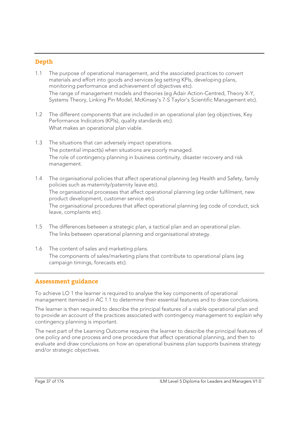### **Depth**

- 1.1 The purpose of operational management, and the associated practices to convert materials and effort into goods and services (eg setting KPIs, developing plans, monitoring performance and achievement of objectives etc). The range of management models and theories (eg Adair Action-Centred, Theory X-Y, Systems Theory, Linking Pin Model, McKinsey's 7-S Taylor's Scientific Management etc).
- 1.2 The different components that are included in an operational plan (eg objectives, Key Performance Indicators (KPIs), quality standards etc). What makes an operational plan viable.
- 1.3 The situations that can adversely impact operations. The potential impact(s) when situations are poorly managed. The role of contingency planning in business continuity, disaster recovery and risk management.
- 1.4 The organisational policies that affect operational planning (eg Health and Safety, family policies such as maternity/paternity leave etc). The organisational processes that affect operational planning (eg order fulfilment, new product development, customer service etc). The organisational procedures that affect operational planning (eg code of conduct, sick leave, complaints etc).
- 1.5 The differences between a strategic plan, a tactical plan and an operational plan. The links between operational planning and organisational strategy.
- 1.6 The content of sales and marketing plans. The components of sales/marketing plans that contribute to operational plans (eg campaign timings, forecasts etc).

### **Assessment guidance**

To achieve LO 1 the learner is required to analyse the key components of operational management itemised in AC 1.1 to determine their essential features and to draw conclusions.

The learner is then required to describe the principal features of a viable operational plan and to provide an account of the practices associated with contingency management to explain why contingency planning is important.

The next part of the Learning Outcome requires the learner to describe the principal features of one policy and one process and one procedure that affect operational planning, and then to evaluate and draw conclusions on how an operational business plan supports business strategy and/or strategic objectives.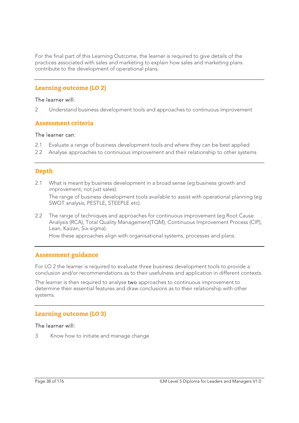For the final part of this Learning Outcome, the learner is required to give details of the practices associated with sales and marketing to explain how sales and marketing plans contribute to the development of operational plans.

### **Learning outcome (LO 2)**

#### The learner will:

2 Understand business development tools and approaches to continuous improvement

#### **Assessment criteria**

#### The learner can:

- 2.1 Evaluate a range of business development tools and where they can be best applied
- 2.2 Analyse approaches to continuous improvement and their relationship to other systems

### **Depth**

- 2.1 What is meant by business development in a broad sense (eg business growth and improvement, not just sales). The range of business development tools available to assist with operational planning (eg SWOT analysis, PESTLE, STEEPLE etc).
- 2.2 The range of techniques and approaches for continuous improvement (eg Root Cause Analysis (RCA), Total Quality Management(TQM), Continuous Improvement Process (CIP), Lean, Kaizan, Six-sigma).

How these approaches align with organisational systems, processes and plans.

#### **Assessment guidance**

For LO 2 the learner is required to evaluate three business development tools to provide a conclusion and/or recommendations as to their usefulness and application in different contexts.

The learner is then required to analyse two approaches to continuous improvement to determine their essential features and draw conclusions as to their relationship with other systems.

#### **Learning outcome (LO 3)**

#### The learner will:

3 Know how to initiate and manage change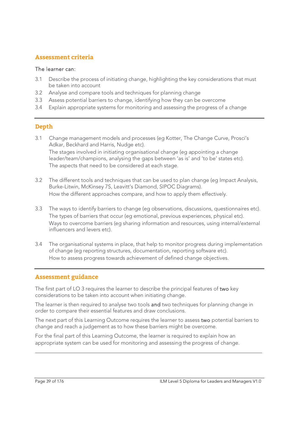### **Assessment criteria**

#### The learner can:

- 3.1 Describe the process of initiating change, highlighting the key considerations that must be taken into account
- 3.2 Analyse and compare tools and techniques for planning change
- 3.3 Assess potential barriers to change, identifying how they can be overcome
- 3.4 Explain appropriate systems for monitoring and assessing the progress of a change

### **Depth**

- 3.1 Change management models and processes (eg Kotter, The Change Curve, Prosci's Adkar, Beckhard and Harris, Nudge etc). The stages involved in initiating organisational change (eg appointing a change leader/team/champions, analysing the gaps between 'as is' and 'to be' states etc). The aspects that need to be considered at each stage.
- 3.2 The different tools and techniques that can be used to plan change (eg Impact Analysis, Burke-Litwin, McKinsey 7S, Leavitt's Diamond, SIPOC Diagrams). How the different approaches compare, and how to apply them effectively.
- 3.3 The ways to identify barriers to change (eg observations, discussions, questionnaires etc). The types of barriers that occur (eg emotional, previous experiences, physical etc). Ways to overcome barriers (eg sharing information and resources, using internal/external influencers and levers etc).
- 3.4 The organisational systems in place, that help to monitor progress during implementation of change (eg reporting structures, documentation, reporting software etc). How to assess progress towards achievement of defined change objectives.

### **Assessment guidance**

The first part of LO 3 requires the learner to describe the principal features of two key considerations to be taken into account when initiating change.

The learner is then required to analyse two tools and two techniques for planning change in order to compare their essential features and draw conclusions.

The next part of this Learning Outcome requires the learner to assess two potential barriers to change and reach a judgement as to how these barriers might be overcome.

For the final part of this Learning Outcome, the learner is required to explain how an appropriate system can be used for monitoring and assessing the progress of change.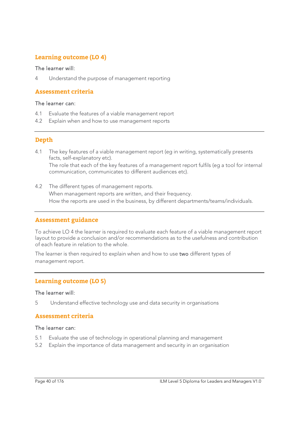### **Learning outcome (LO 4)**

#### The learner will:

4 Understand the purpose of management reporting

### **Assessment criteria**

#### The learner can:

- 4.1 Evaluate the features of a viable management report
- 4.2 Explain when and how to use management reports

### **Depth**

- 4.1 The key features of a viable management report (eg in writing, systematically presents facts, self-explanatory etc). The role that each of the key features of a management report fulfils (eg a tool for internal communication, communicates to different audiences etc).
- 4.2 The different types of management reports. When management reports are written, and their frequency. How the reports are used in the business, by different departments/teams/individuals.

#### **Assessment guidance**

To achieve LO 4 the learner is required to evaluate each feature of a viable management report layout to provide a conclusion and/or recommendations as to the usefulness and contribution of each feature in relation to the whole.

The learner is then required to explain when and how to use two different types of management report.

### **Learning outcome (LO 5)**

#### The learner will:

5 Understand effective technology use and data security in organisations

#### **Assessment criteria**

#### The learner can:

- 5.1 Evaluate the use of technology in operational planning and management
- 5.2 Explain the importance of data management and security in an organisation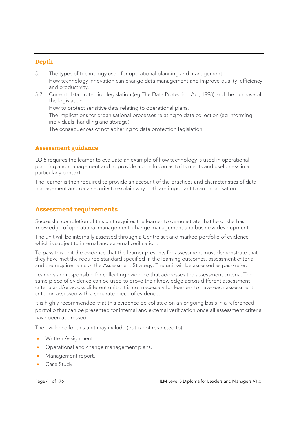### **Depth**

- 5.1 The types of technology used for operational planning and management. How technology innovation can change data management and improve quality, efficiency and productivity.
- 5.2 Current data protection legislation (eg The Data Protection Act, 1998) and the purpose of the legislation.

How to protect sensitive data relating to operational plans.

 The implications for organisational processes relating to data collection (eg informing individuals, handling and storage).

The consequences of not adhering to data protection legislation.

### **Assessment guidance**

LO 5 requires the learner to evaluate an example of how technology is used in operational planning and management and to provide a conclusion as to its merits and usefulness in a particularly context.

The learner is then required to provide an account of the practices and characteristics of data management and data security to explain why both are important to an organisation.

### **Assessment requirements**

Successful completion of this unit requires the learner to demonstrate that he or she has knowledge of operational management, change management and business development.

The unit will be internally assessed through a Centre set and marked portfolio of evidence which is subject to internal and external verification.

To pass this unit the evidence that the learner presents for assessment must demonstrate that they have met the required standard specified in the learning outcomes, assessment criteria and the requirements of the Assessment Strategy. The unit will be assessed as pass/refer.

Learners are responsible for collecting evidence that addresses the assessment criteria. The same piece of evidence can be used to prove their knowledge across different assessment criteria and/or across different units. It is not necessary for learners to have each assessment criterion assessed with a separate piece of evidence.

It is highly recommended that this evidence be collated on an ongoing basis in a referenced portfolio that can be presented for internal and external verification once all assessment criteria have been addressed.

The evidence for this unit may include (but is not restricted to):

- Written Assignment.
- Operational and change management plans.
- Management report.
- Case Study.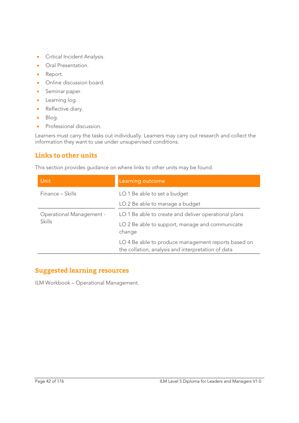- **•** Critical Incident Analysis.
- **•** Oral Presentation.
- Report.
- Online discussion board.
- Seminar paper.
- **•** Learning log.
- Reflective diary.
- · Blog.
- **•** Professional discussion.

Learners must carry the tasks out individually. Learners may carry out research and collect the information they want to use under unsupervised conditions.

# **Links to other units**

This section provides guidance on where links to other units may be found.

| <b>Unit</b>                               | Learning outcome                                                                                          |
|-------------------------------------------|-----------------------------------------------------------------------------------------------------------|
| Finance – Skills                          | LO 1 Be able to set a budget                                                                              |
|                                           | LO 2 Be able to manage a budget                                                                           |
| Operational Management -<br><b>Skills</b> | LO 1 Be able to create and deliver operational plans                                                      |
|                                           | LO 2 Be able to support, manage and communicate<br>change                                                 |
|                                           | LO 4 Be able to produce management reports based on<br>the collation, analysis and interpretation of data |

## **Suggested learning resources**

ILM Workbook – Operational Management.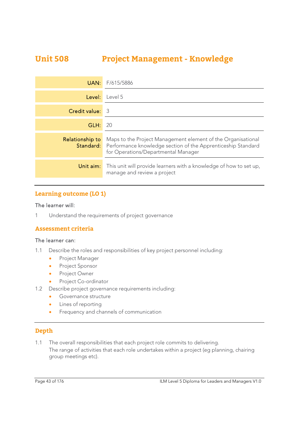# **Unit 508 Project Management - Knowledge**

| UAN:            | F/615/5886                                                                                                                                                                           |
|-----------------|--------------------------------------------------------------------------------------------------------------------------------------------------------------------------------------|
| Level:          | Level 5                                                                                                                                                                              |
| Credit value:   | -3                                                                                                                                                                                   |
| GLH:            | 20                                                                                                                                                                                   |
| Relationship to | Maps to the Project Management element of the Organisational<br><b>Standard:</b> Performance knowledge section of the Apprenticeship Standard<br>for Operations/Departmental Manager |
| Unit aim:       | This unit will provide learners with a knowledge of how to set up,<br>manage and review a project                                                                                    |

### **Learning outcome (LO 1)**

#### The learner will:

1 Understand the requirements of project governance

#### **Assessment criteria**

#### The learner can:

- 1.1 Describe the roles and responsibilities of key project personnel including:
	- **•** Project Manager
	- **•** Project Sponsor
	- **•** Project Owner
	- Project Co-ordinator
- 1.2 Describe project governance requirements including:
	- **Governance structure**
	- **•** Lines of reporting
	- **•** Frequency and channels of communication

### **Depth**

1.1 The overall responsibilities that each project role commits to delivering. The range of activities that each role undertakes within a project (eg planning, chairing group meetings etc).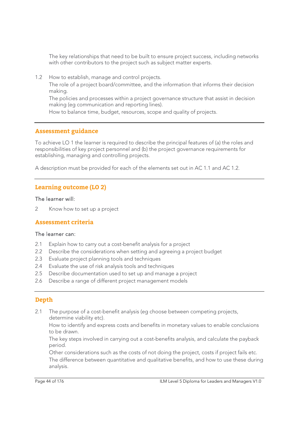The key relationships that need to be built to ensure project success, including networks with other contributors to the project such as subject matter experts.

1.2 How to establish, manage and control projects.

The role of a project board/committee, and the information that informs their decision making.

The policies and processes within a project governance structure that assist in decision making (eg communication and reporting lines).

How to balance time, budget, resources, scope and quality of projects.

#### **Assessment guidance**

To achieve LO 1 the learner is required to describe the principal features of (a) the roles and responsibilities of key project personnel and (b) the project governance requirements for establishing, managing and controlling projects.

A description must be provided for each of the elements set out in AC 1.1 and AC 1.2.

#### **Learning outcome (LO 2)**

#### The learner will:

2 Know how to set up a project

#### **Assessment criteria**

#### The learner can:

- 2.1 Explain how to carry out a cost-benefit analysis for a project
- 2.2 Describe the considerations when setting and agreeing a project budget
- 2.3 Evaluate project planning tools and techniques
- 2.4 Evaluate the use of risk analysis tools and techniques
- 2.5 Describe documentation used to set up and manage a project
- 2.6 Describe a range of different project management models

#### **Depth**

2.1 The purpose of a cost-benefit analysis (eg choose between competing projects, determine viability etc).

 How to identify and express costs and benefits in monetary values to enable conclusions to be drawn.

 The key steps involved in carrying out a cost-benefits analysis, and calculate the payback period.

 Other considerations such as the costs of not doing the project, costs if project fails etc. The difference between quantitative and qualitative benefits, and how to use these during analysis.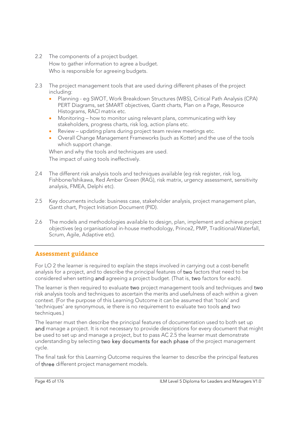- 2.2 The components of a project budget. How to gather information to agree a budget. Who is responsible for agreeing budgets.
- 2.3 The project management tools that are used during different phases of the project including:
	- Planning eg SWOT, Work Breakdown Structures (WBS), Critical Path Analysis (CPA) PERT Diagrams, set SMART objectives, Gantt charts, Plan on a Page, Resource Histograms, RACI matrix etc.
	- Monitoring how to monitor using relevant plans, communicating with key stakeholders, progress charts, risk log, action plans etc.
	- Review updating plans during project team review meetings etc.
	- Overall Change Management Frameworks (such as Kotter) and the use of the tools which support change.

 When and why the tools and techniques are used. The impact of using tools ineffectively.

- 2.4 The different risk analysis tools and techniques available (eg risk register, risk log, Fishbone/Ishikawa, Red Amber Green (RAG), risk matrix, urgency assessment, sensitivity analysis, FMEA, Delphi etc).
- 2.5 Key documents include: business case, stakeholder analysis, project management plan, Gantt chart, Project Initiation Document (PID).
- 2.6 The models and methodologies available to design, plan, implement and achieve project objectives (eg organisational in-house methodology, Prince2, PMP, Traditional/Waterfall, Scrum, Agile, Adaptive etc).

### **Assessment guidance**

For LO 2 the learner is required to explain the steps involved in carrying out a cost-benefit analysis for a project, and to describe the principal features of two factors that need to be considered when setting and agreeing a project budget. (That is, two factors for each).

The learner is then required to evaluate two project management tools and techniques and two risk analysis tools and techniques to ascertain the merits and usefulness of each within a given context. (For the purpose of this Learning Outcome it can be assumed that 'tools' and 'techniques' are synonymous, ie there is no requirement to evaluate two tools and two techniques.)

The learner must then describe the principal features of documentation used to both set up and manage a project. It is not necessary to provide descriptions for every document that might be used to set up and manage a project, but to pass AC 2.5 the learner must demonstrate understanding by selecting two key documents for each phase of the project management cycle.

The final task for this Learning Outcome requires the learner to describe the principal features of three different project management models.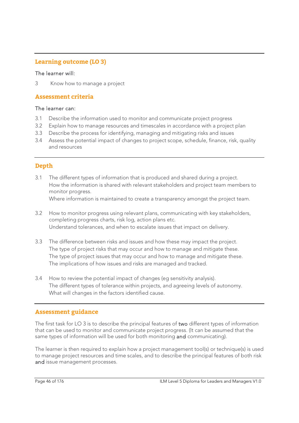### **Learning outcome (LO 3)**

#### The learner will:

3 Know how to manage a project

### **Assessment criteria**

#### The learner can:

- 3.1 Describe the information used to monitor and communicate project progress
- 3.2 Explain how to manage resources and timescales in accordance with a project plan
- 3.3 Describe the process for identifying, managing and mitigating risks and issues
- 3.4 Assess the potential impact of changes to project scope, schedule, finance, risk, quality and resources

### **Depth**

- 3.1 The different types of information that is produced and shared during a project. How the information is shared with relevant stakeholders and project team members to monitor progress. Where information is maintained to create a transparency amongst the project team.
- 3.2 How to monitor progress using relevant plans, communicating with key stakeholders, completing progress charts, risk log, action plans etc. Understand tolerances, and when to escalate issues that impact on delivery.
- 3.3 The difference between risks and issues and how these may impact the project. The type of project risks that may occur and how to manage and mitigate these. The type of project issues that may occur and how to manage and mitigate these. The implications of how issues and risks are managed and tracked.
- 3.4 How to review the potential impact of changes (eg sensitivity analysis). The different types of tolerance within projects, and agreeing levels of autonomy. What will changes in the factors identified cause.

### **Assessment guidance**

The first task for LO 3 is to describe the principal features of two different types of information that can be used to monitor and communicate project progress. (It can be assumed that the same types of information will be used for both monitoring and communicating).

The learner is then required to explain how a project management tool(s) or technique(s) is used to manage project resources and time scales, and to describe the principal features of both risk and issue management processes.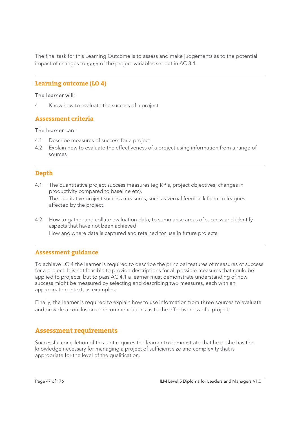The final task for this Learning Outcome is to assess and make judgements as to the potential impact of changes to each of the project variables set out in AC 3.4.

### **Learning outcome (LO 4)**

#### The learner will:

4 Know how to evaluate the success of a project

### **Assessment criteria**

#### The learner can:

- 4.1 Describe measures of success for a project
- 4.2 Explain how to evaluate the effectiveness of a project using information from a range of sources

### **Depth**

- 4.1 The quantitative project success measures (eg KPIs, project objectives, changes in productivity compared to baseline etc). The qualitative project success measures, such as verbal feedback from colleagues affected by the project.
- 4.2 How to gather and collate evaluation data, to summarise areas of success and identify aspects that have not been achieved. How and where data is captured and retained for use in future projects.

### **Assessment guidance**

To achieve LO 4 the learner is required to describe the principal features of measures of success for a project. It is not feasible to provide descriptions for all possible measures that could be applied to projects, but to pass AC 4.1 a learner must demonstrate understanding of how success might be measured by selecting and describing two measures, each with an appropriate context, as examples.

Finally, the learner is required to explain how to use information from three sources to evaluate and provide a conclusion or recommendations as to the effectiveness of a project.

### **Assessment requirements**

Successful completion of this unit requires the learner to demonstrate that he or she has the knowledge necessary for managing a project of sufficient size and complexity that is appropriate for the level of the qualification.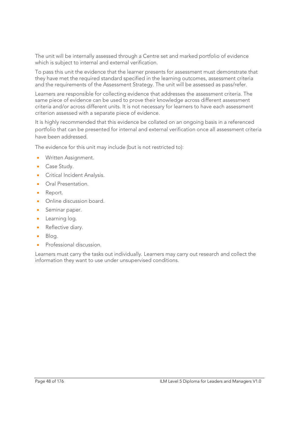The unit will be internally assessed through a Centre set and marked portfolio of evidence which is subject to internal and external verification.

To pass this unit the evidence that the learner presents for assessment must demonstrate that they have met the required standard specified in the learning outcomes, assessment criteria and the requirements of the Assessment Strategy. The unit will be assessed as pass/refer.

Learners are responsible for collecting evidence that addresses the assessment criteria. The same piece of evidence can be used to prove their knowledge across different assessment criteria and/or across different units. It is not necessary for learners to have each assessment criterion assessed with a separate piece of evidence.

It is highly recommended that this evidence be collated on an ongoing basis in a referenced portfolio that can be presented for internal and external verification once all assessment criteria have been addressed.

The evidence for this unit may include (but is not restricted to):

- **Written Assignment.**
- Case Study.
- **Critical Incident Analysis.**
- **•** Oral Presentation.
- Report.
- Online discussion board.
- Seminar paper.
- Learning log.
- Reflective diary.
- Blog.
- Professional discussion.

Learners must carry the tasks out individually. Learners may carry out research and collect the information they want to use under unsupervised conditions.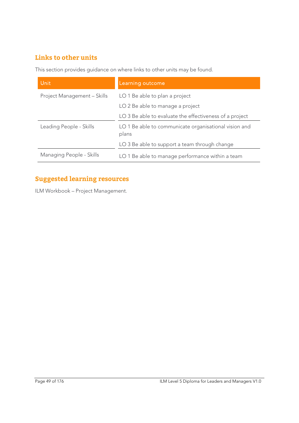# **Links to other units**

This section provides guidance on where links to other units may be found.

| <b>Unit</b>                 | Learning outcome                                               |
|-----------------------------|----------------------------------------------------------------|
| Project Management - Skills | LO 1 Be able to plan a project                                 |
|                             | LO 2 Be able to manage a project                               |
|                             | LO 3 Be able to evaluate the effectiveness of a project        |
| Leading People - Skills     | LO 1 Be able to communicate organisational vision and<br>plans |
|                             | LO 3 Be able to support a team through change                  |
| Managing People - Skills    | LO 1 Be able to manage performance within a team               |

# **Suggested learning resources**

ILM Workbook – Project Management.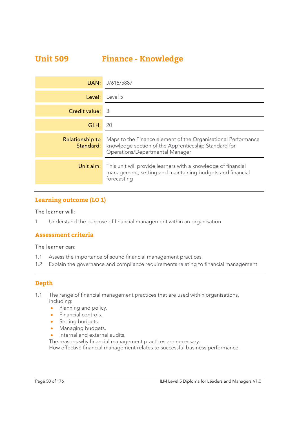# **Unit 509 Finance - Knowledge**

| UAN:                   | J/615/5887                                                                                                                                                                |
|------------------------|---------------------------------------------------------------------------------------------------------------------------------------------------------------------------|
| Level:                 | Level 5                                                                                                                                                                   |
| <b>Credit value:</b> 3 |                                                                                                                                                                           |
| GLH:                   | 20                                                                                                                                                                        |
| Relationship to        | Maps to the Finance element of the Organisational Performance<br><b>Standard:</b> knowledge section of the Apprenticeship Standard for<br>Operations/Departmental Manager |
| Unit aim:              | This unit will provide learners with a knowledge of financial<br>management, setting and maintaining budgets and financial<br>forecasting                                 |

### **Learning outcome (LO 1)**

#### The learner will:

1 Understand the purpose of financial management within an organisation

### **Assessment criteria**

#### The learner can:

- 1.1 Assess the importance of sound financial management practices
- 1.2 Explain the governance and compliance requirements relating to financial management

### **Depth**

- 1.1 The range of financial management practices that are used within organisations, including:
	- Planning and policy.
	- **•** Financial controls.
	- Setting budgets.
	- Managing budgets.
	- Internal and external audits.
	- The reasons why financial management practices are necessary.

How effective financial management relates to successful business performance.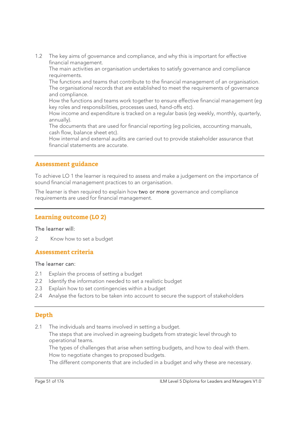1.2 The key aims of governance and compliance, and why this is important for effective financial management.

The main activities an organisation undertakes to satisfy governance and compliance requirements.

The functions and teams that contribute to the financial management of an organisation. The organisational records that are established to meet the requirements of governance and compliance.

How the functions and teams work together to ensure effective financial management (eg key roles and responsibilities, processes used, hand-offs etc).

How income and expenditure is tracked on a regular basis (eg weekly, monthly, quarterly, annually).

The documents that are used for financial reporting (eg policies, accounting manuals, cash flow, balance sheet etc).

How internal and external audits are carried out to provide stakeholder assurance that financial statements are accurate.

### **Assessment guidance**

To achieve LO 1 the learner is required to assess and make a judgement on the importance of sound financial management practices to an organisation.

The learner is then required to explain how two or more governance and compliance requirements are used for financial management.

#### **Learning outcome (LO 2)**

#### The learner will:

2 Know how to set a budget

#### **Assessment criteria**

#### The learner can:

- 2.1 Explain the process of setting a budget
- 2.2 Identify the information needed to set a realistic budget
- 2.3 Explain how to set contingencies within a budget
- 2.4 Analyse the factors to be taken into account to secure the support of stakeholders

### **Depth**

2.1 The individuals and teams involved in setting a budget.

 The steps that are involved in agreeing budgets from strategic level through to operational teams.

 The types of challenges that arise when setting budgets, and how to deal with them. How to negotiate changes to proposed budgets.

The different components that are included in a budget and why these are necessary.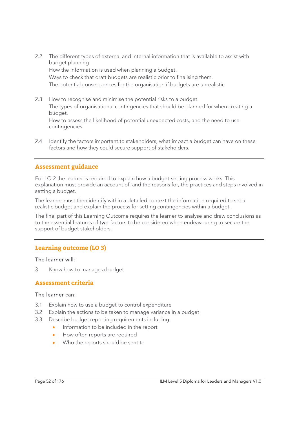2.2 The different types of external and internal information that is available to assist with budget planning.

How the information is used when planning a budget.

 Ways to check that draft budgets are realistic prior to finalising them. The potential consequences for the organisation if budgets are unrealistic.

2.3 How to recognise and minimise the potential risks to a budget. The types of organisational contingencies that should be planned for when creating a

budget. How to assess the likelihood of potential unexpected costs, and the need to use

- contingencies.
- 2.4 Identify the factors important to stakeholders, what impact a budget can have on these factors and how they could secure support of stakeholders.

## **Assessment guidance**

For LO 2 the learner is required to explain how a budget-setting process works. This explanation must provide an account of, and the reasons for, the practices and steps involved in setting a budget.

The learner must then identify within a detailed context the information required to set a realistic budget and explain the process for setting contingencies within a budget.

The final part of this Learning Outcome requires the learner to analyse and draw conclusions as to the essential features of two factors to be considered when endeavouring to secure the support of budget stakeholders.

## **Learning outcome (LO 3)**

### The learner will:

3 Know how to manage a budget

### **Assessment criteria**

### The learner can:

- 3.1 Explain how to use a budget to control expenditure
- 3.2 Explain the actions to be taken to manage variance in a budget
- 3.3 Describe budget reporting requirements including:
	- Information to be included in the report
	- How often reports are required
	- Who the reports should be sent to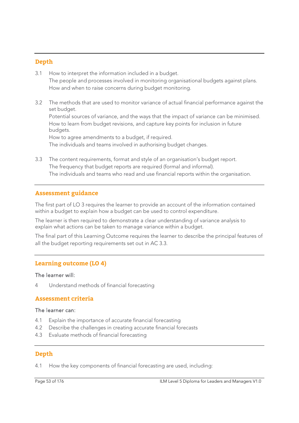### **Depth**

- 3.1 How to interpret the information included in a budget. The people and processes involved in monitoring organisational budgets against plans. How and when to raise concerns during budget monitoring.
- 3.2 The methods that are used to monitor variance of actual financial performance against the set budget.

 Potential sources of variance, and the ways that the impact of variance can be minimised. How to learn from budget revisions, and capture key points for inclusion in future budgets.

 How to agree amendments to a budget, if required. The individuals and teams involved in authorising budget changes.

3.3 The content requirements, format and style of an organisation's budget report. The frequency that budget reports are required (formal and informal). The individuals and teams who read and use financial reports within the organisation.

### **Assessment guidance**

The first part of LO 3 requires the learner to provide an account of the information contained within a budget to explain how a budget can be used to control expenditure.

The learner is then required to demonstrate a clear understanding of variance analysis to explain what actions can be taken to manage variance within a budget.

The final part of this Learning Outcome requires the learner to describe the principal features of all the budget reporting requirements set out in AC 3.3.

#### **Learning outcome (LO 4)**

#### The learner will:

Understand methods of financial forecasting

### **Assessment criteria**

#### The learner can:

- 4.1 Explain the importance of accurate financial forecasting
- 4.2 Describe the challenges in creating accurate financial forecasts
- 4.3 Evaluate methods of financial forecasting

### **Depth**

4.1 How the key components of financial forecasting are used, including: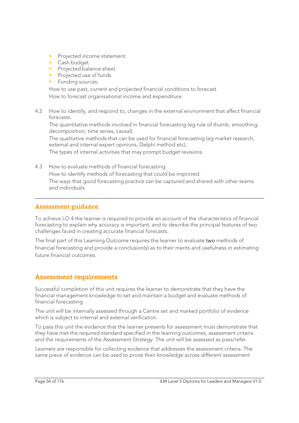- Projected income statement.
- Cash budget.
- Projected balance sheet.
- Projected use of funds.
- Funding sources.

How to use past, current and projected financial conditions to forecast.

How to forecast organisational income and expenditure.

4.2 How to identify, and respond to, changes in the external environment that affect financial forecasts.

 The quantitative methods involved in financial forecasting (eg rule of thumb, smoothing, decomposition, time series, causal).

 The qualitative methods that can be used for financial forecasting (eg market research, external and internal expert opinions, Delphi method etc).

The types of internal activities that may prompt budget revisions.

4.3 How to evaluate methods of financial forecasting. How to identify methods of forecasting that could be improved. The ways that good forecasting practice can be captured and shared with other teams and individuals.

### **Assessment guidance**

To achieve LO 4 the learner is required to provide an account of the characteristics of financial forecasting to explain why accuracy is important, and to describe the principal features of two challenges faced in creating accurate financial forecasts.

The final part of this Learning Outcome requires the learner to evaluate two methods of financial forecasting and provide a conclusion(s) as to their merits and usefulness in estimating future financial outcomes.

### **Assessment requirements**

Successful completion of this unit requires the learner to demonstrate that they have the financial management knowledge to set and maintain a budget and evaluate methods of financial forecasting.

The unit will be internally assessed through a Centre set and marked portfolio of evidence which is subject to internal and external verification.

To pass this unit the evidence that the learner presents for assessment must demonstrate that they have met the required standard specified in the learning outcomes, assessment criteria and the requirements of the Assessment Strategy. The unit will be assessed as pass/refer.

Learners are responsible for collecting evidence that addresses the assessment criteria. The same piece of evidence can be used to prove their knowledge across different assessment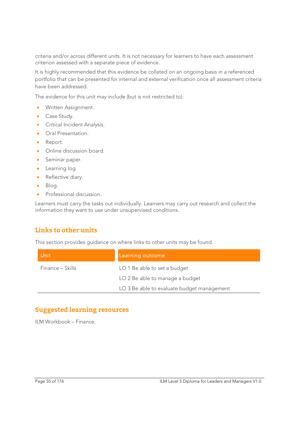criteria and/or across different units. It is not necessary for learners to have each assessment criterion assessed with a separate piece of evidence.

It is highly recommended that this evidence be collated on an ongoing basis in a referenced portfolio that can be presented for internal and external verification once all assessment criteria have been addressed.

The evidence for this unit may include (but is not restricted to):

- **Written Assignment.**
- Case Study.
- **Critical Incident Analysis.**
- **•** Oral Presentation.
- Report.
- Online discussion board.
- Seminar paper.
- Learning log.
- Reflective diary.
- Blog.
- Professional discussion.

Learners must carry the tasks out individually. Learners may carry out research and collect the information they want to use under unsupervised conditions.

## **Links to other units**

This section provides guidance on where links to other units may be found.

| Unit             | Learning outcome                           |
|------------------|--------------------------------------------|
| Finance – Skills | LO 1 Be able to set a budget               |
|                  | LO 2 Be able to manage a budget            |
|                  | LO 3 Be able to evaluate budget management |

### **Suggested learning resources**

ILM Workbook – Finance.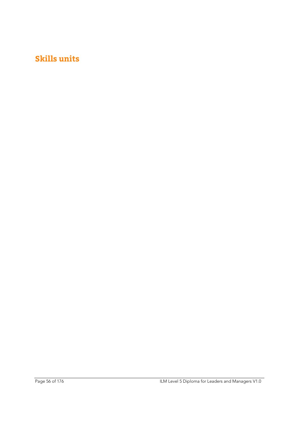# **Skills units**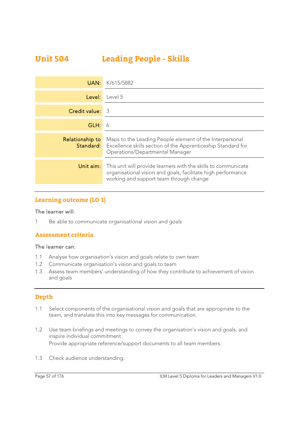# **Unit 504 Leading People - Skills**

| UAN:                   | K/615/5882                                                                                                                                                                  |
|------------------------|-----------------------------------------------------------------------------------------------------------------------------------------------------------------------------|
| Level:                 | Level 5                                                                                                                                                                     |
| Credit value: 3        |                                                                                                                                                                             |
| GLH:                   | -6                                                                                                                                                                          |
| <b>Relationship to</b> | Maps to the Leading People element of the Interpersonal<br><b>Standard:</b> Excellence skills section of the Apprenticeship Standard for<br>Operations/Departmental Manager |
| Unit aim:              | This unit will provide learners with the skills to communicate<br>organisational vision and goals, facilitate high performance<br>working and support team through change   |

### **Learning outcome (LO 1)**

#### The learner will:

1 Be able to communicate organisational vision and goals

### **Assessment criteria**

#### The learner can:

- 1.1 Analyse how organisation's vision and goals relate to own team
- 1.2 Communicate organisation's vision and goals to team
- 1.3 Assess team members' understanding of how they contribute to achievement of vision and goals

### **Depth**

- 1.1 Select components of the organisational vision and goals that are appropriate to the team, and translate this into key messages for communication.
- 1.2 Use team briefings and meetings to convey the organisation's vision and goals, and inspire individual commitment. Provide appropriate reference/support documents to all team members.
- 1.3 Check audience understanding.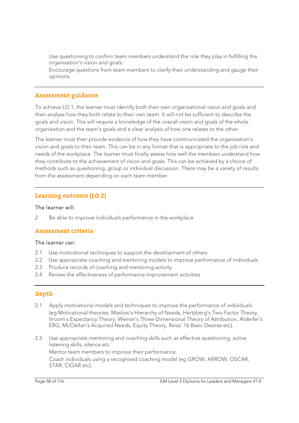Use questioning to confirm team members understand the role they play in fulfilling the organisation's vision and goals.

Encourage questions from team members to clarify their understanding and gauge their opinions.

#### **Assessment guidance**

To achieve LO 1, the learner must identify both their own organisational vision and goals and then analyse how they both relate to their own team. It will not be sufficient to describe the goals and vision. This will require a knowledge of the overall vision and goals of the whole organisation and the team's goals and a clear analysis of how one relates to the other.

The learner must then provide evidence of how they have communicated the organisation's vision and goals to their team. This can be in any format that is appropriate to the job role and needs of the workplace. The learner must finally assess how well the members understand how they contribute to the achievement of vision and goals. This can be achieved by a choice of methods such as questioning, group or individual discussion. There may be a variety of results from the assessment depending on each team member.

### **Learning outcome (LO 2)**

#### The learner will:

2 Be able to improve individuals performance in the workplace

### **Assessment criteria**

#### The learner can:

- 2.1 Use motivational techniques to support the development of others
- 2.2 Use appropriate coaching and mentoring models to improve performance of individuals
- 2.3 Produce records of coaching and mentoring activity
- 2.4 Review the effectiveness of performance improvement activities

### **Depth**

- 2.1 Apply motivational models and techniques to improve the performance of individuals. (eg Motivational theories: Maslow's Hierarchy of Needs, Hertzberg's Two-Factor Theory, Vroom's Expectancy Theory, Weiner's Three-Dimensional Theory of Attribution, Alderfer's ERG, McClellan's Acquired Needs, Equity Theory, Reiss' 16 Basic Desires etc).
- 2.2 Use appropriate mentoring and coaching skills such as effective questioning, active listening skills, silence etc. Mentor team members to improve their performance. Coach individuals using a recognised coaching model (eg GROW, ARROW, OSCAR, STAR, CIGAR etc).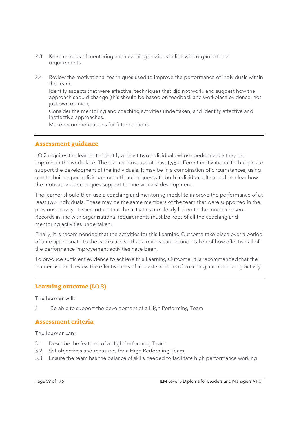- 2.3 Keep records of mentoring and coaching sessions in line with organisational requirements.
- 2.4 Review the motivational techniques used to improve the performance of individuals within the team.

 Identify aspects that were effective, techniques that did not work, and suggest how the approach should change (this should be based on feedback and workplace evidence, not just own opinion).

 Consider the mentoring and coaching activities undertaken, and identify effective and ineffective approaches.

Make recommendations for future actions.

### **Assessment guidance**

LO 2 requires the learner to identify at least two individuals whose performance they can improve in the workplace. The learner must use at least two different motivational techniques to support the development of the individuals. It may be in a combination of circumstances, using one technique per individuals or both techniques with both individuals. It should be clear how the motivational techniques support the individuals' development.

The learner should then use a coaching and mentoring model to improve the performance of at least two individuals. These may be the same members of the team that were supported in the previous activity. It is important that the activities are clearly linked to the model chosen. Records in line with organisational requirements must be kept of all the coaching and mentoring activities undertaken.

Finally, it is recommended that the activities for this Learning Outcome take place over a period of time appropriate to the workplace so that a review can be undertaken of how effective all of the performance improvement activities have been.

To produce sufficient evidence to achieve this Learning Outcome, it is recommended that the learner use and review the effectiveness of at least six hours of coaching and mentoring activity.

### **Learning outcome (LO 3)**

#### The learner will:

3 Be able to support the development of a High Performing Team

### **Assessment criteria**

#### The learner can:

- 3.1 Describe the features of a High Performing Team
- 3.2 Set objectives and measures for a High Performing Team
- 3.3 Ensure the team has the balance of skills needed to facilitate high performance working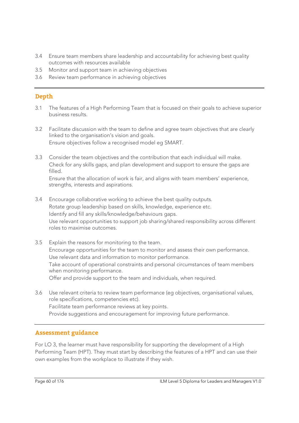- 3.4 Ensure team members share leadership and accountability for achieving best quality outcomes with resources available
- 3.5 Monitor and support team in achieving objectives
- 3.6 Review team performance in achieving objectives

### **Depth**

- 3.1 The features of a High Performing Team that is focused on their goals to achieve superior business results.
- 3.2 Facilitate discussion with the team to define and agree team objectives that are clearly linked to the organisation's vision and goals. Ensure objectives follow a recognised model eg SMART.
- 3.3 Consider the team objectives and the contribution that each individual will make. Check for any skills gaps, and plan development and support to ensure the gaps are filled.

 Ensure that the allocation of work is fair, and aligns with team members' experience, strengths, interests and aspirations.

- 3.4 Encourage collaborative working to achieve the best quality outputs. Rotate group leadership based on skills, knowledge, experience etc. Identify and fill any skills/knowledge/behaviours gaps. Use relevant opportunities to support job sharing/shared responsibility across different roles to maximise outcomes.
- 3.5 Explain the reasons for monitoring to the team. Encourage opportunities for the team to monitor and assess their own performance. Use relevant data and information to monitor performance. Take account of operational constraints and personal circumstances of team members when monitoring performance. Offer and provide support to the team and individuals, when required.
- 3.6 Use relevant criteria to review team performance (eg objectives, organisational values, role specifications, competencies etc). Facilitate team performance reviews at key points. Provide suggestions and encouragement for improving future performance.

### **Assessment guidance**

For LO 3, the learner must have responsibility for supporting the development of a High Performing Team (HPT). They must start by describing the features of a HPT and can use their own examples from the workplace to illustrate if they wish.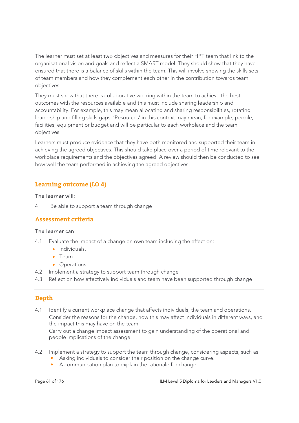The learner must set at least two objectives and measures for their HPT team that link to the organisational vision and goals and reflect a SMART model. They should show that they have ensured that there is a balance of skills within the team. This will involve showing the skills sets of team members and how they complement each other in the contribution towards team objectives.

They must show that there is collaborative working within the team to achieve the best outcomes with the resources available and this must include sharing leadership and accountability. For example, this may mean allocating and sharing responsibilities, rotating leadership and filling skills gaps. 'Resources' in this context may mean, for example, people, facilities, equipment or budget and will be particular to each workplace and the team objectives.

Learners must produce evidence that they have both monitored and supported their team in achieving the agreed objectives. This should take place over a period of time relevant to the workplace requirements and the objectives agreed. A review should then be conducted to see how well the team performed in achieving the agreed objectives.

### **Learning outcome (LO 4)**

#### The learner will:

4 Be able to support a team through change

### **Assessment criteria**

#### The learner can:

- 4.1 Evaluate the impact of a change on own team including the effect on:
	- Individuals.
	- Team.
	- Operations.
- 4.2 Implement a strategy to support team through change
- 4.3 Reflect on how effectively individuals and team have been supported through change

### **Depth**

4.1 Identify a current workplace change that affects individuals, the team and operations. Consider the reasons for the change, how this may affect individuals in different ways, and the impact this may have on the team.

Carry out a change impact assessment to gain understanding of the operational and people implications of the change.

- 4.2 Implement a strategy to support the team through change, considering aspects, such as:
	- Asking individuals to consider their position on the change curve.
		- A communication plan to explain the rationale for change.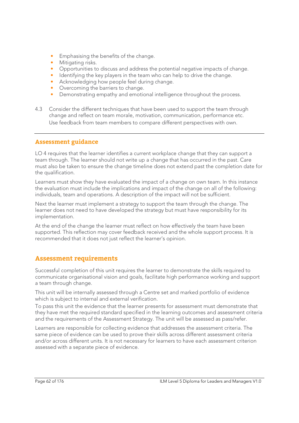- Emphasising the benefits of the change.
- Mitigating risks.
- Opportunities to discuss and address the potential negative impacts of change.
- Identifying the key players in the team who can help to drive the change.
- Acknowledging how people feel during change.
- Overcoming the barriers to change.
- Demonstrating empathy and emotional intelligence throughout the process.
- 4.3 Consider the different techniques that have been used to support the team through change and reflect on team morale, motivation, communication, performance etc. Use feedback from team members to compare different perspectives with own.

#### **Assessment guidance**

LO 4 requires that the learner identifies a current workplace change that they can support a team through. The learner should not write up a change that has occurred in the past. Care must also be taken to ensure the change timeline does not extend past the completion date for the qualification.

Learners must show they have evaluated the impact of a change on own team. In this instance the evaluation must include the implications and impact of the change on all of the following: individuals, team and operations. A description of the impact will not be sufficient.

Next the learner must implement a strategy to support the team through the change. The learner does not need to have developed the strategy but must have responsibility for its implementation.

At the end of the change the learner must reflect on how effectively the team have been supported. This reflection may cover feedback received and the whole support process. It is recommended that it does not just reflect the learner's opinion.

### **Assessment requirements**

Successful completion of this unit requires the learner to demonstrate the skills required to communicate organisational vision and goals, facilitate high performance working and support a team through change.

This unit will be internally assessed through a Centre set and marked portfolio of evidence which is subject to internal and external verification.

To pass this unit the evidence that the learner presents for assessment must demonstrate that they have met the required standard specified in the learning outcomes and assessment criteria and the requirements of the Assessment Strategy. The unit will be assessed as pass/refer.

Learners are responsible for collecting evidence that addresses the assessment criteria. The same piece of evidence can be used to prove their skills across different assessment criteria and/or across different units. It is not necessary for learners to have each assessment criterion assessed with a separate piece of evidence.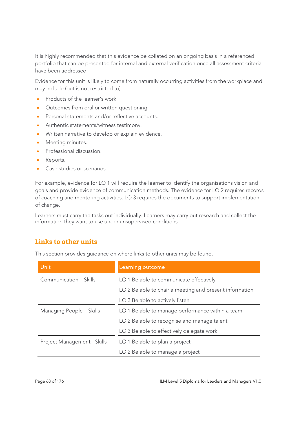It is highly recommended that this evidence be collated on an ongoing basis in a referenced portfolio that can be presented for internal and external verification once all assessment criteria have been addressed.

Evidence for this unit is likely to come from naturally occurring activities from the workplace and may include (but is not restricted to):

- Products of the learner's work.
- Outcomes from oral or written questioning.
- **•** Personal statements and/or reflective accounts.
- Authentic statements/witness testimony.
- Written narrative to develop or explain evidence.
- Meeting minutes.
- Professional discussion.
- Reports.
- Case studies or scenarios.

For example, evidence for LO 1 will require the learner to identify the organisations vision and goals and provide evidence of communication methods. The evidence for LO 2 requires records of coaching and mentoring activities. LO 3 requires the documents to support implementation of change.

Learners must carry the tasks out individually. Learners may carry out research and collect the information they want to use under unsupervised conditions.

### **Links to other units**

This section provides guidance on where links to other units may be found.

| Unit                        | Learning outcome                                        |
|-----------------------------|---------------------------------------------------------|
| Communication - Skills      | LO 1 Be able to communicate effectively                 |
|                             | LO 2 Be able to chair a meeting and present information |
|                             | LO 3 Be able to actively listen                         |
| Managing People - Skills    | LO 1 Be able to manage performance within a team        |
|                             | LO 2 Be able to recognise and manage talent             |
|                             | LO 3 Be able to effectively delegate work               |
| Project Management - Skills | LO 1 Be able to plan a project                          |
|                             | LO 2 Be able to manage a project                        |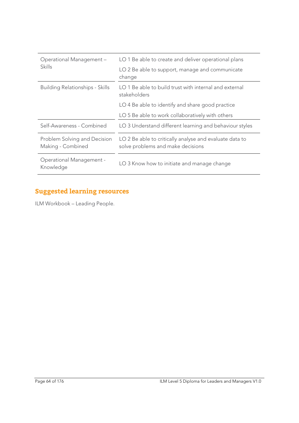| Operational Management-<br><b>Skills</b>          | LO 1 Be able to create and deliver operational plans                                         |
|---------------------------------------------------|----------------------------------------------------------------------------------------------|
|                                                   | LO 2 Be able to support, manage and communicate<br>change                                    |
| <b>Building Relationships - Skills</b>            | LO 1 Be able to build trust with internal and external<br>stakeholders                       |
|                                                   | LO 4 Be able to identify and share good practice                                             |
|                                                   | LO 5 Be able to work collaboratively with others                                             |
| Self-Awareness - Combined                         | LO 3 Understand different learning and behaviour styles                                      |
| Problem Solving and Decision<br>Making - Combined | LO 2 Be able to critically analyse and evaluate data to<br>solve problems and make decisions |
| <b>Operational Management -</b><br>Knowledge      | LO 3 Know how to initiate and manage change                                                  |

# **Suggested learning resources**

ILM Workbook – Leading People.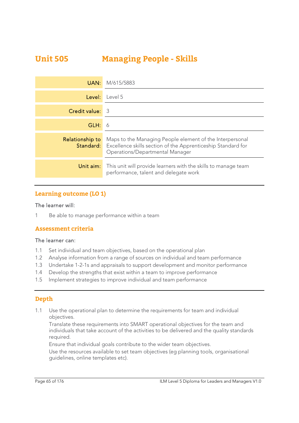# **Unit 505 Managing People - Skills**

| UAN:            | M/615/5883                                                                                                                                                                   |
|-----------------|------------------------------------------------------------------------------------------------------------------------------------------------------------------------------|
| Level:          | Level 5                                                                                                                                                                      |
| Credit value:   | -3                                                                                                                                                                           |
| GLH:            | 6                                                                                                                                                                            |
| Relationship to | Maps to the Managing People element of the Interpersonal<br><b>Standard:</b> Excellence skills section of the Apprenticeship Standard for<br>Operations/Departmental Manager |
| Unit aim:       | This unit will provide learners with the skills to manage team<br>performance, talent and delegate work                                                                      |

### **Learning outcome (LO 1)**

#### The learner will:

1 Be able to manage performance within a team

### **Assessment criteria**

#### The learner can:

- 1.1 Set individual and team objectives, based on the operational plan
- 1.2 Analyse information from a range of sources on individual and team performance
- 1.3 Undertake 1-2-1s and appraisals to support development and monitor performance
- 1.4 Develop the strengths that exist within a team to improve performance
- 1.5 Implement strategies to improve individual and team performance

### **Depth**

1.1 Use the operational plan to determine the requirements for team and individual objectives.

Translate these requirements into SMART operational objectives for the team and individuals that take account of the activities to be delivered and the quality standards required.

Ensure that individual goals contribute to the wider team objectives.

Use the resources available to set team objectives (eg planning tools, organisational guidelines, online templates etc).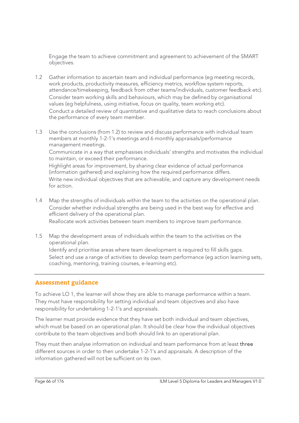Engage the team to achieve commitment and agreement to achievement of the SMART objectives.

- 1.2 Gather information to ascertain team and individual performance (eg meeting records, work products, productivity measures, efficiency metrics, workflow system reports, attendance/timekeeping, feedback from other teams/individuals, customer feedback etc). Consider team working skills and behaviours, which may be defined by organisational values (eg helpfulness, using initiative, focus on quality, team working etc). Conduct a detailed review of quantitative and qualitative data to reach conclusions about the performance of every team member.
- 1.3 Use the conclusions (from 1.2) to review and discuss performance with individual team members at monthly 1-2-1's meetings and 6 monthly appraisals/performance management meetings.

Communicate in a way that emphasises individuals' strengths and motivates the individual to maintain, or exceed their performance.

Highlight areas for improvement, by sharing clear evidence of actual performance (information gathered) and explaining how the required performance differs. Write new individual objectives that are achievable, and capture any development needs for action.

1.4 Map the strengths of individuals within the team to the activities on the operational plan. Consider whether individual strengths are being used in the best way for effective and efficient delivery of the operational plan.

Reallocate work activities between team members to improve team performance.

1.5 Map the development areas of individuals within the team to the activities on the operational plan. Identify and prioritise areas where team development is required to fill skills gaps. Select and use a range of activities to develop team performance (eg action learning sets,

coaching, mentoring, training courses, e-learning etc).

### **Assessment guidance**

To achieve LO 1, the learner will show they are able to manage performance within a team. They must have responsibility for setting individual and team objectives and also have responsibility for undertaking 1-2-1's and appraisals.

The learner must provide evidence that they have set both individual and team objectives, which must be based on an operational plan. It should be clear how the individual objectives contribute to the team objectives and both should link to an operational plan.

They must then analyse information on individual and team performance from at least three different sources in order to then undertake 1-2-1's and appraisals. A description of the information gathered will not be sufficient on its own.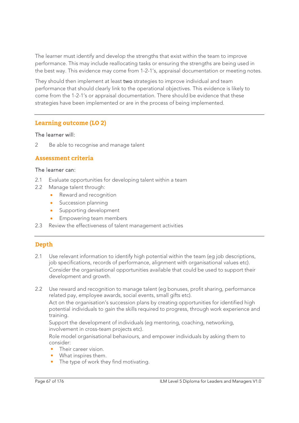The learner must identify and develop the strengths that exist within the team to improve performance. This may include reallocating tasks or ensuring the strengths are being used in the best way. This evidence may come from 1-2-1's, appraisal documentation or meeting notes.

They should then implement at least two strategies to improve individual and team performance that should clearly link to the operational objectives. This evidence is likely to come from the 1-2-1's or appraisal documentation. There should be evidence that these strategies have been implemented or are in the process of being implemented.

### **Learning outcome (LO 2)**

#### The learner will:

2 Be able to recognise and manage talent

### **Assessment criteria**

#### The learner can:

- 2.1 Evaluate opportunities for developing talent within a team
- 2.2 Manage talent through:
	- Reward and recognition
	- Succession planning
	- Supporting development
	- Empowering team members
- 2.3 Review the effectiveness of talent management activities

## **Depth**

- 2.1 Use relevant information to identify high potential within the team (eq job descriptions, job specifications, records of performance, alignment with organisational values etc). Consider the organisational opportunities available that could be used to support their development and growth.
- 2.2 Use reward and recognition to manage talent (eg bonuses, profit sharing, performance related pay, employee awards, social events, small gifts etc).

Act on the organisation's succession plans by creating opportunities for identified high potential individuals to gain the skills required to progress, through work experience and training.

Support the development of individuals (eg mentoring, coaching, networking, involvement in cross-team projects etc).

Role model organisational behaviours, and empower individuals by asking them to consider:

- Their career vision.
- What inspires them.
- The type of work they find motivating.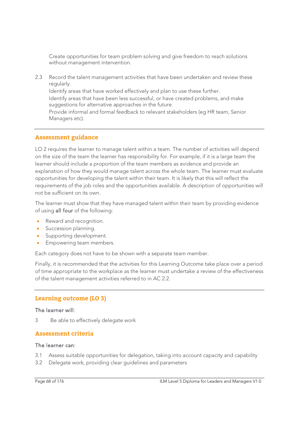Create opportunities for team problem solving and give freedom to reach solutions without management intervention.

2.3 Record the talent management activities that have been undertaken and review these regularly. Identify areas that have worked effectively and plan to use these further. Identify areas that have been less successful, or have created problems, and make suggestions for alternative approaches in the future. Provide informal and formal feedback to relevant stakeholders (eg HR team, Senior Managers etc).

### **Assessment guidance**

LO 2 requires the learner to manage talent within a team. The number of activities will depend on the size of the team the learner has responsibility for. For example, if it is a large team the learner should include a proportion of the team members as evidence and provide an explanation of how they would manage talent across the whole team. The learner must evaluate opportunities for developing the talent within their team. It is likely that this will reflect the requirements of the job roles and the opportunities available. A description of opportunities will not be sufficient on its own.

The learner must show that they have managed talent within their team by providing evidence of using all four of the following:

- Reward and recognition.
- **Succession planning.**
- **Supporting development.**
- Empowering team members.

Each category does not have to be shown with a separate team member.

Finally, it is recommended that the activities for this Learning Outcome take place over a period of time appropriate to the workplace as the learner must undertake a review of the effectiveness of the talent management activities referred to in AC 2.2.

### **Learning outcome (LO 3)**

#### The learner will:

3 Be able to effectively delegate work

#### **Assessment criteria**

#### The learner can:

- 3.1 Assess suitable opportunities for delegation, taking into account capacity and capability
- 3.2 Delegate work, providing clear guidelines and parameters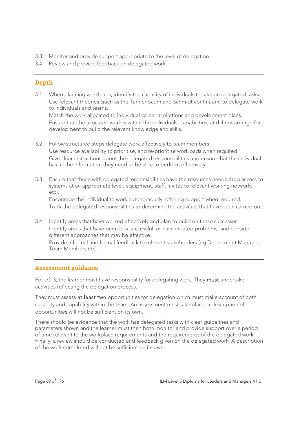- 3.3 Monitor and provide support appropriate to the level of delegation
- 3.4 Review and provide feedback on delegated work

## **Depth**

3.1 When planning workloads, identify the capacity of individuals to take on delegated tasks. Use relevant theories (such as the Tannenbaum and Schmidt continuum) to delegate work to individuals and teams.

 Match the work allocated to individual career aspirations and development plans. Ensure that the allocated work is within the individuals' capabilities, and if not arrange for development to build the relevant knowledge and skills.

- 3.2 Follow structured steps delegate work effectively to team members. Use resource availability to prioritise, and re-prioritise workloads when required. Give clear instructions about the delegated responsibilities and ensure that the individual has all the information they need to be able to perform effectively.
- 3.3 Ensure that those with delegated responsibilities have the resources needed (eg access to systems at an appropriate level, equipment, staff, invites to relevant working networks etc).

 Encourage the individual to work autonomously, offering support when required. Track the delegated responsibilities to determine the activities that have been carried out.

3.4 Identify areas that have worked effectively and plan to build on these successes. Identify areas that have been less successful, or have created problems, and consider different approaches that may be effective.

 Provide informal and formal feedback to relevant stakeholders (eg Department Manager, Team Members etc).

### **Assessment guidance**

For LO 3, the learner must have responsibility for delegating work. They must undertake activities reflecting the delegation process.

They must assess at least two opportunities for delegation which must make account of both capacity and capability within the team. An assessment must take place, a description of opportunities will not be sufficient on its own.

There should be evidence that the work has delegated tasks with clear guidelines and parameters shown and the learner must then both monitor and provide support over a period of time relevant to the workplace requirements and the requirements of the delegated work. Finally, a review should be conducted and feedback given on the delegated work. A description of the work completed will not be sufficient on its own.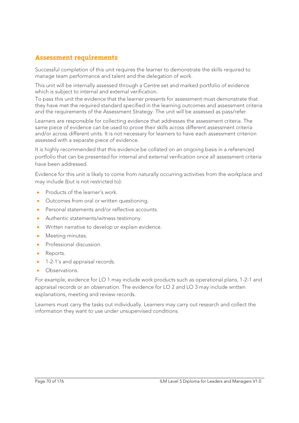# **Assessment requirements**

Successful completion of this unit requires the learner to demonstrate the skills required to manage team performance and talent and the delegation of work.

This unit will be internally assessed through a Centre set and marked portfolio of evidence which is subject to internal and external verification.

To pass this unit the evidence that the learner presents for assessment must demonstrate that they have met the required standard specified in the learning outcomes and assessment criteria and the requirements of the Assessment Strategy. The unit will be assessed as pass/refer.

Learners are responsible for collecting evidence that addresses the assessment criteria. The same piece of evidence can be used to prove their skills across different assessment criteria and/or across different units. It is not necessary for learners to have each assessment criterion assessed with a separate piece of evidence.

It is highly recommended that this evidence be collated on an ongoing basis in a referenced portfolio that can be presented for internal and external verification once all assessment criteria have been addressed.

Evidence for this unit is likely to come from naturally occurring activities from the workplace and may include (but is not restricted to):

- Products of the learner's work.
- Outcomes from oral or written questioning.
- Personal statements and/or reflective accounts.
- Authentic statements/witness testimony.
- Written narrative to develop or explain evidence.
- Meeting minutes.
- Professional discussion.
- Reports.
- 1-2-1's and appraisal records.
- Observations.

For example, evidence for LO 1 may include work products such as operational plans, 1-2-1 and appraisal records or an observation. The evidence for LO 2 and LO 3 may include written explanations, meeting and review records.

Learners must carry the tasks out individually. Learners may carry out research and collect the information they want to use under unsupervised conditions.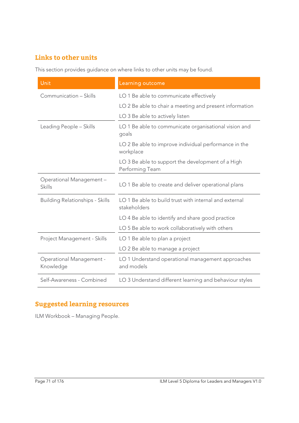# **Links to other units**

This section provides guidance on where links to other units may be found.

| Unit                                   | Learning outcome                                                       |
|----------------------------------------|------------------------------------------------------------------------|
| Communication - Skills                 | LO 1 Be able to communicate effectively                                |
|                                        | LO 2 Be able to chair a meeting and present information                |
|                                        | LO 3 Be able to actively listen                                        |
| Leading People - Skills                | LO 1 Be able to communicate organisational vision and<br>goals         |
|                                        | LO 2 Be able to improve individual performance in the<br>workplace     |
|                                        | LO 3 Be able to support the development of a High<br>Performing Team   |
| Operational Management-<br>Skills      | LO 1 Be able to create and deliver operational plans                   |
| <b>Building Relationships - Skills</b> | LO 1 Be able to build trust with internal and external<br>stakeholders |
|                                        | LO 4 Be able to identify and share good practice                       |
|                                        | LO 5 Be able to work collaboratively with others                       |
| Project Management - Skills            | LO 1 Be able to plan a project                                         |
|                                        | LO 2 Be able to manage a project                                       |
| Operational Management -<br>Knowledge  | LO 1 Understand operational management approaches<br>and models        |
| Self-Awareness - Combined              | LO 3 Understand different learning and behaviour styles                |

# **Suggested learning resources**

ILM Workbook – Managing People.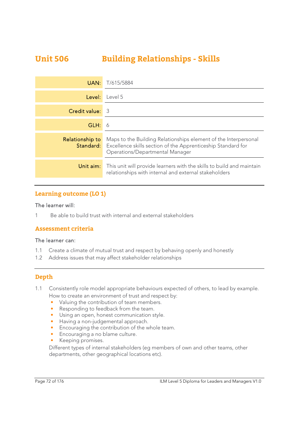# **Unit 506 Building Relationships - Skills**

| UAN:            | T/615/5884                                                                                                                                                                          |
|-----------------|-------------------------------------------------------------------------------------------------------------------------------------------------------------------------------------|
| Level:          | Level 5                                                                                                                                                                             |
| Credit value:   | -3                                                                                                                                                                                  |
| GLH:            | 6                                                                                                                                                                                   |
| Relationship to | Maps to the Building Relationships element of the Interpersonal<br><b>Standard:</b> Excellence skills section of the Apprenticeship Standard for<br>Operations/Departmental Manager |
| Unit aim:       | This unit will provide learners with the skills to build and maintain<br>relationships with internal and external stakeholders                                                      |

### **Learning outcome (LO 1)**

#### The learner will:

1 Be able to build trust with internal and external stakeholders

#### **Assessment criteria**

#### The learner can:

- 1.1 Create a climate of mutual trust and respect by behaving openly and honestly
- 1.2 Address issues that may affect stakeholder relationships

### **Depth**

- 1.1 Consistently role model appropriate behaviours expected of others, to lead by example. How to create an environment of trust and respect by:
	- Valuing the contribution of team members.
	- Responding to feedback from the team.
	- Using an open, honest communication style.
	- Having a non-judgemental approach.
	- Encouraging the contribution of the whole team.
	- Encouraging a no blame culture.
	- Keeping promises.

Different types of internal stakeholders (eg members of own and other teams, other departments, other geographical locations etc).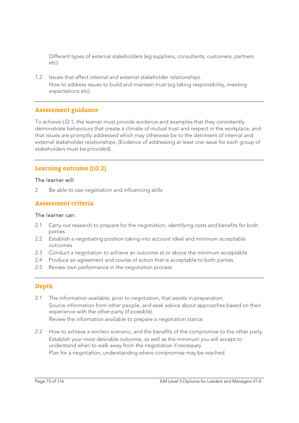Different types of external stakeholders (eg suppliers, consultants, customers, partners etc).

1.2 Issues that affect internal and external stakeholder relationships. How to address issues to build and maintain trust (eg taking responsibility, meeting expectations etc).

# **Assessment guidance**

To achieve LO 1, the learner must provide evidence and examples that they consistently demonstrate behaviours that create a climate of mutual trust and respect in the workplace, and that issues are promptly addressed which may otherwise be to the detriment of internal and external stakeholder relationships. (Evidence of addressing at least one issue for each group of stakeholders must be provided).

# **Learning outcome (LO 2)**

#### The learner will:

2 Be able to use negotiation and influencing skills

### **Assessment criteria**

#### The learner can:

- 2.1 Carry out research to prepare for the negotiation, identifying costs and benefits for both parties
- 2.2 Establish a negotiating position taking into account ideal and minimum acceptable outcomes
- 2.3 Conduct a negotiation to achieve an outcome at or above the minimum acceptable
- 2.4 Produce an agreement and course of action that is acceptable to both parties
- 2.5 Review own performance in the negotiation process

# **Depth**

- 2.1 The information available, prior to negotiation, that assists in preparation. Source information from other people, and seek advice about approaches based on their experience with the other party (if possible). Review the information available to prepare a negotiation stance.
- 2.2 How to achieve a win/win scenario, and the benefits of the compromise to the other party. Establish your most desirable outcome, as well as the minimum you will accept to understand when to walk away from the negotiation if necessary. Plan for a negotiation, understanding where compromise may be reached.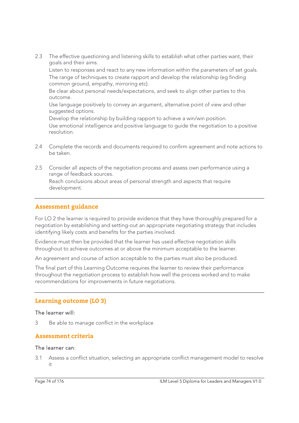2.3 The effective questioning and listening skills to establish what other parties want, their goals and their aims.

Listen to responses and react to any new information within the parameters of set goals. The range of techniques to create rapport and develop the relationship (eg finding common ground, empathy, mirroring etc).

Be clear about personal needs/expectations, and seek to align other parties to this outcome.

Use language positively to convey an argument, alternative point of view and other suggested options.

Develop the relationship by building rapport to achieve a win/win position.

Use emotional intelligence and positive language to guide the negotiation to a positive resolution.

- 2.4 Complete the records and documents required to confirm agreement and note actions to be taken.
- 2.5 Consider all aspects of the negotiation process and assess own performance using a range of feedback sources. Reach conclusions about areas of personal strength and aspects that require development.

# **Assessment guidance**

For LO 2 the learner is required to provide evidence that they have thoroughly prepared for a negotiation by establishing and setting-out an appropriate negotiating strategy that includes identifying likely costs and benefits for the parties involved.

Evidence must then be provided that the learner has used effective negotiation skills throughout to achieve outcomes at or above the minimum acceptable to the learner.

An agreement and course of action acceptable to the parties must also be produced.

The final part of this Learning Outcome requires the learner to review their performance throughout the negotiation process to establish how well the process worked and to make recommendations for improvements in future negotiations.

# **Learning outcome (LO 3)**

#### The learner will:

3 Be able to manage conflict in the workplace

#### **Assessment criteria**

#### The learner can:

3.1 Assess a conflict situation, selecting an appropriate conflict management model to resolve it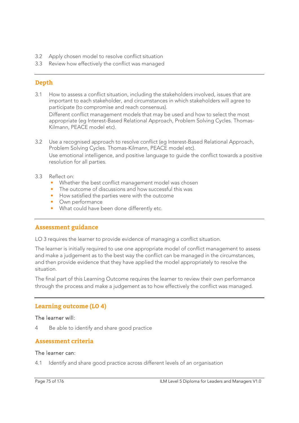- 3.2 Apply chosen model to resolve conflict situation
- 3.3 Review how effectively the conflict was managed

# **Depth**

3.1 How to assess a conflict situation, including the stakeholders involved, issues that are important to each stakeholder, and circumstances in which stakeholders will agree to participate (to compromise and reach consensus).

Different conflict management models that may be used and how to select the most appropriate (eg Interest-Based Relational Approach, Problem Solving Cycles. Thomas-Kilmann, PEACE model etc).

3.2 Use a recognised approach to resolve conflict (eg Interest-Based Relational Approach, Problem Solving Cycles. Thomas-Kilmann, PEACE model etc). Use emotional intelligence, and positive language to guide the conflict towards a positive resolution for all parties.

#### 3.3 Reflect on:

- Whether the best conflict management model was chosen
- The outcome of discussions and how successful this was
- How satisfied the parties were with the outcome
- Own performance
- What could have been done differently etc.

# **Assessment guidance**

LO 3 requires the learner to provide evidence of managing a conflict situation.

The learner is initially required to use one appropriate model of conflict management to assess and make a judgement as to the best way the conflict can be managed in the circumstances, and then provide evidence that they have applied the model appropriately to resolve the situation.

The final part of this Learning Outcome requires the learner to review their own performance through the process and make a judgement as to how effectively the conflict was managed.

# **Learning outcome (LO 4)**

#### The learner will:

4 Be able to identify and share good practice

# **Assessment criteria**

#### The learner can:

4.1 Identify and share good practice across different levels of an organisation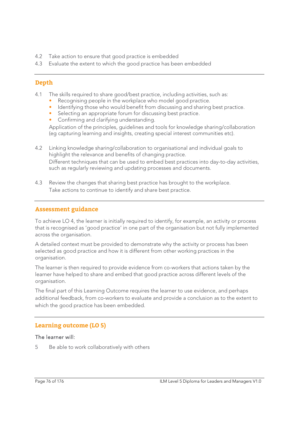- 4.2 Take action to ensure that good practice is embedded
- 4.3 Evaluate the extent to which the good practice has been embedded

# **Depth**

- 4.1 The skills required to share good/best practice, including activities, such as:
	- Recognising people in the workplace who model good practice.
	- Identifying those who would benefit from discussing and sharing best practice.
	- Selecting an appropriate forum for discussing best practice.
	- Confirming and clarifying understanding.

Application of the principles, guidelines and tools for knowledge sharing/collaboration (eg capturing learning and insights, creating special interest communities etc).

- 4.2 Linking knowledge sharing/collaboration to organisational and individual goals to highlight the relevance and benefits of changing practice. Different techniques that can be used to embed best practices into day-to-day activities, such as regularly reviewing and updating processes and documents.
- 4.3 Review the changes that sharing best practice has brought to the workplace. Take actions to continue to identify and share best practice.

# **Assessment guidance**

To achieve LO 4, the learner is initially required to identify, for example, an activity or process that is recognised as 'good practice' in one part of the organisation but not fully implemented across the organisation.

A detailed context must be provided to demonstrate why the activity or process has been selected as good practice and how it is different from other working practices in the organisation.

The learner is then required to provide evidence from co-workers that actions taken by the learner have helped to share and embed that good practice across different levels of the organisation.

The final part of this Learning Outcome requires the learner to use evidence, and perhaps additional feedback, from co-workers to evaluate and provide a conclusion as to the extent to which the good practice has been embedded.

# **Learning outcome (LO 5)**

#### The learner will:

5 Be able to work collaboratively with others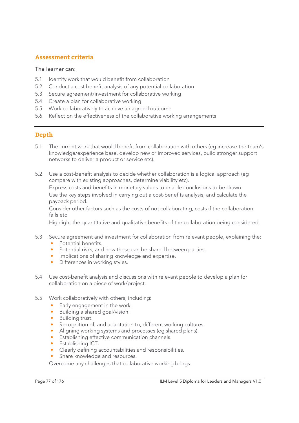# **Assessment criteria**

### The learner can:

- 5.1 Identify work that would benefit from collaboration
- 5.2 Conduct a cost benefit analysis of any potential collaboration
- 5.3 Secure agreement/investment for collaborative working
- 5.4 Create a plan for collaborative working
- 5.5 Work collaboratively to achieve an agreed outcome
- 5.6 Reflect on the effectiveness of the collaborative working arrangements

# **Depth**

- 5.1 The current work that would benefit from collaboration with others (eg increase the team's knowledge/experience base, develop new or improved services, build stronger support networks to deliver a product or service etc).
- 5.2 Use a cost-benefit analysis to decide whether collaboration is a logical approach (eg compare with existing approaches, determine viability etc).

 Express costs and benefits in monetary values to enable conclusions to be drawn. Use the key steps involved in carrying out a cost-benefits analysis, and calculate the payback period.

 Consider other factors such as the costs of not collaborating, costs if the collaboration fails etc

Highlight the quantitative and qualitative benefits of the collaboration being considered.

- 5.3 Secure agreement and investment for collaboration from relevant people, explaining the: • Potential benefits.
	- Potential risks, and how these can be shared between parties.
	- Implications of sharing knowledge and expertise.
	- Differences in working styles.
- 5.4 Use cost-benefit analysis and discussions with relevant people to develop a plan for collaboration on a piece of work/project.
- 5.5 Work collaboratively with others, including:
	- Early engagement in the work.
	- Building a shared goal/vision.
	- Building trust.
	- Recognition of, and adaptation to, different working cultures.
	- Aligning working systems and processes (eg shared plans).
	- Establishing effective communication channels.
	- Establishing ICT.
	- Clearly defining accountabilities and responsibilities.
	- Share knowledge and resources.

Overcome any challenges that collaborative working brings.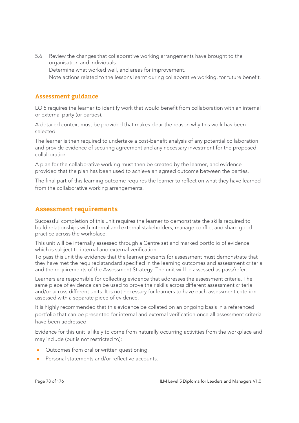5.6 Review the changes that collaborative working arrangements have brought to the organisation and individuals. Determine what worked well, and areas for improvement. Note actions related to the lessons learnt during collaborative working, for future benefit.

### **Assessment guidance**

LO 5 requires the learner to identify work that would benefit from collaboration with an internal or external party (or parties).

A detailed context must be provided that makes clear the reason why this work has been selected.

The learner is then required to undertake a cost-benefit analysis of any potential collaboration and provide evidence of securing agreement and any necessary investment for the proposed collaboration.

A plan for the collaborative working must then be created by the learner, and evidence provided that the plan has been used to achieve an agreed outcome between the parties.

The final part of this learning outcome requires the learner to reflect on what they have learned from the collaborative working arrangements.

# **Assessment requirements**

Successful completion of this unit requires the learner to demonstrate the skills required to build relationships with internal and external stakeholders, manage conflict and share good practice across the workplace.

This unit will be internally assessed through a Centre set and marked portfolio of evidence which is subject to internal and external verification.

To pass this unit the evidence that the learner presents for assessment must demonstrate that they have met the required standard specified in the learning outcomes and assessment criteria and the requirements of the Assessment Strategy. The unit will be assessed as pass/refer.

Learners are responsible for collecting evidence that addresses the assessment criteria. The same piece of evidence can be used to prove their skills across different assessment criteria and/or across different units. It is not necessary for learners to have each assessment criterion assessed with a separate piece of evidence.

It is highly recommended that this evidence be collated on an ongoing basis in a referenced portfolio that can be presented for internal and external verification once all assessment criteria have been addressed.

Evidence for this unit is likely to come from naturally occurring activities from the workplace and may include (but is not restricted to):

- Outcomes from oral or written questioning.
- Personal statements and/or reflective accounts.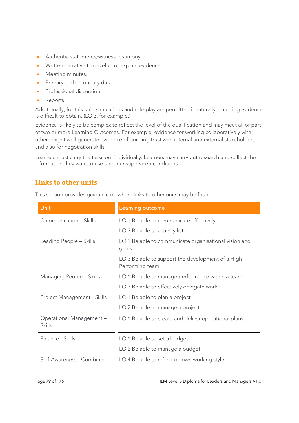- Authentic statements/witness testimony.
- Written narrative to develop or explain evidence.
- Meeting minutes.
- Primary and secondary data.
- Professional discussion.
- Reports.

Additionally, for this unit, simulations and role-play are permitted if naturally-occurring evidence is difficult to obtain. (LO 3, for example.)

Evidence is likely to be complex to reflect the level of the qualification and may meet all or part of two or more Learning Outcomes. For example, evidence for working collaboratively with others might well generate evidence of building trust with internal and external stakeholders and also for negotiation skills.

Learners must carry the tasks out individually. Learners may carry out research and collect the information they want to use under unsupervised conditions.

# **Links to other units**

This section provides guidance on where links to other units may be found.

| Unit                              | Learning outcome                                                     |
|-----------------------------------|----------------------------------------------------------------------|
| Communication - Skills            | LO 1 Be able to communicate effectively                              |
|                                   | LO 3 Be able to actively listen                                      |
| Leading People - Skills           | LO 1 Be able to communicate organisational vision and<br>goals       |
|                                   | LO 3 Be able to support the development of a High<br>Performing team |
| Managing People - Skills          | LO 1 Be able to manage performance within a team                     |
|                                   | LO 3 Be able to effectively delegate work                            |
| Project Management - Skills       | LO 1 Be able to plan a project                                       |
|                                   | LO 2 Be able to manage a project                                     |
| Operational Management-<br>Skills | LO 1 Be able to create and deliver operational plans                 |
| Finance - Skills                  | LO 1 Be able to set a budget                                         |
|                                   | LO 2 Be able to manage a budget                                      |
| Self-Awareness - Combined         | LO 4 Be able to reflect on own working style                         |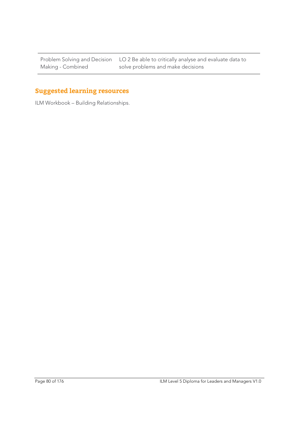Problem Solving and Decision Making - Combined

LO 2 Be able to critically analyse and evaluate data to solve problems and make decisions

# **Suggested learning resources**

ILM Workbook – Building Relationships.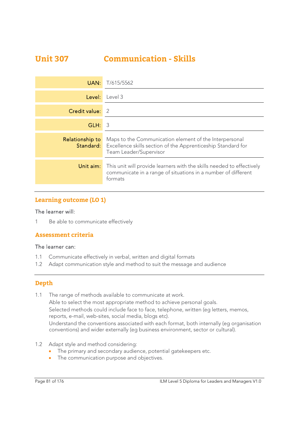# **Unit 307 Communication - Skills**

| UAN:            | T/615/5562                                                                                                                                                        |
|-----------------|-------------------------------------------------------------------------------------------------------------------------------------------------------------------|
| Level:          | Level 3                                                                                                                                                           |
| Credit value:   | - 2                                                                                                                                                               |
| GLH:            | 3                                                                                                                                                                 |
| Relationship to | Maps to the Communication element of the Interpersonal<br><b>Standard:</b> Excellence skills section of the Apprenticeship Standard for<br>Team Leader/Supervisor |
| Unit aim:       | This unit will provide learners with the skills needed to effectively<br>communicate in a range of situations in a number of different<br>formats                 |

# **Learning outcome (LO 1)**

#### The learner will:

1 Be able to communicate effectively

# **Assessment criteria**

#### The learner can:

- 1.1 Communicate effectively in verbal, written and digital formats
- 1.2 Adapt communication style and method to suit the message and audience

# **Depth**

- 1.1 The range of methods available to communicate at work. Able to select the most appropriate method to achieve personal goals. Selected methods could include face to face, telephone, written (eg letters, memos, reports, e-mail, web-sites, social media, blogs etc). Understand the conventions associated with each format, both internally (eg organisation conventions) and wider externally (eg business environment, sector or cultural).
- 1.2 Adapt style and method considering:
	- The primary and secondary audience, potential gatekeepers etc.
	- The communication purpose and objectives.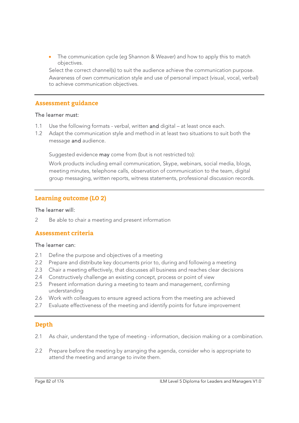The communication cycle (eg Shannon & Weaver) and how to apply this to match objectives.

 Select the correct channel(s) to suit the audience achieve the communication purpose. Awareness of own communication style and use of personal impact (visual, vocal, verbal) to achieve communication objectives.

### **Assessment guidance**

#### The learner must:

- 1.1 Use the following formats verbal, written and digital at least once each.
- 1.2 Adapt the communication style and method in at least two situations to suit both the message and audience.

Suggested evidence may come from (but is not restricted to):

Work products including email communication, Skype, webinars, social media, blogs, meeting minutes, telephone calls, observation of communication to the team, digital group messaging, written reports, witness statements, professional discussion records.

# **Learning outcome (LO 2)**

#### The learner will:

2 Be able to chair a meeting and present information

# **Assessment criteria**

#### The learner can:

- 2.1 Define the purpose and objectives of a meeting
- 2.2 Prepare and distribute key documents prior to, during and following a meeting
- 2.3 Chair a meeting effectively, that discusses all business and reaches clear decisions
- 2.4 Constructively challenge an existing concept, process or point of view
- 2.5 Present information during a meeting to team and management, confirming understanding
- 2.6 Work with colleagues to ensure agreed actions from the meeting are achieved
- 2.7 Evaluate effectiveness of the meeting and identify points for future improvement

# **Depth**

- 2.1 As chair, understand the type of meeting information, decision making or a combination.
- 2.2 Prepare before the meeting by arranging the agenda, consider who is appropriate to attend the meeting and arrange to invite them.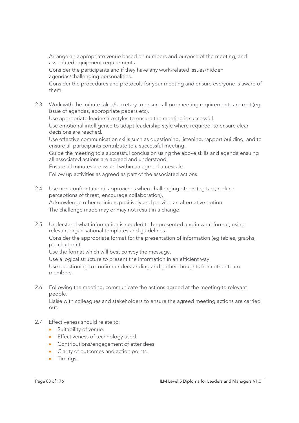Arrange an appropriate venue based on numbers and purpose of the meeting, and associated equipment requirements.

 Consider the participants and if they have any work-related issues/hidden agendas/challenging personalities.

 Consider the procedures and protocols for your meeting and ensure everyone is aware of them.

2.3 Work with the minute taker/secretary to ensure all pre-meeting requirements are met (eg issue of agendas, appropriate papers etc).

Use appropriate leadership styles to ensure the meeting is successful.

 Use emotional intelligence to adapt leadership style where required, to ensure clear decisions are reached.

 Use effective communication skills such as questioning, listening, rapport building, and to ensure all participants contribute to a successful meeting.

 Guide the meeting to a successful conclusion using the above skills and agenda ensuing all associated actions are agreed and understood.

Ensure all minutes are issued within an agreed timescale.

Follow up activities as agreed as part of the associated actions.

- 2.4 Use non-confrontational approaches when challenging others (eg tact, reduce perceptions of threat, encourage collaboration). Acknowledge other opinions positively and provide an alternative option. The challenge made may or may not result in a change.
- 2.5 Understand what information is needed to be presented and in what format, using relevant organisational templates and guidelines.

 Consider the appropriate format for the presentation of information (eg tables, graphs, pie chart etc).

Use the format which will best convey the message.

Use a logical structure to present the information in an efficient way.

 Use questioning to confirm understanding and gather thoughts from other team members.

2.6 Following the meeting, communicate the actions agreed at the meeting to relevant people.

 Liaise with colleagues and stakeholders to ensure the agreed meeting actions are carried out.

- 2.7 Effectiveness should relate to:
	- **Suitability of venue.**
	- **Effectiveness of technology used.**
	- **•** Contributions/engagement of attendees.
	- Clarity of outcomes and action points.
	- **•** Timings.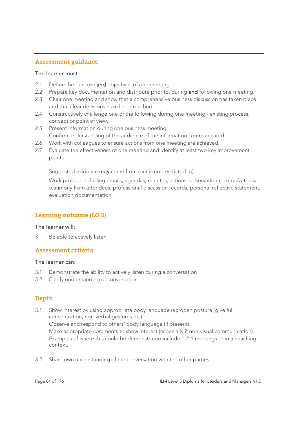# **Assessment guidance**

#### The learner must:

- 2.1 Define the purpose and objectives of one meeting
- 2.2 Prepare key documentation and distribute prior to, during and following one meeting.
- 2.3 Chair one meeting and show that a comprehensive business discussion has taken place and that clear decisions have been reached.
- 2.4 Constructively challenge one of the following during one meeting existing process, concept or point of view.
- 2.5 Present information during one business meeting. Confirm understanding of the audience of the information communicated.
- 2.6 Work with colleagues to ensure actions from one meeting are achieved.
- 2.7 Evaluate the effectiveness of one meeting and identify at least two key improvement points.

Suggested evidence may come from (but is not restricted to):

Work product including emails, agendas, minutes, actions, observation records/witness testimony from attendees, professional discussion records, personal reflective statement, evaluation documentation.

# **Learning outcome (LO 3)**

#### The learner will:

3 Be able to actively listen

# **Assessment criteria**

#### The learner can:

- 3.1 Demonstrate the ability to actively listen during a conversation
- 3.2 Clarify understanding of conversation

# **Depth**

- 3.1 Show interest by using appropriate body language (eg open posture, give full concentration, non-verbal gestures etc). Observe and respond to others' body language (if present). Make appropriate comments to show interest (especially if non-visual communication). Examples of where this could be demonstrated include 1-2-1 meetings or in a coaching context.
- 3.2 Share own understanding of the conversation with the other parties.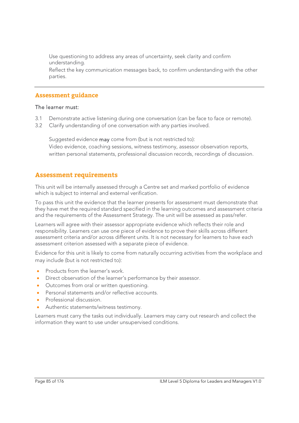Use questioning to address any areas of uncertainty, seek clarity and confirm understanding.

 Reflect the key communication messages back, to confirm understanding with the other parties.

#### **Assessment guidance**

#### The learner must:

- 3.1 Demonstrate active listening during one conversation (can be face to face or remote).
- 3.2 Clarify understanding of one conversation with any parties involved.

Suggested evidence **may** come from (but is not restricted to): Video evidence, coaching sessions, witness testimony, assessor observation reports, written personal statements, professional discussion records, recordings of discussion.

# **Assessment requirements**

This unit will be internally assessed through a Centre set and marked portfolio of evidence which is subject to internal and external verification.

To pass this unit the evidence that the learner presents for assessment must demonstrate that they have met the required standard specified in the learning outcomes and assessment criteria and the requirements of the Assessment Strategy. The unit will be assessed as pass/refer.

Learners will agree with their assessor appropriate evidence which reflects their role and responsibility. Learners can use one piece of evidence to prove their skills across different assessment criteria and/or across different units. It is not necessary for learners to have each assessment criterion assessed with a separate piece of evidence.

Evidence for this unit is likely to come from naturally occurring activities from the workplace and may include (but is not restricted to):

- Products from the learner's work.
- Direct observation of the learner's performance by their assessor.
- Outcomes from oral or written questioning.
- Personal statements and/or reflective accounts.
- Professional discussion.
- Authentic statements/witness testimony.

Learners must carry the tasks out individually. Learners may carry out research and collect the information they want to use under unsupervised conditions.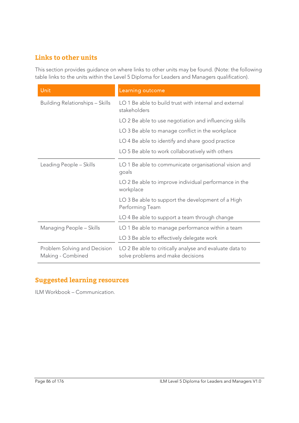# **Links to other units**

This section provides guidance on where links to other units may be found. (Note: the following table links to the units within the Level 5 Diploma for Leaders and Managers qualification).

| Unit                                              | Learning outcome                                                                             |
|---------------------------------------------------|----------------------------------------------------------------------------------------------|
| <b>Building Relationships - Skills</b>            | LO 1 Be able to build trust with internal and external<br>stakeholders                       |
|                                                   | LO 2 Be able to use negotiation and influencing skills                                       |
|                                                   | LO 3 Be able to manage conflict in the workplace                                             |
|                                                   | LO 4 Be able to identify and share good practice                                             |
|                                                   | LO 5 Be able to work collaboratively with others                                             |
| Leading People - Skills                           | LO 1 Be able to communicate organisational vision and<br>goals                               |
|                                                   | LO 2 Be able to improve individual performance in the<br>workplace                           |
|                                                   | LO 3 Be able to support the development of a High<br>Performing Team                         |
|                                                   | LO 4 Be able to support a team through change                                                |
| Managing People - Skills                          | LO 1 Be able to manage performance within a team                                             |
|                                                   | LO 3 Be able to effectively delegate work                                                    |
| Problem Solving and Decision<br>Making - Combined | LO 2 Be able to critically analyse and evaluate data to<br>solve problems and make decisions |

# **Suggested learning resources**

ILM Workbook – Communication.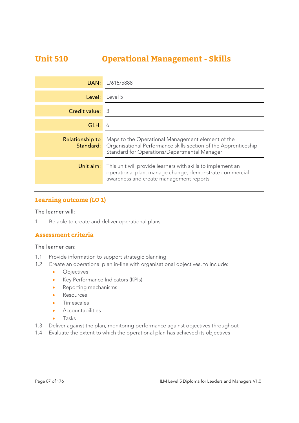# **Unit 510 Operational Management - Skills**

| UAN:            | L/615/5888                                                                                                                                                                            |
|-----------------|---------------------------------------------------------------------------------------------------------------------------------------------------------------------------------------|
| Level:          | Level 5                                                                                                                                                                               |
| Credit value:   | - 3                                                                                                                                                                                   |
| GLH:            | 6                                                                                                                                                                                     |
| Relationship to | Maps to the Operational Management element of the<br><b>Standard:</b> Organisational Performance skills section of the Apprenticeship<br>Standard for Operations/Departmental Manager |
| Unit aim:       | This unit will provide learners with skills to implement an<br>operational plan, manage change, demonstrate commercial<br>awareness and create management reports                     |

# **Learning outcome (LO 1)**

#### The learner will:

1 Be able to create and deliver operational plans

# **Assessment criteria**

#### The learner can:

- 1.1 Provide information to support strategic planning
- 1.2 Create an operational plan in-line with organisational objectives, to include:
	- **·** Objectives
	- Key Performance Indicators (KPIs)
	- Reporting mechanisms
	- **Resources**
	- **·** Timescales
	- **Accountabilities**
	- Tasks
- 1.3 Deliver against the plan, monitoring performance against objectives throughout
- 1.4 Evaluate the extent to which the operational plan has achieved its objectives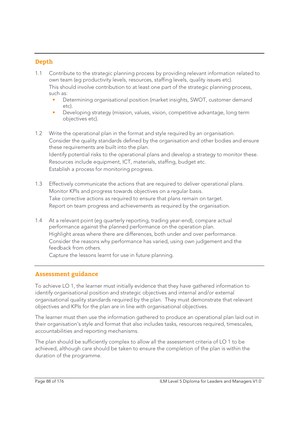# **Depth**

- 1.1 Contribute to the strategic planning process by providing relevant information related to own team (eg productivity levels, resources, staffing levels, quality issues etc). This should involve contribution to at least one part of the strategic planning process, such as:
	- Determining organisational position (market insights, SWOT, customer demand etc).
	- Developing strategy (mission, values, vision, competitive advantage, long term objectives etc).
- 1.2 Write the operational plan in the format and style required by an organisation. Consider the quality standards defined by the organisation and other bodies and ensure these requirements are built into the plan. Identify potential risks to the operational plans and develop a strategy to monitor these. Resources include equipment, ICT, materials, staffing, budget etc. Establish a process for monitoring progress.
- 1.3 Effectively communicate the actions that are required to deliver operational plans. Monitor KPIs and progress towards objectives on a regular basis. Take corrective actions as required to ensure that plans remain on target. Report on team progress and achievements as required by the organisation.
- 1.4 At a relevant point (eg quarterly reporting, trading year-end), compare actual performance against the planned performance on the operation plan. Highlight areas where there are differences, both under and over performance. Consider the reasons why performance has varied, using own judgement and the feedback from others.

Capture the lessons learnt for use in future planning.

# **Assessment guidance**

To achieve LO 1, the learner must initially evidence that they have gathered information to identify organisational position and strategic objectives and internal and/or external organisational quality standards required by the plan. They must demonstrate that relevant objectives and KPIs for the plan are in line with organisational objectives.

The learner must then use the information gathered to produce an operational plan laid out in their organisation's style and format that also includes tasks, resources required, timescales, accountabilities and reporting mechanisms.

The plan should be sufficiently complex to allow all the assessment criteria of LO 1 to be achieved, although care should be taken to ensure the completion of the plan is within the duration of the programme.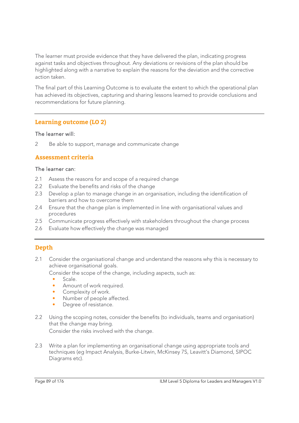The learner must provide evidence that they have delivered the plan, indicating progress against tasks and objectives throughout. Any deviations or revisions of the plan should be highlighted along with a narrative to explain the reasons for the deviation and the corrective action taken.

The final part of this Learning Outcome is to evaluate the extent to which the operational plan has achieved its objectives, capturing and sharing lessons learned to provide conclusions and recommendations for future planning.

# **Learning outcome (LO 2)**

#### The learner will:

2 Be able to support, manage and communicate change

# **Assessment criteria**

#### The learner can:

- 2.1 Assess the reasons for and scope of a required change
- 2.2 Evaluate the benefits and risks of the change
- 2.3 Develop a plan to manage change in an organisation, including the identification of barriers and how to overcome them
- 2.4 Ensure that the change plan is implemented in line with organisational values and procedures
- 2.5 Communicate progress effectively with stakeholders throughout the change process
- 2.6 Evaluate how effectively the change was managed

# **Depth**

2.1 Consider the organisational change and understand the reasons why this is necessary to achieve organisational goals.

Consider the scope of the change, including aspects, such as:

• Scale.

- Amount of work required.
- Complexity of work.
- Number of people affected.
- Degree of resistance.
- 2.2 Using the scoping notes, consider the benefits (to individuals, teams and organisation) that the change may bring.

Consider the risks involved with the change.

2.3 Write a plan for implementing an organisational change using appropriate tools and techniques (eg Impact Analysis, Burke-Litwin, McKinsey 7S, Leavitt's Diamond, SIPOC Diagrams etc).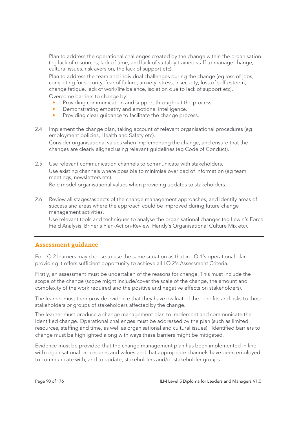Plan to address the operational challenges created by the change within the organisation (eg lack of resources, lack of time, and lack of suitably trained staff to manage change, cultural issues, risk aversion, the lack of support etc).

Plan to address the team and individual challenges during the change (eg loss of jobs, competing for security, fear of failure, anxiety, stress, insecurity, loss of self-esteem, change fatigue, lack of work/life balance, isolation due to lack of support etc). Overcome barriers to change by:

- Providing communication and support throughout the process.
- Demonstrating empathy and emotional intelligence.
- Providing clear quidance to facilitate the change process.
- 2.4 Implement the change plan, taking account of relevant organisational procedures (eg employment policies, Health and Safety etc).

Consider organisational values when implementing the change, and ensure that the changes are clearly aligned using relevant guidelines (eg Code of Conduct).

- 2.5 Use relevant communication channels to communicate with stakeholders. Use existing channels where possible to minimise overload of information (eg team meetings, newsletters etc). Role model organisational values when providing updates to stakeholders.
- 2.6 Review all stages/aspects of the change management approaches, and identify areas of success and areas where the approach could be improved during future change management activities.

Use relevant tools and techniques to analyse the organisational changes (eg Lewin's Force Field Analysis, Briner's Plan-Action-Review, Handy's Organisational Culture Mix etc).

# **Assessment guidance**

For LO 2 learners may choose to use the same situation as that in LO 1's operational plan providing it offers sufficient opportunity to achieve all LO 2's Assessment Criteria.

Firstly, an assessment must be undertaken of the reasons for change. This must include the scope of the change (scope might include/cover the scale of the change, the amount and complexity of the work required and the positive and negative effects on stakeholders).

The learner must then provide evidence that they have evaluated the benefits and risks to those stakeholders or groups of stakeholders affected by the change.

The learner must produce a change management plan to implement and communicate the identified change. Operational challenges must be addressed by the plan (such as limited resources, staffing and time, as well as organisational and cultural issues). Identified barriers to change must be highlighted along with ways these barriers might be mitigated.

Evidence must be provided that the change management plan has been implemented in line with organisational procedures and values and that appropriate channels have been employed to communicate with, and to update, stakeholders and/or stakeholder groups.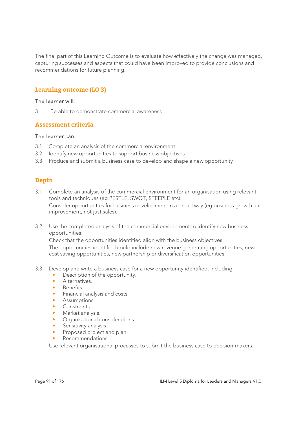The final part of this Learning Outcome is to evaluate how effectively the change was managed, capturing successes and aspects that could have been improved to provide conclusions and recommendations for future planning.

# **Learning outcome (LO 3)**

#### The learner will:

3 Be able to demonstrate commercial awareness

#### **Assessment criteria**

#### The learner can:

- 3.1 Complete an analysis of the commercial environment
- 3.2 Identify new opportunities to support business objectives
- 3.3 Produce and submit a business case to develop and shape a new opportunity

# **Depth**

- 3.1 Complete an analysis of the commercial environment for an organisation using relevant tools and techniques (eg PESTLE, SWOT, STEEPLE etc). Consider opportunities for business development in a broad way (eg business growth and improvement, not just sales).
- 3.2 Use the completed analysis of the commercial environment to identify new business opportunities.

 Check that the opportunities identified align with the business objectives. The opportunities identified could include new revenue generating opportunities, new cost saving opportunities, new partnership or diversification opportunities.

- 3.3 Develop and write a business case for a new opportunity identified, including:
	- Description of the opportunity.
	- Alternatives.
	- Benefits.
	- Financial analysis and costs.
	- Assumptions.
	- Constraints.
	- Market analysis.
	- Organisational considerations.
	- Sensitivity analysis.
	- Proposed project and plan.
	- Recommendations.

Use relevant organisational processes to submit the business case to decision-makers.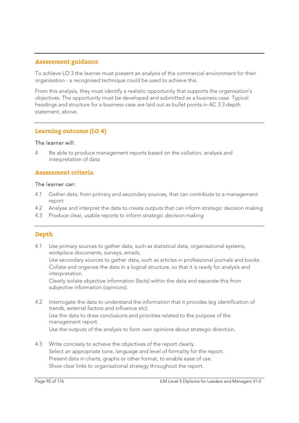### **Assessment guidance**

To achieve LO 3 the learner must present an analysis of the commercial environment for their organisation - a recognised technique could be used to achieve this.

From this analysis, they must identify a realistic opportunity that supports the organisation's objectives. The opportunity must be developed and submitted as a business case. Typical headings and structure for a business case are laid out as bullet points in AC 3.3 depth statement, above.

### **Learning outcome (LO 4)**

#### The learner will:

4 Be able to produce management reports based on the collation, analysis and interpretation of data

# **Assessment criteria**

#### The learner can:

- 4.1 Gather data, from primary and secondary sources, that can contribute to a management report
- 4.2 Analyse and interpret the data to create outputs that can inform strategic decision making
- 4.3 Produce clear, usable reports to inform strategic decision making

# **Depth**

4.1 Use primary sources to gather data, such as statistical data, organisational systems, workplace documents, surveys, emails,

Use secondary sources to gather data, such as articles in professional journals and books. Collate and organise the data in a logical structure, so that it is ready for analysis and interpretation.

Clearly isolate objective information (facts) within the data and separate this from subjective information (opinions).

- 4.2 Interrogate the data to understand the information that it provides (eg identification of trends, external factors and influence etc). Use the data to draw conclusions and priorities related to the purpose of the management report. Use the outputs of the analysis to form own opinions about strategic direction.
- 4.3 Write concisely to achieve the objectives of the report clearly. Select an appropriate tone, language and level of formality for the report. Present data in charts, graphs or other format, to enable ease of use. Show clear links to organisational strategy throughout the report.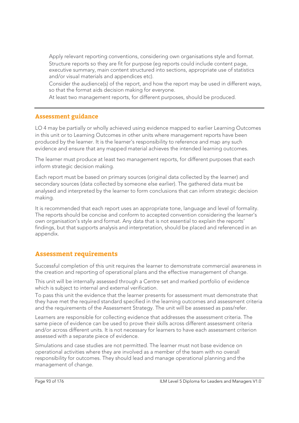Apply relevant reporting conventions, considering own organisations style and format. Structure reports so they are fit for purpose (eg reports could include content page, executive summary, main content structured into sections, appropriate use of statistics and/or visual materials and appendices etc).

Consider the audience(s) of the report, and how the report may be used in different ways, so that the format aids decision making for everyone.

At least two management reports, for different purposes, should be produced.

#### **Assessment guidance**

LO 4 may be partially or wholly achieved using evidence mapped to earlier Learning Outcomes in this unit or to Learning Outcomes in other units where management reports have been produced by the learner. It is the learner's responsibility to reference and map any such evidence and ensure that any mapped material achieves the intended learning outcomes.

The learner must produce at least two management reports, for different purposes that each inform strategic decision making.

Each report must be based on primary sources (original data collected by the learner) and secondary sources (data collected by someone else earlier). The gathered data must be analysed and interpreted by the learner to form conclusions that can inform strategic decision making.

It is recommended that each report uses an appropriate tone, language and level of formality. The reports should be concise and conform to accepted convention considering the learner's own organisation's style and format. Any data that is not essential to explain the reports' findings, but that supports analysis and interpretation, should be placed and referenced in an appendix.

# **Assessment requirements**

Successful completion of this unit requires the learner to demonstrate commercial awareness in the creation and reporting of operational plans and the effective management of change.

This unit will be internally assessed through a Centre set and marked portfolio of evidence which is subject to internal and external verification.

To pass this unit the evidence that the learner presents for assessment must demonstrate that they have met the required standard specified in the learning outcomes and assessment criteria and the requirements of the Assessment Strategy. The unit will be assessed as pass/refer.

Learners are responsible for collecting evidence that addresses the assessment criteria. The same piece of evidence can be used to prove their skills across different assessment criteria and/or across different units. It is not necessary for learners to have each assessment criterion assessed with a separate piece of evidence.

Simulations and case studies are not permitted. The learner must not base evidence on operational activities where they are involved as a member of the team with no overall responsibility for outcomes. They should lead and manage operational planning and the management of change.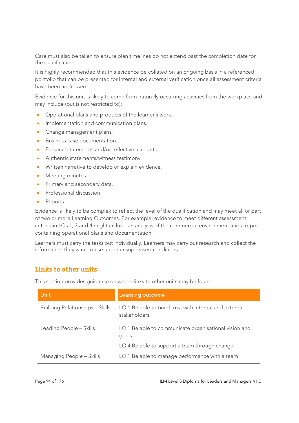Care must also be taken to ensure plan timelines do not extend past the completion date for the qualification.

It is highly recommended that this evidence be collated on an ongoing basis in a referenced portfolio that can be presented for internal and external verification once all assessment criteria have been addressed.

Evidence for this unit is likely to come from naturally occurring activities from the workplace and may include (but is not restricted to):

- Operational plans and products of the learner's work.
- Implementation and communication plans.
- Change management plans.
- **Business case documentation.**
- Personal statements and/or reflective accounts.
- Authentic statements/witness testimony.
- Written narrative to develop or explain evidence.
- Meeting minutes.
- **•** Primary and secondary data.
- Professional discussion.
- Reports.

Evidence is likely to be complex to reflect the level of the qualification and may meet all or part of two or more Learning Outcomes. For example, evidence to meet different assessment criteria in LOs 1, 3 and 4 might include an analysis of the commercial environment and a report containing operational plans and documentation.

Learners must carry the tasks out individually. Learners may carry out research and collect the information they want to use under unsupervised conditions.

# **Links to other units**

This section provides guidance on where links to other units may be found.

| <b>Unit</b>                            | Learning outcome                                                       |
|----------------------------------------|------------------------------------------------------------------------|
| <b>Building Relationships - Skills</b> | LO 1 Be able to build trust with internal and external<br>stakeholders |
| Leading People - Skills                | LO 1 Be able to communicate organisational vision and<br>goals         |
|                                        | LO 4 Be able to support a team through change                          |
| Managing People - Skills               | LO 1 Be able to manage performance with a team                         |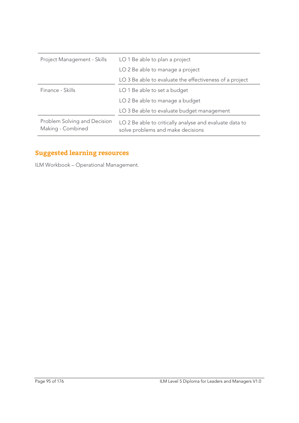| Project Management - Skills                       | LO 1 Be able to plan a project                                                               |
|---------------------------------------------------|----------------------------------------------------------------------------------------------|
|                                                   | LO 2 Be able to manage a project                                                             |
|                                                   | LO 3 Be able to evaluate the effectiveness of a project                                      |
| Finance - Skills                                  | LO 1 Be able to set a budget                                                                 |
|                                                   | LO 2 Be able to manage a budget                                                              |
|                                                   | LO 3 Be able to evaluate budget management                                                   |
| Problem Solving and Decision<br>Making - Combined | LO 2 Be able to critically analyse and evaluate data to<br>solve problems and make decisions |

# **Suggested learning resources**

ILM Workbook – Operational Management.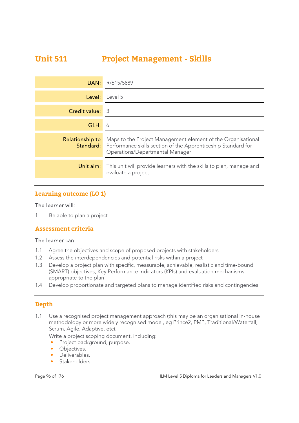# **Unit 511 Project Management - Skills**

| UAN:                   | R/615/5889                                                                                                                                                                        |
|------------------------|-----------------------------------------------------------------------------------------------------------------------------------------------------------------------------------|
| Level:                 | Level 5                                                                                                                                                                           |
| Credit value:          | -3                                                                                                                                                                                |
| GLH:                   | 6                                                                                                                                                                                 |
| <b>Relationship to</b> | Maps to the Project Management element of the Organisational<br><b>Standard:</b> Performance skills section of the Apprenticeship Standard for<br>Operations/Departmental Manager |
| Unit aim:              | This unit will provide learners with the skills to plan, manage and<br>evaluate a project                                                                                         |

# **Learning outcome (LO 1)**

#### The learner will:

1 Be able to plan a project

#### **Assessment criteria**

#### The learner can:

- 1.1 Agree the objectives and scope of proposed projects with stakeholders
- 1.2 Assess the interdependencies and potential risks within a project
- 1.3 Develop a project plan with specific, measurable, achievable, realistic and time-bound (SMART) objectives, Key Performance Indicators (KPIs) and evaluation mechanisms appropriate to the plan
- 1.4 Develop proportionate and targeted plans to manage identified risks and contingencies

# **Depth**

1.1 Use a recognised project management approach (this may be an organisational in-house methodology or more widely recognised model, eg Prince2, PMP, Traditional/Waterfall, Scrum, Agile, Adaptive, etc).

Write a project scoping document, including:

• Project background, purpose.

- Objectives.
- Deliverables.
- Stakeholders.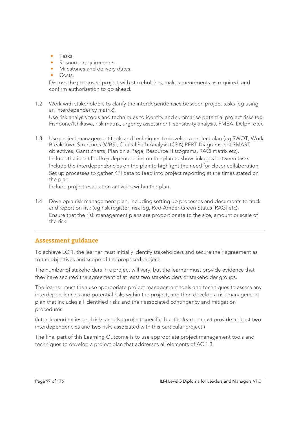- Tasks.
- Resource requirements.
- Milestones and delivery dates.
- Costs.

Discuss the proposed project with stakeholders, make amendments as required, and confirm authorisation to go ahead.

- 1.2 Work with stakeholders to clarify the interdependencies between project tasks (eg using an interdependency matrix). Use risk analysis tools and techniques to identify and summarise potential project risks (eg Fishbone/Ishikawa, risk matrix, urgency assessment, sensitivity analysis, FMEA, Delphi etc).
- 1.3 Use project management tools and techniques to develop a project plan (eg SWOT, Work Breakdown Structures (WBS), Critical Path Analysis (CPA) PERT Diagrams, set SMART objectives, Gantt charts, Plan on a Page, Resource Histograms, RACI matrix etc). Include the identified key dependencies on the plan to show linkages between tasks. Include the interdependencies on the plan to highlight the need for closer collaboration. Set up processes to gather KPI data to feed into project reporting at the times stated on the plan.

Include project evaluation activities within the plan.

1.4 Develop a risk management plan, including setting up processes and documents to track and report on risk (eg risk register, risk log, Red-Amber-Green Status [RAG] etc). Ensure that the risk management plans are proportionate to the size, amount or scale of the risk.

# **Assessment guidance**

To achieve LO 1, the learner must initially identify stakeholders and secure their agreement as to the objectives and scope of the proposed project.

The number of stakeholders in a project will vary, but the learner must provide evidence that they have secured the agreement of at least two stakeholders or stakeholder groups.

The learner must then use appropriate project management tools and techniques to assess any interdependencies and potential risks within the project, and then develop a risk management plan that includes all identified risks and their associated contingency and mitigation procedures.

(Interdependencies and risks are also project-specific, but the learner must provide at least two interdependencies and two risks associated with this particular project.)

The final part of this Learning Outcome is to use appropriate project management tools and techniques to develop a project plan that addresses all elements of AC 1.3.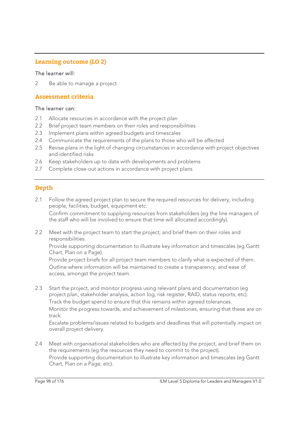# **Learning outcome (LO 2)**

#### The learner will:

2 Be able to manage a project

### **Assessment criteria**

#### The learner can:

- 2.1 Allocate resources in accordance with the project plan
- 2.2 Brief project team members on their roles and responsibilities
- 2.3 Implement plans within agreed budgets and timescales
- 2.4 Communicate the requirements of the plans to those who will be affected
- 2.5 Revise plans in the light of changing circumstances in accordance with project objectives and identified risks
- 2.6 Keep stakeholders up to date with developments and problems
- 2.7 Complete close-out actions in accordance with project plans

# **Depth**

2.1 Follow the agreed project plan to secure the required resources for delivery, including people, facilities, budget, equipment etc. Confirm commitment to supplying resources from stakeholders (eg the line managers of

the staff who will be involved to ensure that time will allocated accordingly).

2.2 Meet with the project team to start the project, and brief them on their roles and responsibilities.

Provide supporting documentation to illustrate key information and timescales (eg Gantt Chart, Plan on a Page).

 Provide project briefs for all project team members to clarify what is expected of them. Outline where information will be maintained to create a transparency, and ease of access, amongst the project team.

2.3 Start the project, and monitor progress using relevant plans and documentation (eg project plan, stakeholder analysis, action log, risk register, RAID, status reports, etc). Track the budget spend to ensure that this remains within agreed tolerances.

Monitor the progress towards, and achievement of milestones, ensuring that these are on track.

Escalate problems/issues related to budgets and deadlines that will potentially impact on overall project delivery.

2.4 Meet with organisational stakeholders who are affected by the project, and brief them on the requirements (eg the resources they need to commit to the project). Provide supporting documentation to illustrate key information and timescales (eg Gantt Chart, Plan on a Page, etc).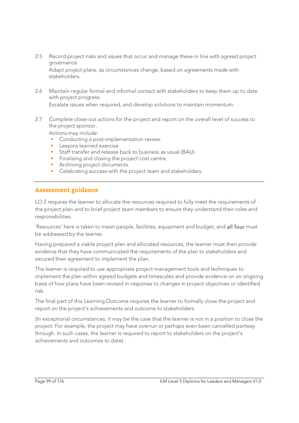2.5 Record project risks and issues that occur and manage these in line with agreed project governance.

Adapt project plans, as circumstances change, based on agreements made with stakeholders.

2.6 Maintain regular formal and informal contact with stakeholders to keep them up to date with project progress.

Escalate issues when required, and develop solutions to maintain momentum.

2.7 Complete close-out actions for the project and report on the overall level of success to the project sponsor.

Actions may include:

- Conducting a post-implementation review.
- Lessons learned exercise.
- Staff transfer and release back to business as usual (BAU).
- Finalising and closing the project cost centre.
- Archiving project documents.
- Celebrating success with the project team and stakeholders.

# **Assessment guidance**

LO 2 requires the learner to allocate the resources required to fully meet the requirements of the project plan and to brief project team members to ensure they understand their roles and responsibilities.

'Resources' here is taken to mean people, facilities, equipment and budget, and all four must be addressed by the learner.

Having prepared a viable project plan and allocated resources, the learner must then provide evidence that they have communicated the requirements of the plan to stakeholders and secured their agreement to implement the plan.

The learner is required to use appropriate project management tools and techniques to implement the plan within agreed budgets and timescales and provide evidence on an ongoing basis of how plans have been revised in response to changes in project objectives or identified risk.

The final part of this Learning Outcome requires the learner to formally close the project and report on the project's achievements and outcome to stakeholders.

(In exceptional circumstances, it may be the case that the learner is not in a position to close the project. For example, the project may have overrun or perhaps even been cancelled partway through. In such cases, the learner is required to report to stakeholders on the project's achievements and outcomes to date).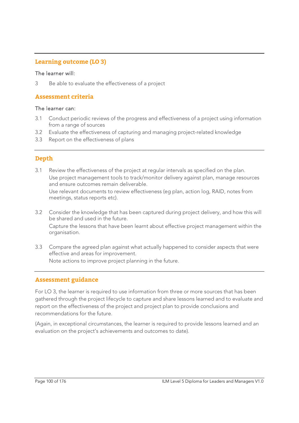# **Learning outcome (LO 3)**

#### The learner will:

3 Be able to evaluate the effectiveness of a project

### **Assessment criteria**

#### The learner can:

- 3.1 Conduct periodic reviews of the progress and effectiveness of a project using information from a range of sources
- 3.2 Evaluate the effectiveness of capturing and managing project-related knowledge
- 3.3 Report on the effectiveness of plans

# **Depth**

3.1 Review the effectiveness of the project at regular intervals as specified on the plan. Use project management tools to track/monitor delivery against plan, manage resources and ensure outcomes remain deliverable.

Use relevant documents to review effectiveness (eg plan, action log, RAID, notes from meetings, status reports etc).

- 3.2 Consider the knowledge that has been captured during project delivery, and how this will be shared and used in the future. Capture the lessons that have been learnt about effective project management within the organisation.
- 3.3 Compare the agreed plan against what actually happened to consider aspects that were effective and areas for improvement. Note actions to improve project planning in the future.

# **Assessment guidance**

For LO 3, the learner is required to use information from three or more sources that has been gathered through the project lifecycle to capture and share lessons learned and to evaluate and report on the effectiveness of the project and project plan to provide conclusions and recommendations for the future.

(Again, in exceptional circumstances, the learner is required to provide lessons learned and an evaluation on the project's achievements and outcomes to date).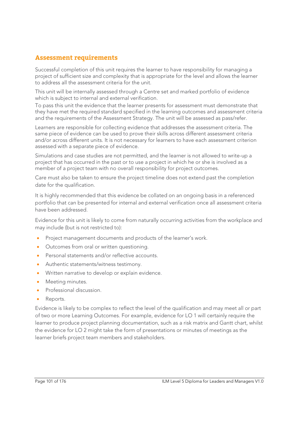# **Assessment requirements**

Successful completion of this unit requires the learner to have responsibility for managing a project of sufficient size and complexity that is appropriate for the level and allows the learner to address all the assessment criteria for the unit.

This unit will be internally assessed through a Centre set and marked portfolio of evidence which is subject to internal and external verification.

To pass this unit the evidence that the learner presents for assessment must demonstrate that they have met the required standard specified in the learning outcomes and assessment criteria and the requirements of the Assessment Strategy. The unit will be assessed as pass/refer.

Learners are responsible for collecting evidence that addresses the assessment criteria. The same piece of evidence can be used to prove their skills across different assessment criteria and/or across different units. It is not necessary for learners to have each assessment criterion assessed with a separate piece of evidence.

Simulations and case studies are not permitted, and the learner is not allowed to write-up a project that has occurred in the past or to use a project in which he or she is involved as a member of a project team with no overall responsibility for project outcomes.

Care must also be taken to ensure the project timeline does not extend past the completion date for the qualification.

It is highly recommended that this evidence be collated on an ongoing basis in a referenced portfolio that can be presented for internal and external verification once all assessment criteria have been addressed.

Evidence for this unit is likely to come from naturally occurring activities from the workplace and may include (but is not restricted to):

- **Project management documents and products of the learner's work.**
- Outcomes from oral or written questioning.
- Personal statements and/or reflective accounts.
- Authentic statements/witness testimony.
- Written narrative to develop or explain evidence.
- Meeting minutes.
- Professional discussion.
- Reports.

Evidence is likely to be complex to reflect the level of the qualification and may meet all or part of two or more Learning Outcomes. For example, evidence for LO 1 will certainly require the learner to produce project planning documentation, such as a risk matrix and Gantt chart, whilst the evidence for LO 2 might take the form of presentations or minutes of meetings as the learner briefs project team members and stakeholders.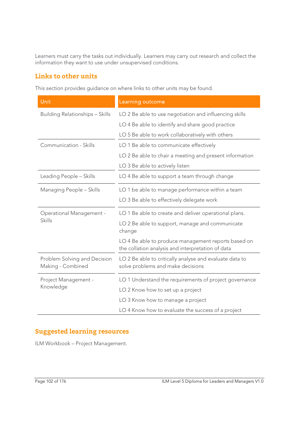Learners must carry the tasks out individually. Learners may carry out research and collect the information they want to use under unsupervised conditions.

# **Links to other units**

This section provides guidance on where links to other units may be found.

| Unit                                              | Learning outcome                                                                                         |
|---------------------------------------------------|----------------------------------------------------------------------------------------------------------|
| <b>Building Relationships - Skills</b>            | LO 2 Be able to use negotiation and influencing skills                                                   |
|                                                   | LO 4 Be able to identify and share good practice                                                         |
|                                                   | LO 5 Be able to work collaboratively with others                                                         |
| Communication - Skills                            | LO 1 Be able to communicate effectively                                                                  |
|                                                   | LO 2 Be able to chair a meeting and present information                                                  |
|                                                   | LO 3 Be able to actively listen                                                                          |
| Leading People - Skills                           | LO 4 Be able to support a team through change                                                            |
| Managing People - Skills                          | LO 1 be able to manage performance within a team                                                         |
|                                                   | LO 3 Be able to effectively delegate work                                                                |
| <b>Operational Management -</b>                   | LO 1 Be able to create and deliver operational plans.                                                    |
| <b>Skills</b>                                     | LO 2 Be able to support, manage and communicate<br>change                                                |
|                                                   | LO 4 Be able to produce management reports based on<br>the collation analysis and interpretation of data |
| Problem Solving and Decision<br>Making - Combined | LO 2 Be able to critically analyse and evaluate data to<br>solve problems and make decisions             |
| Project Management -<br>Knowledge                 | LO 1 Understand the requirements of project governance                                                   |
|                                                   | LO 2 Know how to set up a project                                                                        |
|                                                   | LO 3 Know how to manage a project                                                                        |
|                                                   | LO 4 Know how to evaluate the success of a project                                                       |

# **Suggested learning resources**

ILM Workbook – Project Management.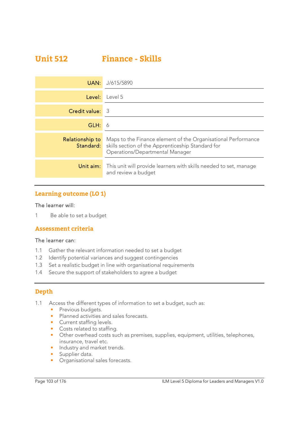# **Unit 512 Finance - Skills**

| UAN:                   | J/615/5890                                                                                                                                                             |
|------------------------|------------------------------------------------------------------------------------------------------------------------------------------------------------------------|
| Level:                 | Level 5                                                                                                                                                                |
| <b>Credit value:</b> 3 |                                                                                                                                                                        |
| GLH:                   | -6                                                                                                                                                                     |
| Relationship to        | Maps to the Finance element of the Organisational Performance<br><b>Standard:</b> skills section of the Apprenticeship Standard for<br>Operations/Departmental Manager |
| Unit aim:              | This unit will provide learners with skills needed to set, manage<br>and review a budget                                                                               |

# **Learning outcome (LO 1)**

### The learner will:

1 Be able to set a budget

# **Assessment criteria**

#### The learner can:

- 1.1 Gather the relevant information needed to set a budget
- 1.2 Identify potential variances and suggest contingencies
- 1.3 Set a realistic budget in line with organisational requirements
- 1.4 Secure the support of stakeholders to agree a budget

# **Depth**

- 1.1 Access the different types of information to set a budget, such as:
	- Previous budgets.
	- Planned activities and sales forecasts.
	- Current staffing levels.
	- Costs related to staffing.
	- Other overhead costs such as premises, supplies, equipment, utilities, telephones, insurance, travel etc.
	- Industry and market trends.
	- Supplier data.
	- Organisational sales forecasts.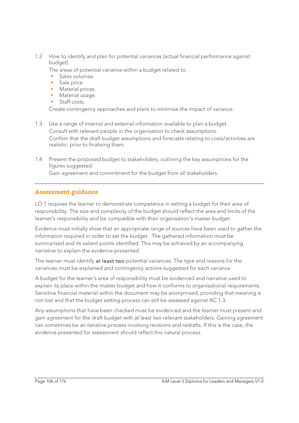1.2 How to identify and plan for potential variances (actual financial performance against budget).

The areas of potential variance within a budget related to:

- Sales volumes.
- Sale price.
- Material prices.
- Material usage.
- Staff costs.

Create contingency approaches and plans to minimise the impact of variance.

- 1.3 Use a range of internal and external information available to plan a budget. Consult with relevant people in the organisation to check assumptions. Confirm that the draft budget assumptions and forecasts relating to costs/activities are realistic, prior to finalising them.
- 1.4 Present the proposed budget to stakeholders, outlining the key assumptions for the figures suggested.

Gain agreement and commitment for the budget from all stakeholders.

# **Assessment guidance**

LO 1 requires the learner to demonstrate competence in setting a budget for their area of responsibility. The size and complexity of the budget should reflect the area and limits of the learner's responsibility and be compatible with their organisation's master budget.

Evidence must initially show that an appropriate range of sources have been used to gather the information required in order to set the budget. The gathered information must be summarised and its salient points identified. This may be achieved by an accompanying narrative to explain the evidence presented.

The learner must identify at least two potential variances. The type and reasons for the variances must be explained and contingency actions suggested for each variance.

A budget for the learner's area of responsibility must be evidenced and narrative used to explain its place within the master budget and how it conforms to organisational requirements. Sensitive financial material within the document may be anonymised, providing that meaning is not lost and that the budget setting process can still be assessed against AC 1.3.

Any assumptions that have been checked must be evidenced and the learner must present and gain agreement for the draft budget with at least two relevant stakeholders. Gaining agreement can sometimes be an iterative process involving revisions and redrafts. If this is the case, the evidence presented for assessment should reflect this natural process.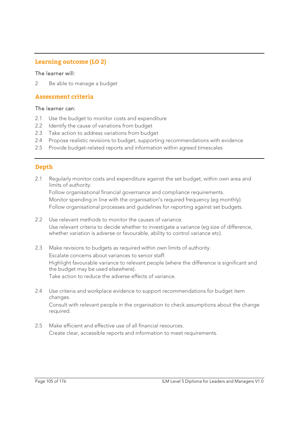# **Learning outcome (LO 2)**

#### The learner will:

2 Be able to manage a budget

### **Assessment criteria**

#### The learner can:

- 2.1 Use the budget to monitor costs and expenditure
- 2.2 Identify the cause of variations from budget
- 2.3 Take action to address variations from budget
- 2.4 Propose realistic revisions to budget, supporting recommendations with evidence
- 2.5 Provide budget-related reports and information within agreed timescales

# **Depth**

2.1 Regularly monitor costs and expenditure against the set budget, within own area and limits of authority.

 Follow organisational financial governance and compliance requirements. Monitor spending in line with the organisation's required frequency (eg monthly). Follow organisational processes and guidelines for reporting against set budgets.

- 2.2 Use relevant methods to monitor the causes of variance. Use relevant criteria to decide whether to investigate a variance (eg size of difference, whether variation is adverse or favourable, ability to control variance etc).
- 2.3 Make revisions to budgets as required within own limits of authority. Escalate concerns about variances to senior staff. Highlight favourable variance to relevant people (where the difference is significant and the budget may be used elsewhere). Take action to reduce the adverse effects of variance.
- 2.4 Use criteria and workplace evidence to support recommendations for budget item changes. Consult with relevant people in the organisation to check assumptions about the change required.
- 2.5 Make efficient and effective use of all financial resources. Create clear, accessible reports and information to meet requirements.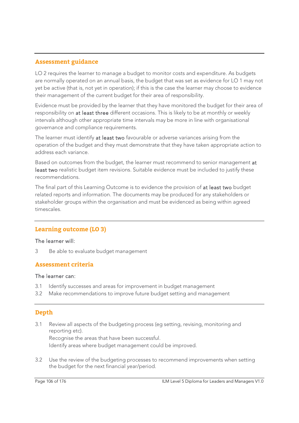# **Assessment guidance**

LO 2 requires the learner to manage a budget to monitor costs and expenditure. As budgets are normally operated on an annual basis, the budget that was set as evidence for LO 1 may not yet be active (that is, not yet in operation); if this is the case the learner may choose to evidence their management of the current budget for their area of responsibility.

Evidence must be provided by the learner that they have monitored the budget for their area of responsibility on at least three different occasions. This is likely to be at monthly or weekly intervals although other appropriate time intervals may be more in line with organisational governance and compliance requirements.

The learner must identify at least two favourable or adverse variances arising from the operation of the budget and they must demonstrate that they have taken appropriate action to address each variance.

Based on outcomes from the budget, the learner must recommend to senior management at least two realistic budget item revisions. Suitable evidence must be included to justify these recommendations.

The final part of this Learning Outcome is to evidence the provision of at least two budget related reports and information. The documents may be produced for any stakeholders or stakeholder groups within the organisation and must be evidenced as being within agreed timescales.

# **Learning outcome (LO 3)**

#### The learner will:

3 Be able to evaluate budget management

# **Assessment criteria**

#### The learner can:

- 3.1 Identify successes and areas for improvement in budget management
- 3.2 Make recommendations to improve future budget setting and management

# **Depth**

3.1 Review all aspects of the budgeting process (eg setting, revising, monitoring and reporting etc). Recognise the areas that have been successful.

Identify areas where budget management could be improved.

3.2 Use the review of the budgeting processes to recommend improvements when setting the budget for the next financial year/period.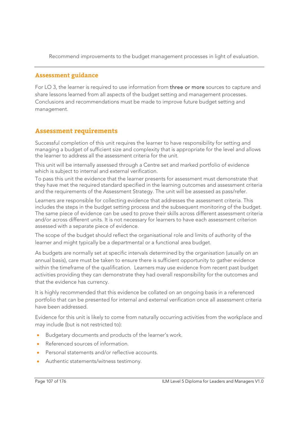Recommend improvements to the budget management processes in light of evaluation.

# **Assessment guidance**

For LO 3, the learner is required to use information from three or more sources to capture and share lessons learned from all aspects of the budget setting and management processes. Conclusions and recommendations must be made to improve future budget setting and management.

# **Assessment requirements**

Successful completion of this unit requires the learner to have responsibility for setting and managing a budget of sufficient size and complexity that is appropriate for the level and allows the learner to address all the assessment criteria for the unit.

This unit will be internally assessed through a Centre set and marked portfolio of evidence which is subject to internal and external verification.

To pass this unit the evidence that the learner presents for assessment must demonstrate that they have met the required standard specified in the learning outcomes and assessment criteria and the requirements of the Assessment Strategy. The unit will be assessed as pass/refer.

Learners are responsible for collecting evidence that addresses the assessment criteria. This includes the steps in the budget setting process and the subsequent monitoring of the budget. The same piece of evidence can be used to prove their skills across different assessment criteria and/or across different units. It is not necessary for learners to have each assessment criterion assessed with a separate piece of evidence.

The scope of the budget should reflect the organisational role and limits of authority of the learner and might typically be a departmental or a functional area budget.

As budgets are normally set at specific intervals determined by the organisation (usually on an annual basis), care must be taken to ensure there is sufficient opportunity to gather evidence within the timeframe of the qualification. Learners may use evidence from recent past budget activities providing they can demonstrate they had overall responsibility for the outcomes and that the evidence has currency.

It is highly recommended that this evidence be collated on an ongoing basis in a referenced portfolio that can be presented for internal and external verification once all assessment criteria have been addressed.

Evidence for this unit is likely to come from naturally occurring activities from the workplace and may include (but is not restricted to):

- Budgetary documents and products of the learner's work.
- Referenced sources of information.
- Personal statements and/or reflective accounts.
- Authentic statements/witness testimony.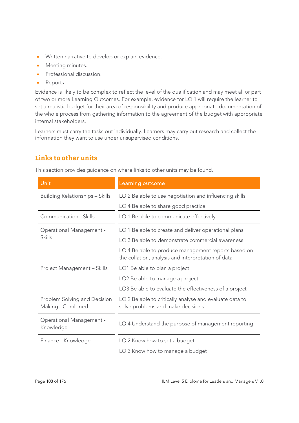- Written narrative to develop or explain evidence.
- **Meeting minutes.**
- Professional discussion.
- Reports.

Evidence is likely to be complex to reflect the level of the qualification and may meet all or part of two or more Learning Outcomes. For example, evidence for LO 1 will require the learner to set a realistic budget for their area of responsibility and produce appropriate documentation of the whole process from gathering information to the agreement of the budget with appropriate internal stakeholders.

Learners must carry the tasks out individually. Learners may carry out research and collect the information they want to use under unsupervised conditions.

# **Links to other units**

This section provides guidance on where links to other units may be found.

| Unit                                              | Learning outcome                                                                                          |
|---------------------------------------------------|-----------------------------------------------------------------------------------------------------------|
| <b>Building Relationships - Skills</b>            | LO 2 Be able to use negotiation and influencing skills                                                    |
|                                                   | LO 4 Be able to share good practice                                                                       |
| Communication - Skills                            | LO 1 Be able to communicate effectively                                                                   |
| <b>Operational Management -</b>                   | LO 1 Be able to create and deliver operational plans.                                                     |
| <b>Skills</b>                                     | LO 3 Be able to demonstrate commercial awareness.                                                         |
|                                                   | LO 4 Be able to produce management reports based on<br>the collation, analysis and interpretation of data |
| Project Management - Skills                       | LO1 Be able to plan a project                                                                             |
|                                                   | LO <sub>2</sub> Be able to manage a project                                                               |
|                                                   | LO3 Be able to evaluate the effectiveness of a project                                                    |
| Problem Solving and Decision<br>Making - Combined | LO 2 Be able to critically analyse and evaluate data to<br>solve problems and make decisions              |
| <b>Operational Management -</b><br>Knowledge      | LO 4 Understand the purpose of management reporting                                                       |
| Finance - Knowledge                               | LO 2 Know how to set a budget                                                                             |
|                                                   | LO 3 Know how to manage a budget                                                                          |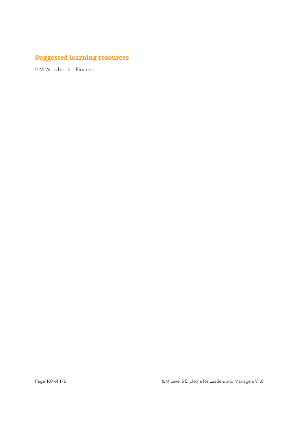# **Suggested learning resources**

ILM Workbook – Finance.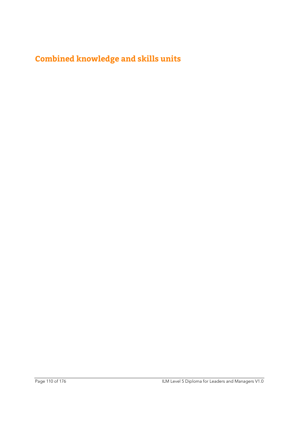# **Combined knowledge and skills units**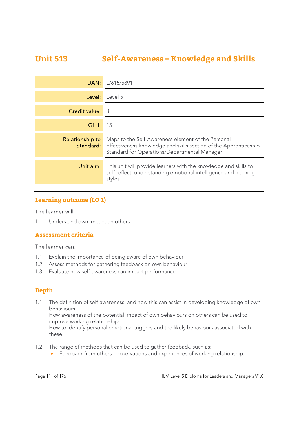# **Unit 513 Self-Awareness – Knowledge and Skills**

| UAN:            | L/615/5891                                                                                                                                                                              |
|-----------------|-----------------------------------------------------------------------------------------------------------------------------------------------------------------------------------------|
| Level:          | Level 5                                                                                                                                                                                 |
| Credit value:   | 3                                                                                                                                                                                       |
| GLH:            | 15                                                                                                                                                                                      |
| Relationship to | Maps to the Self-Awareness element of the Personal<br><b>Standard:</b> Effectiveness knowledge and skills section of the Apprenticeship<br>Standard for Operations/Departmental Manager |
| Unit aim:       | This unit will provide learners with the knowledge and skills to<br>self-reflect, understanding emotional intelligence and learning<br>styles                                           |

# **Learning outcome (LO 1)**

#### The learner will:

1 Understand own impact on others

### **Assessment criteria**

#### The learner can:

- 1.1 Explain the importance of being aware of own behaviour
- 1.2 Assess methods for gathering feedback on own behaviour
- 1.3 Evaluate how self-awareness can impact performance

### **Depth**

1.1 The definition of self-awareness, and how this can assist in developing knowledge of own behaviours.

How awareness of the potential impact of own behaviours on others can be used to improve working relationships.

How to identify personal emotional triggers and the likely behaviours associated with these.

- 1.2 The range of methods that can be used to gather feedback, such as:
	- Feedback from others observations and experiences of working relationship.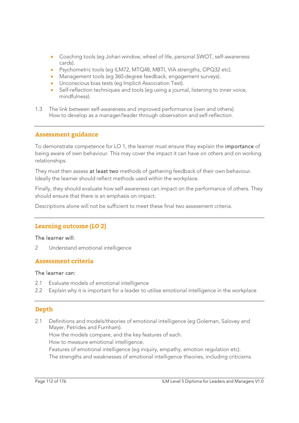- Coaching tools (eg Johari window, wheel of life, personal SWOT, self-awareness cards).
- Psychometric tools (eg ILM72, MTQ48, MBTI, VIA strengths, OPQ32 etc).
- Management tools (eg 360-degree feedback, engagement surveys).
- Unconscious bias tests (eg Implicit Association Test).
- Self-reflection techniques and tools (eg using a journal, listening to inner voice, mindfulness).
- 1.3 The link between self-awareness and improved performance (own and others). How to develop as a manager/leader through observation and self-reflection.

# **Assessment guidance**

To demonstrate competence for LO 1, the learner must ensure they explain the importance of being aware of own behaviour. This may cover the impact it can have on others and on working relationships.

They must then assess at least two methods of gathering feedback of their own behaviour. Ideally the learner should reflect methods used within the workplace.

Finally, they should evaluate how self-awareness can impact on the performance of others. They should ensure that there is an emphasis on impact.

Descriptions alone will not be sufficient to meet these final two assessment criteria.

# **Learning outcome (LO 2)**

#### The learner will:

2 Understand emotional intelligence

### **Assessment criteria**

#### The learner can:

- 2.1 Evaluate models of emotional intelligence
- 2.2 Explain why it is important for a leader to utilise emotional intelligence in the workplace

### **Depth**

2.1 Definitions and models/theories of emotional intelligence (eg Goleman, Salovey and Mayer, Petrides and Furnham).

How the models compare, and the key features of each.

How to measure emotional intelligence.

Features of emotional intelligence (eg inquiry, empathy, emotion regulation etc).

The strengths and weaknesses of emotional intelligence theories, including criticisms.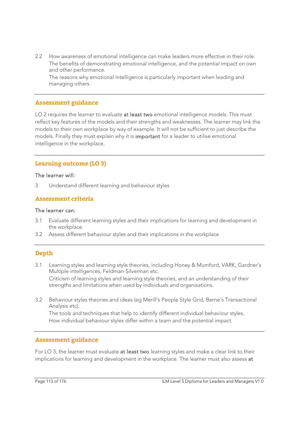2.2 How awareness of emotional intelligence can make leaders more effective in their role. The benefits of demonstrating emotional intelligence, and the potential impact on own and other performance.

 The reasons why emotional intelligence is particularly important when leading and managing others.

#### **Assessment guidance**

LO 2 requires the learner to evaluate at least two emotional intelligence models. This must reflect key features of the models and their strengths and weaknesses. The learner may link the models to their own workplace by way of example. It will not be sufficient to just describe the models. Finally they must explain why it is important for a leader to utilise emotional intelligence in the workplace.

#### **Learning outcome (LO 3)**

#### The learner will:

3 Understand different learning and behaviour styles

#### **Assessment criteria**

#### The learner can:

- 3.1 Evaluate different learning styles and their implications for learning and development in the workplace
- 3.2 Assess different behaviour styles and their implications in the workplace

### **Depth**

- 3.1 Learning styles and learning style theories, including Honey & Mumford, VARK, Gardner's Multiple intelligences, Feldman-Silverman etc. Criticism of learning styles and learning style theories, and an understanding of their strengths and limitations when used by individuals and organisations.
- 3.2 Behaviour styles theories and ideas (eg Merill's People Style Grid, Berne's Transactional Analysis etc).

 The tools and techniques that help to identify different individual behaviour styles. How individual behaviour styles differ within a team and the potential impact.

#### **Assessment guidance**

For LO 3, the learner must evaluate at least two learning styles and make a clear link to their implications for learning and development in the workplace. The learner must also assess at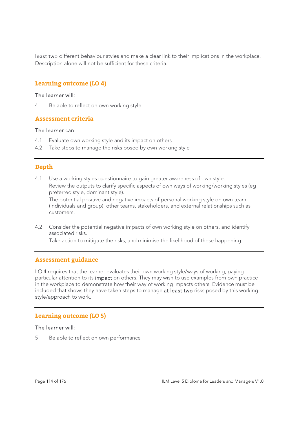least two different behaviour styles and make a clear link to their implications in the workplace. Description alone will not be sufficient for these criteria.

#### **Learning outcome (LO 4)**

#### The learner will:

4 Be able to reflect on own working style

# **Assessment criteria**

#### The learner can:

- 4.1 Evaluate own working style and its impact on others
- 4.2 Take steps to manage the risks posed by own working style

# **Depth**

4.1 Use a working styles questionnaire to gain greater awareness of own style. Review the outputs to clarify specific aspects of own ways of working/working styles (eg preferred style, dominant style).

The potential positive and negative impacts of personal working style on own team (individuals and group), other teams, stakeholders, and external relationships such as customers.

4.2 Consider the potential negative impacts of own working style on others, and identify associated risks.

Take action to mitigate the risks, and minimise the likelihood of these happening.

### **Assessment guidance**

LO 4 requires that the learner evaluates their own working style/ways of working, paying particular attention to its impact on others. They may wish to use examples from own practice in the workplace to demonstrate how their way of working impacts others. Evidence must be included that shows they have taken steps to manage at least two risks posed by this working style/approach to work.

### **Learning outcome (LO 5)**

#### The learner will:

5 Be able to reflect on own performance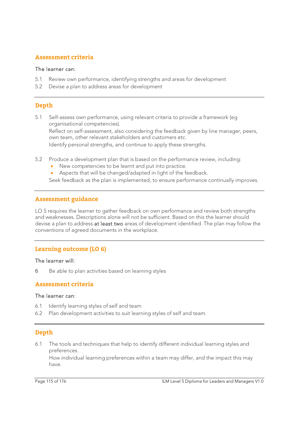# **Assessment criteria**

#### The learner can:

- 5.1 Review own performance, identifying strengths and areas for development
- 5.2 Devise a plan to address areas for development

# **Depth**

- 5.1 Self-assess own performance, using relevant criteria to provide a framework (eg organisational competencies). Reflect on self-assessment, also considering the feedback given by line manager, peers, own team, other relevant stakeholders and customers etc. Identify personal strengths, and continue to apply these strengths.
- 5.2 Produce a development plan that is based on the performance review, including:
	- New competencies to be learnt and put into practice.
	- Aspects that will be changed/adapted in light of the feedback.

Seek feedback as the plan is implemented, to ensure performance continually improves.

#### **Assessment guidance**

LO 5 requires the learner to gather feedback on own performance and review both strengths and weaknesses. Descriptions alone will not be sufficient. Based on this the learner should devise a plan to address at least two areas of development identified. The plan may follow the conventions of agreed documents in the workplace.

### **Learning outcome (LO 6)**

#### The learner will:

6 Be able to plan activities based on learning styles

#### **Assessment criteria**

#### The learner can:

- 6.1 Identify learning styles of self and team
- 6.2 Plan development activities to suit learning styles of self and team.

### **Depth**

6.1 The tools and techniques that help to identify different individual learning styles and preferences.

 How individual learning preferences within a team may differ, and the impact this may have.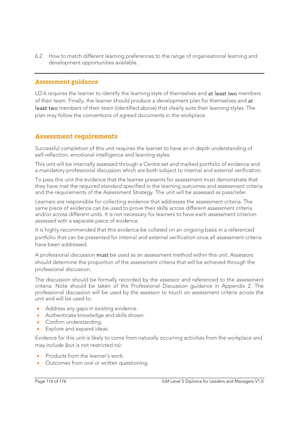6.2 How to match different learning preferences to the range of organisational learning and development opportunities available.

#### **Assessment guidance**

LO 6 requires the learner to identify the learning style of themselves and at least two members of their team. Finally, the learner should produce a development plan for themselves and at least two members of their team (identified above) that clearly suits their learning styles. The plan may follow the conventions of agreed documents in the workplace.

# **Assessment requirements**

Successful completion of this unit requires the learner to have an in depth understanding of self-reflection, emotional intelligence and learning styles.

This unit will be internally assessed through a Centre set and marked portfolio of evidence and a mandatory professional discussion which are both subject to internal and external verification.

To pass this unit the evidence that the learner presents for assessment must demonstrate that they have met the required standard specified in the learning outcomes and assessment criteria and the requirements of the Assessment Strategy. The unit will be assessed as pass/refer.

Learners are responsible for collecting evidence that addresses the assessment criteria. The same piece of evidence can be used to prove their skills across different assessment criteria and/or across different units. It is not necessary for learners to have each assessment criterion assessed with a separate piece of evidence.

It is highly recommended that this evidence be collated on an ongoing basis in a referenced portfolio that can be presented for internal and external verification once all assessment criteria have been addressed.

A professional discussion must be used as an assessment method within this unit. Assessors should determine the proportion of the assessment criteria that will be achieved through the professional discussion.

The discussion should be formally recorded by the assessor and referenced to the assessment criteria. Note should be taken of the Professional Discussion guidance in Appendix 2. The professional discussion will be used by the assessor to touch on assessment criteria across the unit and will be used to:

- Address any gaps in existing evidence.
- Authenticate knowledge and skills shown.
- Confirm understanding.
- Explore and expand ideas.

Evidence for this unit is likely to come from naturally occurring activities from the workplace and may include (but is not restricted to):

- Products from the learner's work.
- Outcomes from oral or written questioning.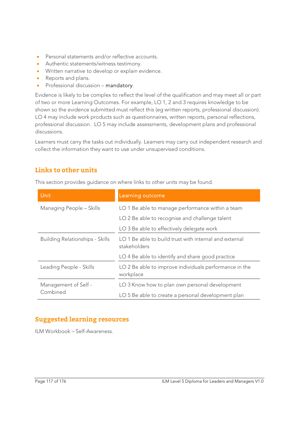- Personal statements and/or reflective accounts.
- Authentic statements/witness testimony.
- Written narrative to develop or explain evidence.
- Reports and plans.
- **•** Professional discussion mandatory.

Evidence is likely to be complex to reflect the level of the qualification and may meet all or part of two or more Learning Outcomes. For example, LO 1, 2 and 3 requires knowledge to be shown so the evidence submitted must reflect this (eg written reports, professional discussion). LO 4 may include work products such as questionnaires, written reports, personal reflections, professional discussion. LO 5 may include assessments, development plans and professional discussions.

Learners must carry the tasks out individually. Learners may carry out independent research and collect the information they want to use under unsupervised conditions.

# **Links to other units**

This section provides guidance on where links to other units may be found.

| <b>Unit</b>                            | Learning outcome                                                       |
|----------------------------------------|------------------------------------------------------------------------|
| Managing People - Skills               | LO 1 Be able to manage performance within a team                       |
|                                        | LO 2 Be able to recognise and challenge talent                         |
|                                        | LO 3 Be able to effectively delegate work                              |
| <b>Building Relationships - Skills</b> | LO 1 Be able to build trust with internal and external<br>stakeholders |
|                                        | LO 4 Be able to identify and share good practice                       |
| Leading People - Skills                | LO 2 Be able to improve individuals performance in the<br>workplace    |
| Management of Self -                   | LO 3 Know how to plan own personal development                         |
| Combined                               | LO 5 Be able to create a personal development plan                     |

# **Suggested learning resources**

ILM Workbook – Self-Awareness.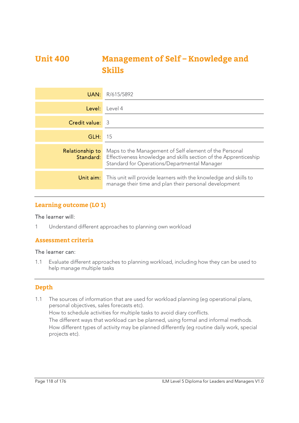# **Unit 400 Management of Self – Knowledge and Skills**

| UAN:            | R/615/5892                                                                                                                                                                                  |
|-----------------|---------------------------------------------------------------------------------------------------------------------------------------------------------------------------------------------|
| Level:          | l evel 4                                                                                                                                                                                    |
| Credit value:   | - 3                                                                                                                                                                                         |
| GLH:            | 15                                                                                                                                                                                          |
| Relationship to | Maps to the Management of Self element of the Personal<br><b>Standard:</b> Effectiveness knowledge and skills section of the Apprenticeship<br>Standard for Operations/Departmental Manager |
| Unit aim:       | This unit will provide learners with the knowledge and skills to<br>manage their time and plan their personal development                                                                   |

# **Learning outcome (LO 1)**

#### The learner will:

1 Understand different approaches to planning own workload

### **Assessment criteria**

#### The learner can:

1.1 Evaluate different approaches to planning workload, including how they can be used to help manage multiple tasks

#### **Depth**

1.1 The sources of information that are used for workload planning (eg operational plans, personal objectives, sales forecasts etc). How to schedule activities for multiple tasks to avoid diary conflicts. The different ways that workload can be planned, using formal and informal methods. How different types of activity may be planned differently (eg routine daily work, special projects etc).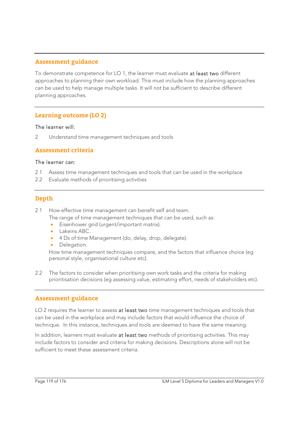### **Assessment guidance**

To demonstrate competence for LO 1, the learner must evaluate at least two different approaches to planning their own workload. This must include how the planning approaches can be used to help manage multiple tasks. It will not be sufficient to describe different planning approaches.

#### **Learning outcome (LO 2)**

#### The learner will:

2 Understand time management techniques and tools

#### **Assessment criteria**

#### The learner can:

- 2.1 Assess time management techniques and tools that can be used in the workplace
- 2.2 Evaluate methods of prioritising activities

#### **Depth**

- 2.1 How effective time management can benefit self and team.
	- The range of time management techniques that can be used, such as:
		- **Eisenhower grid (urgent/important matrix).**
		- Lakeins ABC.
		- 4 Ds of time Management (do, delay, drop, delegate).
		- Delegation.

How time management techniques compare, and the factors that influence choice (eg personal style, organisational culture etc).

2.2 The factors to consider when prioritising own work tasks and the criteria for making prioritisation decisions (eg assessing value, estimating effort, needs of stakeholders etc).

#### **Assessment guidance**

LO 2 requires the learner to assess at least two time management techniques and tools that can be used in the workplace and may include factors that would influence the choice of technique. In this instance, techniques and tools are deemed to have the same meaning.

In addition, learners must evaluate at least two methods of prioritising activities. This may include factors to consider and criteria for making decisions. Descriptions alone will not be sufficient to meet these assessment criteria.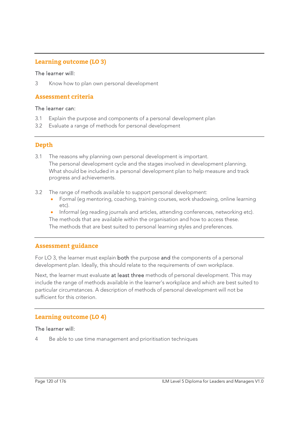# **Learning outcome (LO 3)**

#### The learner will:

3 Know how to plan own personal development

#### **Assessment criteria**

#### The learner can:

- 3.1 Explain the purpose and components of a personal development plan
- 3.2 Evaluate a range of methods for personal development

### **Depth**

- 3.1 The reasons why planning own personal development is important. The personal development cycle and the stages involved in development planning. What should be included in a personal development plan to help measure and track progress and achievements.
- 3.2 The range of methods available to support personal development:
	- Formal (eg mentoring, coaching, training courses, work shadowing, online learning etc).
	- Informal (eg reading journals and articles, attending conferences, networking etc).

 The methods that are available within the organisation and how to access these. The methods that are best suited to personal learning styles and preferences.

#### **Assessment guidance**

For LO 3, the learner must explain **both** the purpose and the components of a personal development plan. Ideally, this should relate to the requirements of own workplace.

Next, the learner must evaluate at least three methods of personal development. This may include the range of methods available in the learner's workplace and which are best suited to particular circumstances. A description of methods of personal development will not be sufficient for this criterion.

### **Learning outcome (LO 4)**

#### The learner will:

4 Be able to use time management and prioritisation techniques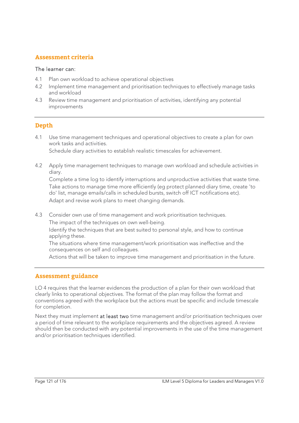# **Assessment criteria**

#### The learner can:

- 4.1 Plan own workload to achieve operational objectives
- 4.2 Implement time management and prioritisation techniques to effectively manage tasks and workload
- 4.3 Review time management and prioritisation of activities, identifying any potential improvements

# **Depth**

4.1 Use time management techniques and operational objectives to create a plan for own work tasks and activities.

Schedule diary activities to establish realistic timescales for achievement.

4.2 Apply time management techniques to manage own workload and schedule activities in diary.

 Complete a time log to identify interruptions and unproductive activities that waste time. Take actions to manage time more efficiently (eg protect planned diary time, create 'to do' list, manage emails/calls in scheduled bursts, switch off ICT notifications etc). Adapt and revise work plans to meet changing demands.

4.3 Consider own use of time management and work prioritisation techniques. The impact of the techniques on own well-being.

Identify the techniques that are best suited to personal style, and how to continue applying these.

The situations where time management/work prioritisation was ineffective and the consequences on self and colleagues.

Actions that will be taken to improve time management and prioritisation in the future.

### **Assessment guidance**

LO 4 requires that the learner evidences the production of a plan for their own workload that clearly links to operational objectives. The format of the plan may follow the format and conventions agreed with the workplace but the actions must be specific and include timescale for completion.

Next they must implement at least two time management and/or prioritisation techniques over a period of time relevant to the workplace requirements and the objectives agreed. A review should then be conducted with any potential improvements in the use of the time management and/or prioritisation techniques identified.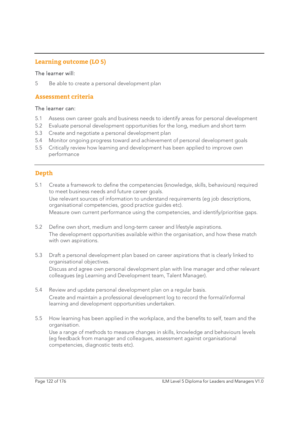# **Learning outcome (LO 5)**

#### The learner will:

5 Be able to create a personal development plan

#### **Assessment criteria**

#### The learner can:

- 5.1 Assess own career goals and business needs to identify areas for personal development
- 5.2 Evaluate personal development opportunities for the long, medium and short term
- 5.3 Create and negotiate a personal development plan
- 5.4 Monitor ongoing progress toward and achievement of personal development goals
- 5.5 Critically review how learning and development has been applied to improve own performance

# **Depth**

- 5.1 Create a framework to define the competencies (knowledge, skills, behaviours) required to meet business needs and future career goals. Use relevant sources of information to understand requirements (eg job descriptions, organisational competencies, good practice guides etc). Measure own current performance using the competencies, and identify/prioritise gaps.
- 5.2 Define own short, medium and long-term career and lifestyle aspirations. The development opportunities available within the organisation, and how these match with own aspirations.
- 5.3 Draft a personal development plan based on career aspirations that is clearly linked to organisational objectives. Discuss and agree own personal development plan with line manager and other relevant colleagues (eg Learning and Development team, Talent Manager).
- 5.4 Review and update personal development plan on a regular basis. Create and maintain a professional development log to record the formal/informal learning and development opportunities undertaken.
- 5.5 How learning has been applied in the workplace, and the benefits to self, team and the organisation. Use a range of methods to measure changes in skills, knowledge and behaviours levels (eg feedback from manager and colleagues, assessment against organisational competencies, diagnostic tests etc).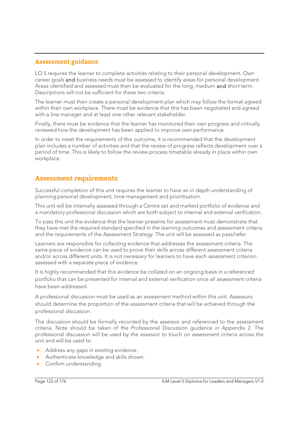# **Assessment guidance**

LO 5 requires the learner to complete activities relating to their personal development. Own career goals and business needs must be assessed to identify areas for personal development. Areas identified and assessed must then be evaluated for the long, medium and short term. Descriptions will not be sufficient for these two criteria.

The learner must then create a personal development plan which may follow the format agreed within their own workplace. There must be evidence that this has been negotiated and agreed with a line manager and at least one other relevant stakeholder.

Finally, there must be evidence that the learner has monitored their own progress and critically reviewed how the development has been applied to improve own performance.

In order to meet the requirements of this outcome, it is recommended that the development plan includes a number of activities and that the review of progress reflects development over a period of time. This is likely to follow the review process timetable already in place within own workplace.

# **Assessment requirements**

Successful completion of this unit requires the learner to have an in depth understanding of planning personal development, time management and prioritisation.

This unit will be internally assessed through a Centre set and marked portfolio of evidence and a mandatory professional discussion which are both subject to internal and external verification.

To pass this unit the evidence that the learner presents for assessment must demonstrate that they have met the required standard specified in the learning outcomes and assessment criteria and the requirements of the Assessment Strategy. The unit will be assessed as pass/refer.

Learners are responsible for collecting evidence that addresses the assessment criteria. The same piece of evidence can be used to prove their skills across different assessment criteria and/or across different units. It is not necessary for learners to have each assessment criterion assessed with a separate piece of evidence.

It is highly recommended that this evidence be collated on an ongoing basis in a referenced portfolio that can be presented for internal and external verification once all assessment criteria have been addressed.

A professional discussion must be used as an assessment method within this unit. Assessors should determine the proportion of the assessment criteria that will be achieved through the professional discussion.

The discussion should be formally recorded by the assessor and referenced to the assessment criteria. Note should be taken of the Professional Discussion guidance in Appendix 2. The professional discussion will be used by the assessor to touch on assessment criteria across the unit and will be used to:

- Address any gaps in existing evidence.
- Authenticate knowledge and skills shown.
- Confirm understanding.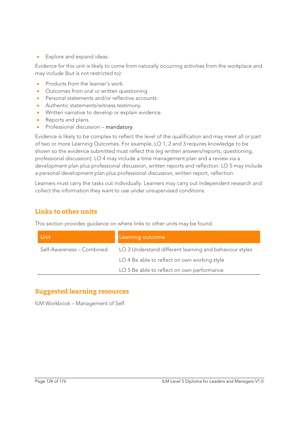**Explore and expand ideas.** 

Evidence for this unit is likely to come from naturally occurring activities from the workplace and may include (but is not restricted to):

- Products from the learner's work.
- Outcomes from oral or written questioning.
- Personal statements and/or reflective accounts.
- Authentic statements/witness testimony.
- Written narrative to develop or explain evidence.
- Reports and plans.
- Professional discussion mandatory.

Evidence is likely to be complex to reflect the level of the qualification and may meet all or part of two or more Learning Outcomes. For example, LO 1, 2 and 3 requires knowledge to be shown so the evidence submitted must reflect this (eg written answers/reports, questioning, professional discussion). LO 4 may include a time management plan and a review via a development plan plus professional discussion, written reports and reflection. LO 5 may include a personal development plan plus professional discussion, written report, reflection.

Learners must carry the tasks out individually. Learners may carry out independent research and collect the information they want to use under unsupervised conditions.

# **Links to other units**

This section provides guidance on where links to other units may be found.

| Unit                      | Learning outcome                                        |
|---------------------------|---------------------------------------------------------|
| Self-Awareness – Combined | LO 3 Understand different learning and behaviour styles |
|                           | LO 4 Be able to reflect on own working style            |
|                           | LO 5 Be able to reflect on own performance              |

# **Suggested learning resources**

ILM Workbook – Management of Self.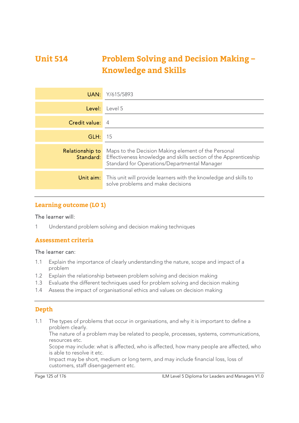# **Unit 514 Problem Solving and Decision Making – Knowledge and Skills**

| UAN:            | Y/615/5893                                                                                                                                                                               |
|-----------------|------------------------------------------------------------------------------------------------------------------------------------------------------------------------------------------|
| Level:          | Level 5                                                                                                                                                                                  |
| Credit value:   | $\overline{4}$                                                                                                                                                                           |
| GLH:            | 15                                                                                                                                                                                       |
| Relationship to | Maps to the Decision Making element of the Personal<br><b>Standard:</b> Effectiveness knowledge and skills section of the Apprenticeship<br>Standard for Operations/Departmental Manager |
| Unit aim:       | This unit will provide learners with the knowledge and skills to<br>solve problems and make decisions                                                                                    |

# **Learning outcome (LO 1)**

#### The learner will:

1 Understand problem solving and decision making techniques

### **Assessment criteria**

#### The learner can:

- 1.1 Explain the importance of clearly understanding the nature, scope and impact of a problem
- 1.2 Explain the relationship between problem solving and decision making
- 1.3 Evaluate the different techniques used for problem solving and decision making
- 1.4 Assess the impact of organisational ethics and values on decision making

### **Depth**

1.1 The types of problems that occur in organisations, and why it is important to define a problem clearly.

The nature of a problem may be related to people, processes, systems, communications, resources etc.

Scope may include: what is affected, who is affected, how many people are affected, who is able to resolve it etc.

Impact may be short, medium or long term, and may include financial loss, loss of customers, staff disengagement etc.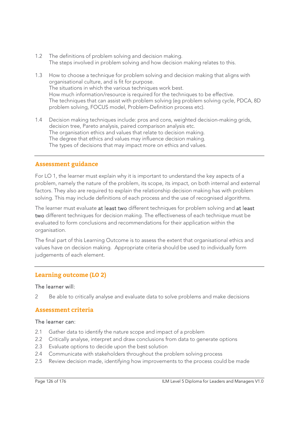- 1.2 The definitions of problem solving and decision making. The steps involved in problem solving and how decision making relates to this.
- 1.3 How to choose a technique for problem solving and decision making that aligns with organisational culture, and is fit for purpose. The situations in which the various techniques work best. How much information/resource is required for the techniques to be effective. The techniques that can assist with problem solving (eg problem solving cycle, PDCA, 8D problem solving, FOCUS model, Problem-Definition process etc).
- 1.4 Decision making techniques include: pros and cons, weighted decision-making grids, decision tree, Pareto analysis, paired comparison analysis etc. The organisation ethics and values that relate to decision making. The degree that ethics and values may influence decision making. The types of decisions that may impact more on ethics and values.

#### **Assessment guidance**

For LO 1, the learner must explain why it is important to understand the key aspects of a problem, namely the nature of the problem, its scope, its impact, on both internal and external factors. They also are required to explain the relationship decision making has with problem solving. This may include definitions of each process and the use of recognised algorithms.

The learner must evaluate at least two different techniques for problem solving and at least two different techniques for decision making. The effectiveness of each technique must be evaluated to form conclusions and recommendations for their application within the organisation.

The final part of this Learning Outcome is to assess the extent that organisational ethics and values have on decision making. Appropriate criteria should be used to individually form judgements of each element.

### **Learning outcome (LO 2)**

#### The learner will:

2 Be able to critically analyse and evaluate data to solve problems and make decisions

#### **Assessment criteria**

#### The learner can:

- 2.1 Gather data to identify the nature scope and impact of a problem
- 2.2 Critically analyse, interpret and draw conclusions from data to generate options
- 2.3 Evaluate options to decide upon the best solution
- 2.4 Communicate with stakeholders throughout the problem solving process
- 2.5 Review decision made, identifying how improvements to the process could be made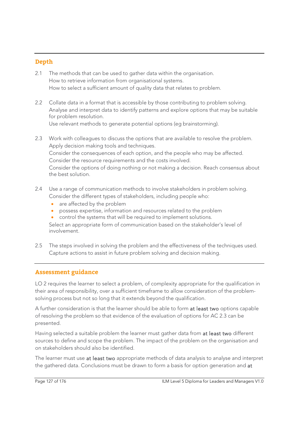## **Depth**

- 2.1 The methods that can be used to gather data within the organisation. How to retrieve information from organisational systems. How to select a sufficient amount of quality data that relates to problem.
- 2.2 Collate data in a format that is accessible by those contributing to problem solving. Analyse and interpret data to identify patterns and explore options that may be suitable for problem resolution.

Use relevant methods to generate potential options (eg brainstorming).

2.3 Work with colleagues to discuss the options that are available to resolve the problem. Apply decision making tools and techniques. Consider the consequences of each option, and the people who may be affected. Consider the resource requirements and the costs involved. Consider the options of doing nothing or not making a decision. Reach consensus about the best solution.

#### 2.4 Use a range of communication methods to involve stakeholders in problem solving. Consider the different types of stakeholders, including people who:

- are affected by the problem
- possess expertise, information and resources related to the problem
- control the systems that will be required to implement solutions.

Select an appropriate form of communication based on the stakeholder's level of involvement.

2.5 The steps involved in solving the problem and the effectiveness of the techniques used. Capture actions to assist in future problem solving and decision making.

# **Assessment guidance**

LO 2 requires the learner to select a problem, of complexity appropriate for the qualification in their area of responsibility, over a sufficient timeframe to allow consideration of the problemsolving process but not so long that it extends beyond the qualification.

A further consideration is that the learner should be able to form at least two options capable of resolving the problem so that evidence of the evaluation of options for AC 2.3 can be presented.

Having selected a suitable problem the learner must gather data from at least two different sources to define and scope the problem. The impact of the problem on the organisation and on stakeholders should also be identified.

The learner must use at least two appropriate methods of data analysis to analyse and interpret the gathered data. Conclusions must be drawn to form a basis for option generation and at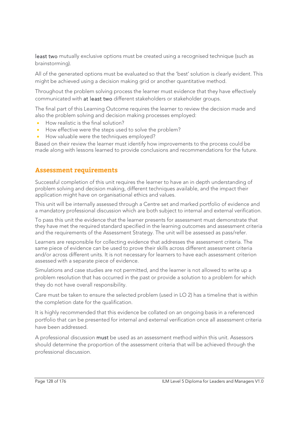least two mutually exclusive options must be created using a recognised technique (such as brainstorming).

All of the generated options must be evaluated so that the 'best' solution is clearly evident. This might be achieved using a decision making grid or another quantitative method.

Throughout the problem solving process the learner must evidence that they have effectively communicated with at least two different stakeholders or stakeholder groups.

The final part of this Learning Outcome requires the learner to review the decision made and also the problem solving and decision making processes employed:

- How realistic is the final solution?
- How effective were the steps used to solve the problem?
- How valuable were the techniques employed?

Based on their review the learner must identify how improvements to the process could be made along with lessons learned to provide conclusions and recommendations for the future.

### **Assessment requirements**

Successful completion of this unit requires the learner to have an in depth understanding of problem solving and decision making, different techniques available, and the impact their application might have on organisational ethics and values.

This unit will be internally assessed through a Centre set and marked portfolio of evidence and a mandatory professional discussion which are both subject to internal and external verification.

To pass this unit the evidence that the learner presents for assessment must demonstrate that they have met the required standard specified in the learning outcomes and assessment criteria and the requirements of the Assessment Strategy. The unit will be assessed as pass/refer.

Learners are responsible for collecting evidence that addresses the assessment criteria. The same piece of evidence can be used to prove their skills across different assessment criteria and/or across different units. It is not necessary for learners to have each assessment criterion assessed with a separate piece of evidence.

Simulations and case studies are not permitted, and the learner is not allowed to write up a problem resolution that has occurred in the past or provide a solution to a problem for which they do not have overall responsibility.

Care must be taken to ensure the selected problem (used in LO 2) has a timeline that is within the completion date for the qualification.

It is highly recommended that this evidence be collated on an ongoing basis in a referenced portfolio that can be presented for internal and external verification once all assessment criteria have been addressed.

A professional discussion must be used as an assessment method within this unit. Assessors should determine the proportion of the assessment criteria that will be achieved through the professional discussion.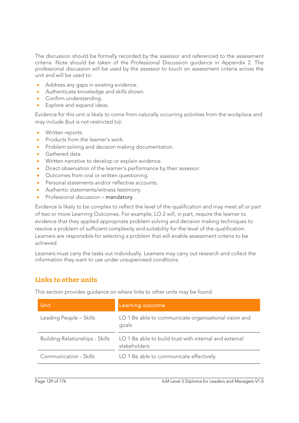The discussion should be formally recorded by the assessor and referenced to the assessment criteria. Note should be taken of the Professional Discussion guidance in Appendix 2. The professional discussion will be used by the assessor to touch on assessment criteria across the unit and will be used to:

- Address any gaps in existing evidence.
- Authenticate knowledge and skills shown.
- Confirm understanding.
- **Explore and expand ideas.**

Evidence for this unit is likely to come from naturally occurring activities from the workplace and may include (but is not restricted to):

- Written reports.
- Products from the learner's work.
- Problem solving and decision making documentation.
- Gathered data.
- Written narrative to develop or explain evidence.
- **•** Direct observation of the learner's performance by their assessor.
- Outcomes from oral or written questioning.
- Personal statements and/or reflective accounts.
- Authentic statements/witness testimony.
- Professional discussion mandatory.

Evidence is likely to be complex to reflect the level of the qualification and may meet all or part of two or more Learning Outcomes. For example, LO 2 will, in part, require the learner to evidence that they applied appropriate problem solving and decision making techniques to resolve a problem of sufficient complexity and suitability for the level of the qualification. Learners are responsible for selecting a problem that will enable assessment criteria to be achieved.

Learners must carry the tasks out individually. Learners may carry out research and collect the information they want to use under unsupervised conditions.

# **Links to other units**

This section provides guidance on where links to other units may be found.

| <b>Unit</b>                            | Learning outcome                                                       |
|----------------------------------------|------------------------------------------------------------------------|
| Leading People - Skills                | LO 1 Be able to communicate organisational vision and<br>goals         |
| <b>Building Relationships - Skills</b> | LO 1 Be able to build trust with internal and external<br>stakeholders |
| Communication - Skills                 | LO 1 Be able to communicate effectively                                |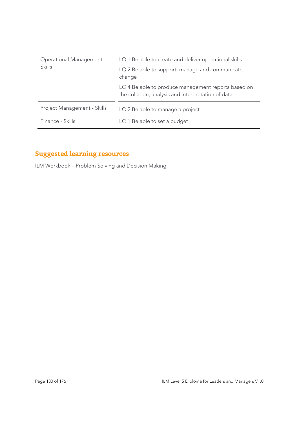| Operational Management -<br><b>Skills</b> | LO 1 Be able to create and deliver operational skills                                                     |
|-------------------------------------------|-----------------------------------------------------------------------------------------------------------|
|                                           | LO 2 Be able to support, manage and communicate<br>change                                                 |
|                                           | LO 4 Be able to produce management reports based on<br>the collation, analysis and interpretation of data |
| Project Management - Skills               | LO 2 Be able to manage a project                                                                          |
| Finance - Skills                          | LO 1 Be able to set a budget                                                                              |

# **Suggested learning resources**

ILM Workbook – Problem Solving and Decision Making.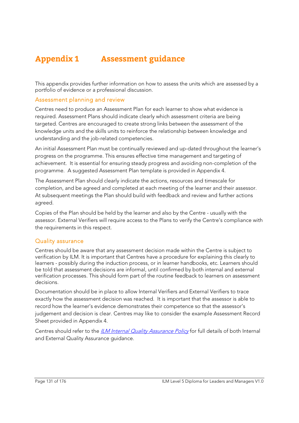# **Appendix 1 Assessment guidance**

This appendix provides further information on how to assess the units which are assessed by a portfolio of evidence or a professional discussion.

#### Assessment planning and review

Centres need to produce an Assessment Plan for each learner to show what evidence is required. Assessment Plans should indicate clearly which assessment criteria are being targeted. Centres are encouraged to create strong links between the assessment of the knowledge units and the skills units to reinforce the relationship between knowledge and understanding and the job-related competencies.

An initial Assessment Plan must be continually reviewed and up-dated throughout the learner's progress on the programme. This ensures effective time management and targeting of achievement. It is essential for ensuring steady progress and avoiding non-completion of the programme. A suggested Assessment Plan template is provided in Appendix 4.

The Assessment Plan should clearly indicate the actions, resources and timescale for completion, and be agreed and completed at each meeting of the learner and their assessor. At subsequent meetings the Plan should build with feedback and review and further actions agreed.

Copies of the Plan should be held by the learner and also by the Centre - usually with the assessor. External Verifiers will require access to the Plans to verify the Centre's compliance with the requirements in this respect.

#### Quality assurance

Centres should be aware that any assessment decision made within the Centre is subject to verification by ILM. It is important that Centres have a procedure for explaining this clearly to learners - possibly during the induction process, or in learner handbooks, etc. Learners should be told that assessment decisions are informal, until confirmed by both internal and external verification processes. This should form part of the routine feedback to learners on assessment decisions.

Documentation should be in place to allow Internal Verifiers and External Verifiers to trace exactly how the assessment decision was reached. It is important that the assessor is able to record how the learner's evidence demonstrates their competence so that the assessor's judgement and decision is clear. Centres may like to consider the example Assessment Record Sheet provided in Appendix 4.

Centres should refer to the *ILM Internal Quality Assurance Policy* for full details of both Internal and External Quality Assurance guidance.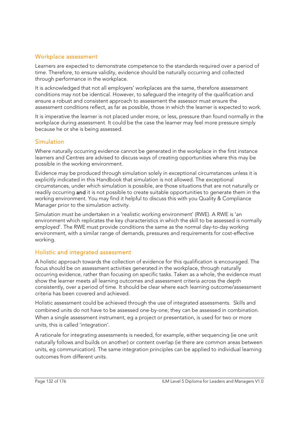### Workplace assessment

Learners are expected to demonstrate competence to the standards required over a period of time. Therefore, to ensure validity, evidence should be naturally occurring and collected through performance in the workplace.

It is acknowledged that not all employers' workplaces are the same, therefore assessment conditions may not be identical. However, to safeguard the integrity of the qualification and ensure a robust and consistent approach to assessment the assessor must ensure the assessment conditions reflect, as far as possible, those in which the learner is expected to work.

It is imperative the learner is not placed under more, or less, pressure than found normally in the workplace during assessment. It could be the case the learner may feel more pressure simply because he or she is being assessed.

### Simulation

Where naturally occurring evidence cannot be generated in the workplace in the first instance learners and Centres are advised to discuss ways of creating opportunities where this may be possible in the working environment.

Evidence may be produced through simulation solely in exceptional circumstances unless it is explicitly indicated in this Handbook that simulation is not allowed. The exceptional circumstances, under which simulation is possible, are those situations that are not naturally or readily occurring and it is not possible to create suitable opportunities to generate them in the working environment. You may find it helpful to discuss this with you Quality & Compliance Manager prior to the simulation activity.

Simulation must be undertaken in a 'realistic working environment' (RWE). A RWE is 'an environment which replicates the key characteristics in which the skill to be assessed is normally employed'. The RWE must provide conditions the same as the normal day-to-day working environment, with a similar range of demands, pressures and requirements for cost-effective working.

### Holistic and integrated assessment

A holistic approach towards the collection of evidence for this qualification is encouraged. The focus should be on assessment activities generated in the workplace, through naturally occurring evidence, rather than focusing on specific tasks. Taken as a whole, the evidence must show the learner meets all learning outcomes and assessment criteria across the depth consistently, over a period of time. It should be clear where each learning outcome/assessment criteria has been covered and achieved.

Holistic assessment could be achieved through the use of integrated assessments. Skills and combined units do not have to be assessed one-by-one; they can be assessed in combination. When a single assessment instrument, eg a project or presentation, is used for two or more units, this is called 'integration'.

A rationale for integrating assessments is needed, for example, either sequencing (ie one unit naturally follows and builds on another) or content overlap (ie there are common areas between units, eg communication). The same integration principles can be applied to individual learning outcomes from different units.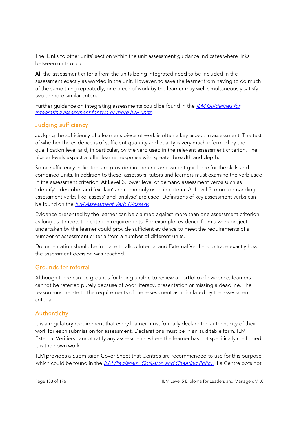The 'Links to other units' section within the unit assessment guidance indicates where links between units occur.

All the assessment criteria from the units being integrated need to be included in the assessment exactly as worded in the unit. However, to save the learner from having to do much of the same thing repeatedly, one piece of work by the learner may well simultaneously satisfy two or more similar criteria.

Further guidance on integrating assessments could be found in the *ILM Guidelines for* integrating assessment for two or more ILM units.

# Judging sufficiency

Judging the sufficiency of a learner's piece of work is often a key aspect in assessment. The test of whether the evidence is of sufficient quantity and quality is very much informed by the qualification level and, in particular, by the verb used in the relevant assessment criterion. The higher levels expect a fuller learner response with greater breadth and depth.

Some sufficiency indicators are provided in the unit assessment guidance for the skills and combined units. In addition to these, assessors, tutors and learners must examine the verb used in the assessment criterion. At Level 3, lower level of demand assessment verbs such as 'identify', 'describe' and 'explain' are commonly used in criteria. At Level 5, more demanding assessment verbs like 'assess' and 'analyse' are used. Definitions of key assessment verbs can be found on the ILM Assessment Verb Glossary.

Evidence presented by the learner can be claimed against more than one assessment criterion as long as it meets the criterion requirements. For example, evidence from a work project undertaken by the learner could provide sufficient evidence to meet the requirements of a number of assessment criteria from a number of different units.

Documentation should be in place to allow Internal and External Verifiers to trace exactly how the assessment decision was reached.

# Grounds for referral

Although there can be grounds for being unable to review a portfolio of evidence, learners cannot be referred purely because of poor literacy, presentation or missing a deadline. The reason must relate to the requirements of the assessment as articulated by the assessment criteria.

# Authenticity

It is a regulatory requirement that every learner must formally declare the authenticity of their work for each submission for assessment. Declarations must be in an auditable form. ILM External Verifiers cannot ratify any assessments where the learner has not specifically confirmed it is their own work.

ILM provides a Submission Cover Sheet that Centres are recommended to use for this purpose, which could be found in the *ILM Plagiarism, Collusion and Cheating Policy*. If a Centre opts not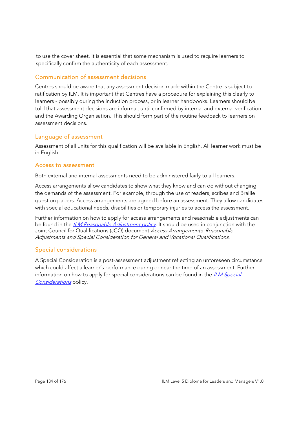to use the cover sheet, it is essential that some mechanism is used to require learners to specifically confirm the authenticity of each assessment.

# Communication of assessment decisions

Centres should be aware that any assessment decision made within the Centre is subject to ratification by ILM. It is important that Centres have a procedure for explaining this clearly to learners - possibly during the induction process, or in learner handbooks. Learners should be told that assessment decisions are informal, until confirmed by internal and external verification and the Awarding Organisation. This should form part of the routine feedback to learners on assessment decisions.

# Language of assessment

Assessment of all units for this qualification will be available in English. All learner work must be in English.

# Access to assessment

Both external and internal assessments need to be administered fairly to all learners.

Access arrangements allow candidates to show what they know and can do without changing the demands of the assessment. For example, through the use of readers, scribes and Braille question papers. Access arrangements are agreed before an assessment. They allow candidates with special educational needs, disabilities or temporary injuries to access the assessment.

Further information on how to apply for access arrangements and reasonable adjustments can be found in the *ILM Reasonable Adjustment policy*. It should be used in conjunction with the Joint Council for Qualifications (JCQ) document Access Arrangements, Reasonable Adjustments and Special Consideration for General and Vocational Qualifications.

# Special considerations

A Special Consideration is a post-assessment adjustment reflecting an unforeseen circumstance which could affect a learner's performance during or near the time of an assessment. Further information on how to apply for special considerations can be found in the  $ILM Special$ Considerations policy.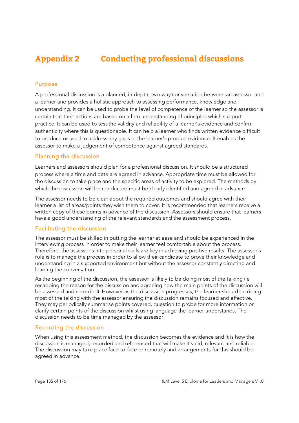# **Appendix 2 Conducting professional discussions**

#### Purpose

A professional discussion is a planned, in-depth, two-way conversation between an assessor and a learner and provides a holistic approach to assessing performance, knowledge and understanding. It can be used to probe the level of competence of the learner so the assessor is certain that their actions are based on a firm understanding of principles which support practice. It can be used to test the validity and reliability of a learner's evidence and confirm authenticity where this is questionable. It can help a learner who finds written evidence difficult to produce or used to address any gaps in the learner's product evidence. It enables the assessor to make a judgement of competence against agreed standards.

#### Planning the discussion

Learners and assessors should plan for a professional discussion. It should be a structured process where a time and date are agreed in advance. Appropriate time must be allowed for the discussion to take place and the specific areas of activity to be explored. The methods by which the discussion will be conducted must be clearly identified and agreed in advance.

The assessor needs to be clear about the required outcomes and should agree with their learner a list of areas/points they wish them to cover. It is recommended that learners receive a written copy of these points in advance of the discussion. Assessors should ensure that learners have a good understanding of the relevant standards and the assessment process.

#### Facilitating the discussion

The assessor must be skilled in putting the learner at ease and should be experienced in the interviewing process in order to make their learner feel comfortable about the process. Therefore, the assessor's interpersonal skills are key in achieving positive results. The assessor's role is to manage the process in order to allow their candidate to prove their knowledge and understanding in a supported environment but without the assessor constantly directing and leading the conversation.

As the beginning of the discussion, the assessor is likely to be doing most of the talking (ie recapping the reason for the discussion and agreeing how the main points of the discussion will be assessed and recorded). However as the discussion progresses, the learner should be doing most of the talking with the assessor ensuring the discussion remains focused and effective. They may periodically summarise points covered, question to probe for more information or clarify certain points of the discussion whilst using language the learner understands. The discussion needs to be time managed by the assessor.

#### Recording the discussion

When using this assessment method, the discussion becomes the evidence and it is how the discussion is managed, recorded and referenced that will make it valid, relevant and reliable. The discussion may take place face-to-face or remotely and arrangements for this should be agreed in advance.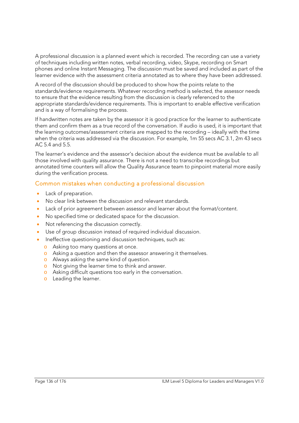A professional discussion is a planned event which is recorded. The recording can use a variety of techniques including written notes, verbal recording, video, Skype, recording on Smart phones and online Instant Messaging. The discussion must be saved and included as part of the learner evidence with the assessment criteria annotated as to where they have been addressed.

A record of the discussion should be produced to show how the points relate to the standards/evidence requirements. Whatever recording method is selected, the assessor needs to ensure that the evidence resulting from the discussion is clearly referenced to the appropriate standards/evidence requirements. This is important to enable effective verification and is a way of formalising the process.

If handwritten notes are taken by the assessor it is good practice for the learner to authenticate them and confirm them as a true record of the conversation. If audio is used, it is important that the learning outcomes/assessment criteria are mapped to the recording – ideally with the time when the criteria was addressed via the discussion. For example, 1m 55 secs AC 3.1, 2m 43 secs AC 5.4 and 5.5.

The learner's evidence and the assessor's decision about the evidence must be available to all those involved with quality assurance. There is not a need to transcribe recordings but annotated time counters will allow the Quality Assurance team to pinpoint material more easily during the verification process.

### Common mistakes when conducting a professional discussion

- Lack of preparation.
- No clear link between the discussion and relevant standards.
- Lack of prior agreement between assessor and learner about the format/content.
- No specified time or dedicated space for the discussion.
- Not referencing the discussion correctly.
- Use of group discussion instead of required individual discussion.
- Ineffective questioning and discussion techniques, such as:
	- o Asking too many questions at once.
	- o Asking a question and then the assessor answering it themselves.
	- o Always asking the same kind of question.
	- o Not giving the learner time to think and answer.
	- o Asking difficult questions too early in the conversation.
	- o Leading the learner.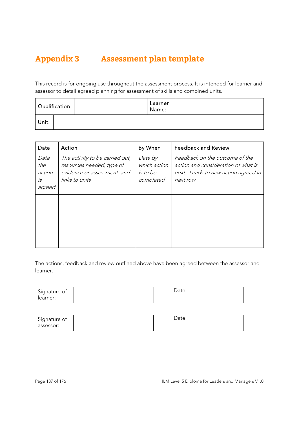# **Appendix 3 Assessment plan template**

This record is for ongoing use throughout the assessment process. It is intended for learner and assessor to detail agreed planning for assessment of skills and combined units.

| $\mid$ Qualification: $\mid$ | Learner<br>Name: |  |
|------------------------------|------------------|--|
| Unit:                        |                  |  |

| Date                                  | Action                                                                                                        | By When                                          | <b>Feedback and Review</b>                                                                                               |
|---------------------------------------|---------------------------------------------------------------------------------------------------------------|--------------------------------------------------|--------------------------------------------------------------------------------------------------------------------------|
| Date<br>the<br>action<br>is<br>agreed | The activity to be carried out,<br>resources needed, type of<br>evidence or assessment, and<br>links to units | Date by<br>which action<br>is to be<br>completed | Feedback on the outcome of the<br>action and consideration of what is<br>next. Leads to new action agreed in<br>next row |
|                                       |                                                                                                               |                                                  |                                                                                                                          |
|                                       |                                                                                                               |                                                  |                                                                                                                          |
|                                       |                                                                                                               |                                                  |                                                                                                                          |

The actions, feedback and review outlined above have been agreed between the assessor and learner.

| Signature of |  |
|--------------|--|
| learner:     |  |

| Date: |  |
|-------|--|
|       |  |

Date:

| Signature of |  |
|--------------|--|
| assessor:    |  |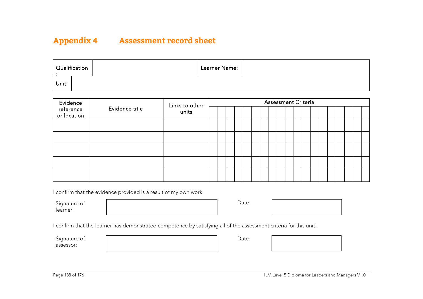# **Appendix 4 Assessment record sheet**

|       | $\mid$ Qualification | Learner Name: |  |
|-------|----------------------|---------------|--|
| Unit: |                      |               |  |

| Evidence                 |                | Links to other<br>units | <b>Assessment Criteria</b> |  |  |  |  |  |  |  |  |  |  |  |  |  |  |
|--------------------------|----------------|-------------------------|----------------------------|--|--|--|--|--|--|--|--|--|--|--|--|--|--|
| reference<br>or location | Evidence title |                         |                            |  |  |  |  |  |  |  |  |  |  |  |  |  |  |
|                          |                |                         |                            |  |  |  |  |  |  |  |  |  |  |  |  |  |  |
|                          |                |                         |                            |  |  |  |  |  |  |  |  |  |  |  |  |  |  |
|                          |                |                         |                            |  |  |  |  |  |  |  |  |  |  |  |  |  |  |
|                          |                |                         |                            |  |  |  |  |  |  |  |  |  |  |  |  |  |  |
|                          |                |                         |                            |  |  |  |  |  |  |  |  |  |  |  |  |  |  |

I confirm that the evidence provided is a result of my own work.

Signature of learner:

Date:



I confirm that the learner has demonstrated competence by satisfying all of the assessment criteria for this unit.

Signature of assessor:

Date: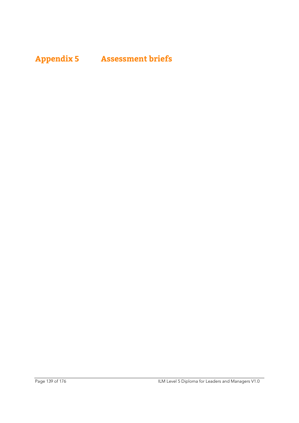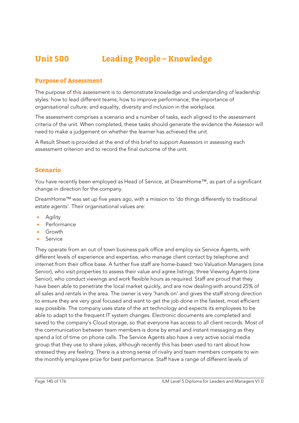# **Unit 500 Leading People – Knowledge**

### **Purpose of Assessment**

The purpose of this assessment is to demonstrate knowledge and understanding of leadership styles: how to lead different teams; how to improve performance; the importance of organisational culture; and equality, diversity and inclusion in the workplace.

The assessment comprises a scenario and a number of tasks, each aligned to the assessment criteria of the unit. When completed, these tasks should generate the evidence the Assessor will need to make a judgement on whether the learner has achieved the unit.

A Result Sheet is provided at the end of this brief to support Assessors in assessing each assessment criterion and to record the final outcome of the unit.

#### **Scenario**

You have recently been employed as Head of Service, at DreamHome™, as part of a significant change in direction for the company.

DreamHome™ was set up five years ago, with a mission to 'do things differently to traditional estate agents'. Their organisational values are:

- **•** Agility
- Performance
- Growth
- Service

They operate from an out of town business park office and employ six Service Agents, with different levels of experience and expertise, who manage client contact by telephone and internet from their office base. A further five staff are home-based: two Valuation Managers (one Senior), who visit properties to assess their value and agree listings; three Viewing Agents (one Senior), who conduct viewings and work flexible hours as required. Staff are proud that they have been able to penetrate the local market quickly, and are now dealing with around 25% of all sales and rentals in the area. The owner is very 'hands on' and gives the staff strong direction to ensure they are very goal focused and want to get the job done in the fastest, most efficient way possible. The company uses state of the art technology and expects its employees to be able to adapt to the frequent IT system changes. Electronic documents are completed and saved to the company's Cloud storage, so that everyone has access to all client records. Most of the communication between team members is done by email and instant messaging as they spend a lot of time on phone calls. The Service Agents also have a very active social media group that they use to share jokes, although recently this has been used to rant about how stressed they are feeling. There is a strong sense of rivalry and team members compete to win the monthly employee prize for best performance. Staff have a range of different levels of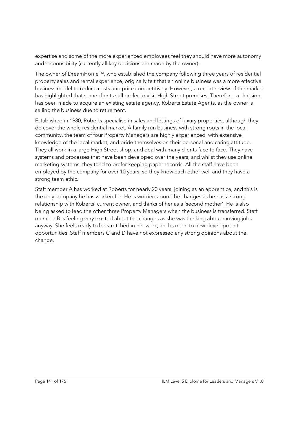expertise and some of the more experienced employees feel they should have more autonomy and responsibility (currently all key decisions are made by the owner).

The owner of DreamHome™, who established the company following three years of residential property sales and rental experience, originally felt that an online business was a more effective business model to reduce costs and price competitively. However, a recent review of the market has highlighted that some clients still prefer to visit High Street premises. Therefore, a decision has been made to acquire an existing estate agency, Roberts Estate Agents, as the owner is selling the business due to retirement.

Established in 1980, Roberts specialise in sales and lettings of luxury properties, although they do cover the whole residential market. A family run business with strong roots in the local community, the team of four Property Managers are highly experienced, with extensive knowledge of the local market, and pride themselves on their personal and caring attitude. They all work in a large High Street shop, and deal with many clients face to face. They have systems and processes that have been developed over the years, and whilst they use online marketing systems, they tend to prefer keeping paper records. All the staff have been employed by the company for over 10 years, so they know each other well and they have a strong team ethic.

Staff member A has worked at Roberts for nearly 20 years, joining as an apprentice, and this is the only company he has worked for. He is worried about the changes as he has a strong relationship with Roberts' current owner, and thinks of her as a 'second mother'. He is also being asked to lead the other three Property Managers when the business is transferred. Staff member B is feeling very excited about the changes as she was thinking about moving jobs anyway. She feels ready to be stretched in her work, and is open to new development opportunities. Staff members C and D have not expressed any strong opinions about the change.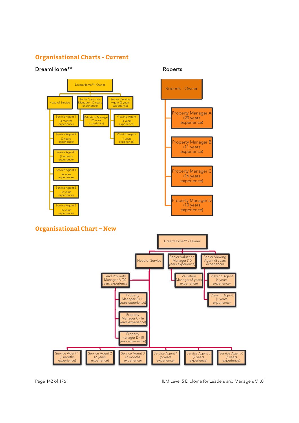# **Organisational Charts - Current**

#### DreamHome™ Roberts





# **Organisational Chart – New**



Page 142 of 176 ILM Level 5 Diploma for Leaders and Managers V1.0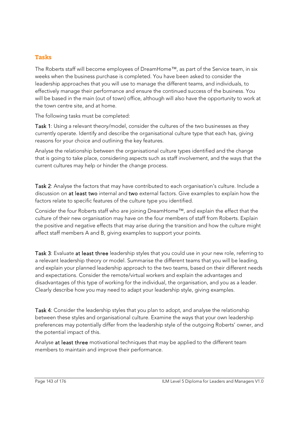#### **Tasks**

The Roberts staff will become employees of DreamHome™, as part of the Service team, in six weeks when the business purchase is completed. You have been asked to consider the leadership approaches that you will use to manage the different teams, and individuals, to effectively manage their performance and ensure the continued success of the business. You will be based in the main (out of town) office, although will also have the opportunity to work at the town centre site, and at home.

The following tasks must be completed:

Task 1: Using a relevant theory/model, consider the cultures of the two businesses as they currently operate. Identify and describe the organisational culture type that each has, giving reasons for your choice and outlining the key features.

Analyse the relationship between the organisational culture types identified and the change that is going to take place, considering aspects such as staff involvement, and the ways that the current cultures may help or hinder the change process.

Task 2: Analyse the factors that may have contributed to each organisation's culture. Include a discussion on at least two internal and two external factors. Give examples to explain how the factors relate to specific features of the culture type you identified.

Consider the four Roberts staff who are joining DreamHome™, and explain the effect that the culture of their new organisation may have on the four members of staff from Roberts. Explain the positive and negative effects that may arise during the transition and how the culture might affect staff members A and B, giving examples to support your points.

Task 3: Evaluate at least three leadership styles that you could use in your new role, referring to a relevant leadership theory or model. Summarise the different teams that you will be leading, and explain your planned leadership approach to the two teams, based on their different needs and expectations. Consider the remote/virtual workers and explain the advantages and disadvantages of this type of working for the individual, the organisation, and you as a leader. Clearly describe how you may need to adapt your leadership style, giving examples.

Task 4: Consider the leadership styles that you plan to adopt, and analyse the relationship between these styles and organisational culture. Examine the ways that your own leadership preferences may potentially differ from the leadership style of the outgoing Roberts' owner, and the potential impact of this.

Analyse at least three motivational techniques that may be applied to the different team members to maintain and improve their performance.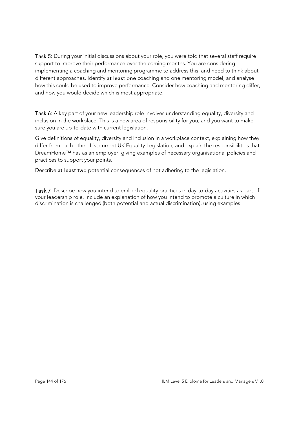Task 5: During your initial discussions about your role, you were told that several staff require support to improve their performance over the coming months. You are considering implementing a coaching and mentoring programme to address this, and need to think about different approaches. Identify at least one coaching and one mentoring model, and analyse how this could be used to improve performance. Consider how coaching and mentoring differ, and how you would decide which is most appropriate.

Task 6: A key part of your new leadership role involves understanding equality, diversity and inclusion in the workplace. This is a new area of responsibility for you, and you want to make sure you are up-to-date with current legislation.

Give definitions of equality, diversity and inclusion in a workplace context, explaining how they differ from each other. List current UK Equality Legislation, and explain the responsibilities that DreamHome™ has as an employer, giving examples of necessary organisational policies and practices to support your points.

Describe at least two potential consequences of not adhering to the legislation.

Task 7: Describe how you intend to embed equality practices in day-to-day activities as part of your leadership role. Include an explanation of how you intend to promote a culture in which discrimination is challenged (both potential and actual discrimination), using examples.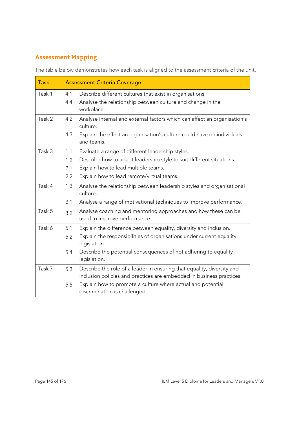## **Assessment Mapping**

The table below demonstrates how each task is aligned to the assessment criteria of the unit.

| <b>Task</b> |            | <b>Assessment Criteria Coverage</b>                                                                                                            |
|-------------|------------|------------------------------------------------------------------------------------------------------------------------------------------------|
| Task 1      | 4.1<br>4.4 | Describe different cultures that exist in organisations.<br>Analyse the relationship between culture and change in the                         |
|             |            | workplace.                                                                                                                                     |
| Task 2      | 4.2        | Analyse internal and external factors which can affect an organisation's<br>culture.                                                           |
|             | 4.3        | Explain the effect an organisation's culture could have on individuals<br>and teams.                                                           |
| Task 3      | 1.1        | Evaluate a range of different leadership styles.                                                                                               |
|             | 1.2        | Describe how to adapt leadership style to suit different situations.                                                                           |
|             | 2.1        | Explain how to lead multiple teams.                                                                                                            |
|             | 2.2        | Explain how to lead remote/virtual teams.                                                                                                      |
| Task 4      | 1.3        | Analyse the relationship between leadership styles and organisational<br>culture.                                                              |
|             | 3.1        | Analyse a range of motivational techniques to improve performance.                                                                             |
| Task 5      | 3.2        | Analyse coaching and mentoring approaches and how these can be<br>used to improve performance.                                                 |
| Task 6      | 5.1        | Explain the difference between equality, diversity and inclusion.                                                                              |
|             | 5.2        | Explain the responsibilities of organisations under current equality<br>legislation.                                                           |
|             | 5.4        | Describe the potential consequences of not adhering to equality<br>legislation.                                                                |
| Task 7      | 5.3        | Describe the role of a leader in ensuring that equality, diversity and<br>inclusion policies and practices are embedded in business practices. |
|             | 5.5        | Explain how to promote a culture where actual and potential<br>discrimination is challenged.                                                   |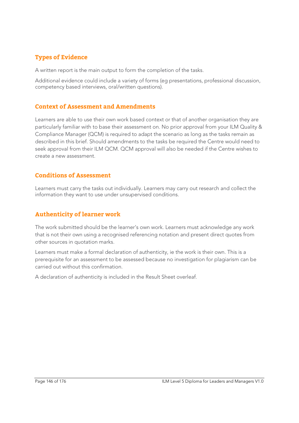### **Types of Evidence**

A written report is the main output to form the completion of the tasks.

Additional evidence could include a variety of forms (eg presentations, professional discussion, competency based interviews, oral/written questions).

#### **Context of Assessment and Amendments**

Learners are able to use their own work based context or that of another organisation they are particularly familiar with to base their assessment on. No prior approval from your ILM Quality & Compliance Manager (QCM) is required to adapt the scenario as long as the tasks remain as described in this brief. Should amendments to the tasks be required the Centre would need to seek approval from their ILM QCM. QCM approval will also be needed if the Centre wishes to create a new assessment.

#### **Conditions of Assessment**

Learners must carry the tasks out individually. Learners may carry out research and collect the information they want to use under unsupervised conditions.

#### **Authenticity of learner work**

The work submitted should be the learner's own work. Learners must acknowledge any work that is not their own using a recognised referencing notation and present direct quotes from other sources in quotation marks.

Learners must make a formal declaration of authenticity, ie the work is their own. This is a prerequisite for an assessment to be assessed because no investigation for plagiarism can be carried out without this confirmation.

A declaration of authenticity is included in the Result Sheet overleaf.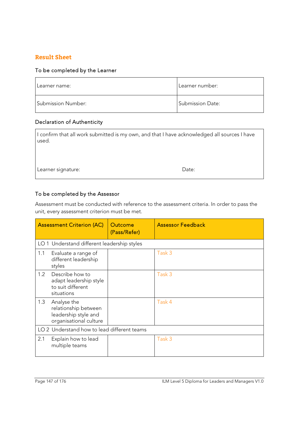#### **Result Sheet**

#### To be completed by the Learner

| Learner name:      | Learner number:  |
|--------------------|------------------|
| Submission Number: | Submission Date: |

#### Declaration of Authenticity

| I confirm that all work submitted is my own, and that I have acknowledged all sources I have<br>used. |       |  |
|-------------------------------------------------------------------------------------------------------|-------|--|
|                                                                                                       |       |  |
| Learner signature:                                                                                    | Date: |  |

#### To be completed by the Assessor

Assessment must be conducted with reference to the assessment criteria. In order to pass the unit, every assessment criterion must be met.

|                                             | <b>Assessment Criterion (AC)</b>                                                      | Outcome<br>(Pass/Refer) | <b>Assessor Feedback</b> |
|---------------------------------------------|---------------------------------------------------------------------------------------|-------------------------|--------------------------|
|                                             | LO 1 Understand different leadership styles                                           |                         |                          |
| 1.1                                         | Evaluate a range of<br>different leadership<br>styles                                 |                         | Task 3                   |
| 1.2                                         | Describe how to<br>adapt leadership style<br>to suit different<br>situations          |                         | Task 3                   |
| 1.3                                         | Analyse the<br>relationship between<br>leadership style and<br>organisational culture |                         | Task 4                   |
| LO 2 Understand how to lead different teams |                                                                                       |                         |                          |
| 2.1                                         | Explain how to lead<br>multiple teams                                                 |                         | Task 3                   |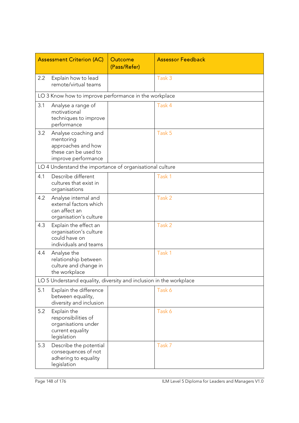|     | <b>Assessment Criterion (AC)</b>                                                                       | Outcome<br>(Pass/Refer) | <b>Assessor Feedback</b> |
|-----|--------------------------------------------------------------------------------------------------------|-------------------------|--------------------------|
| 2.2 | Explain how to lead<br>remote/virtual teams                                                            |                         | Task 3                   |
|     | LO 3 Know how to improve performance in the workplace                                                  |                         |                          |
| 3.1 | Analyse a range of<br>motivational<br>techniques to improve<br>performance                             |                         | Task 4                   |
| 3.2 | Analyse coaching and<br>mentoring<br>approaches and how<br>these can be used to<br>improve performance |                         | Task 5                   |
|     | LO 4 Understand the importance of organisational culture                                               |                         |                          |
| 4.1 | Describe different<br>cultures that exist in<br>organisations                                          |                         | Task 1                   |
| 4.2 | Analyse internal and<br>external factors which<br>can affect an<br>organisation's culture              |                         | Task 2                   |
| 4.3 | Explain the effect an<br>organisation's culture<br>could have on<br>individuals and teams              |                         | Task 2                   |
| 4.4 | Analyse the<br>relationship between<br>culture and change in<br>the workplace                          |                         | Task 1                   |
|     | LO 5 Understand equality, diversity and inclusion in the workplace                                     |                         |                          |
| 5.1 | Explain the difference<br>between equality,<br>diversity and inclusion                                 |                         | Task 6                   |
| 5.2 | Explain the<br>responsibilities of<br>organisations under<br>current equality<br>legislation           |                         | Task 6                   |
| 5.3 | Describe the potential<br>consequences of not<br>adhering to equality<br>legislation                   |                         | Task 7                   |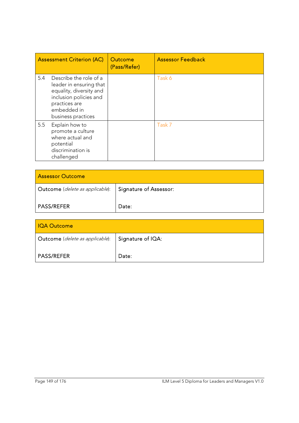|     | <b>Assessment Criterion (AC)</b>                                                                                                                             | Outcome<br>(Pass/Refer) | <b>Assessor Feedback</b> |
|-----|--------------------------------------------------------------------------------------------------------------------------------------------------------------|-------------------------|--------------------------|
| 5.4 | Describe the role of a<br>leader in ensuring that<br>equality, diversity and<br>inclusion policies and<br>practices are<br>embedded in<br>business practices |                         | Task 6                   |
| 5.5 | Explain how to<br>promote a culture<br>where actual and<br>potential<br>discrimination is<br>challenged                                                      |                         | Task 7                   |

| <b>Assessor Outcome</b>                  |                               |  |  |
|------------------------------------------|-------------------------------|--|--|
| Outcome ( <i>delete as applicable</i> ): | <b>Signature of Assessor:</b> |  |  |
| <b>PASS/REFER</b>                        | Date:                         |  |  |

| <b>IQA Outcome</b>                                  |       |  |  |
|-----------------------------------------------------|-------|--|--|
| Outcome (delete as applicable):   Signature of IQA: |       |  |  |
| <b>PASS/REFER</b>                                   | Date: |  |  |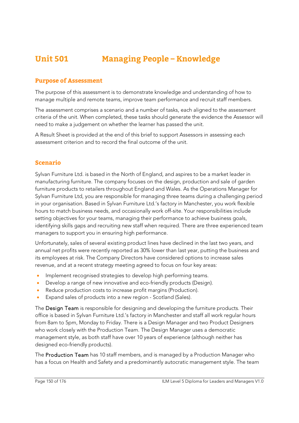# **Unit 501 Managing People – Knowledge**

#### **Purpose of Assessment**

The purpose of this assessment is to demonstrate knowledge and understanding of how to manage multiple and remote teams, improve team performance and recruit staff members.

The assessment comprises a scenario and a number of tasks, each aligned to the assessment criteria of the unit. When completed, these tasks should generate the evidence the Assessor will need to make a judgement on whether the learner has passed the unit.

A Result Sheet is provided at the end of this brief to support Assessors in assessing each assessment criterion and to record the final outcome of the unit.

#### **Scenario**

Sylvan Furniture Ltd. is based in the North of England, and aspires to be a market leader in manufacturing furniture. The company focuses on the design, production and sale of garden furniture products to retailers throughout England and Wales. As the Operations Manager for Sylvan Furniture Ltd, you are responsible for managing three teams during a challenging period in your organisation. Based in Sylvan Furniture Ltd.'s factory in Manchester, you work flexible hours to match business needs, and occasionally work off-site. Your responsibilities include setting objectives for your teams, managing their performance to achieve business goals, identifying skills gaps and recruiting new staff when required. There are three experienced team managers to support you in ensuring high performance.

Unfortunately, sales of several existing product lines have declined in the last two years, and annual net profits were recently reported as 30% lower than last year, putting the business and its employees at risk. The Company Directors have considered options to increase sales revenue, and at a recent strategy meeting agreed to focus on four key areas:

- Implement recognised strategies to develop high performing teams.
- Develop a range of new innovative and eco-friendly products (Design).
- Reduce production costs to increase profit margins (Production).
- Expand sales of products into a new region Scotland (Sales).

The Design Team is responsible for designing and developing the furniture products. Their office is based in Sylvan Furniture Ltd.'s factory in Manchester and staff all work regular hours from 8am to 5pm, Monday to Friday. There is a Design Manager and two Product Designers who work closely with the Production Team. The Design Manager uses a democratic management style, as both staff have over 10 years of experience (although neither has designed eco-friendly products).

The Production Team has 10 staff members, and is managed by a Production Manager who has a focus on Health and Safety and a predominantly autocratic management style. The team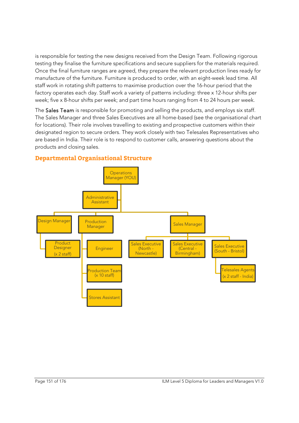is responsible for testing the new designs received from the Design Team. Following rigorous testing they finalise the furniture specifications and secure suppliers for the materials required. Once the final furniture ranges are agreed, they prepare the relevant production lines ready for manufacture of the furniture. Furniture is produced to order, with an eight-week lead time. All staff work in rotating shift patterns to maximise production over the 16-hour period that the factory operates each day. Staff work a variety of patterns including: three x 12-hour shifts per week; five x 8-hour shifts per week; and part time hours ranging from 4 to 24 hours per week.

The Sales Team is responsible for promoting and selling the products, and employs six staff. The Sales Manager and three Sales Executives are all home-based (see the organisational chart for locations). Their role involves travelling to existing and prospective customers within their designated region to secure orders. They work closely with two Telesales Representatives who are based in India. Their role is to respond to customer calls, answering questions about the products and closing sales.



#### **Departmental Organisational Structure**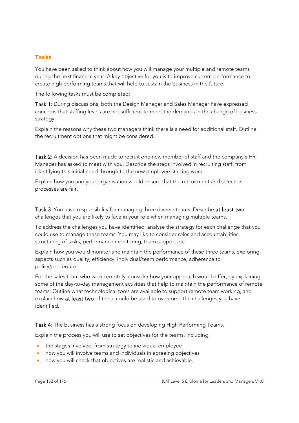#### **Tasks**

You have been asked to think about how you will manage your multiple and remote teams during the next financial year. A key objective for you is to improve current performance to create high performing teams that will help to sustain the business in the future.

The following tasks must be completed:

Task 1: During discussions, both the Design Manager and Sales Manager have expressed concerns that staffing levels are not sufficient to meet the demands in the change of business strategy.

Explain the reasons why these two managers think there is a need for additional staff. Outline the recruitment options that might be considered.

Task 2: A decision has been made to recruit one new member of staff and the company's HR Manager has asked to meet with you. Describe the steps involved in recruiting staff, from identifying this initial need through to the new employee starting work.

Explain how you and your organisation would ensure that the recruitment and selection processes are fair.

Task 3: You have responsibility for managing three diverse teams. Describe at least two challenges that you are likely to face in your role when managing multiple teams.

To address the challenges you have identified, analyse the strategy for each challenge that you could use to manage these teams. You may like to consider roles and accountabilities, structuring of tasks, performance monitoring, team support etc.

Explain how you would monitor and maintain the performance of these three teams, exploring aspects such as quality, efficiency, individual/team performance, adherence to policy/procedure.

For the sales team who work remotely, consider how your approach would differ, by explaining some of the day-to-day management activities that help to maintain the performance of remote teams. Outline what technological tools are available to support remote team working, and explain how at least two of these could be used to overcome the challenges you have identified.

Task 4: The business has a strong focus on developing High Performing Teams.

Explain the process you will use to set objectives for the teams, including:

- the stages involved, from strategy to individual employee
- how you will involve teams and individuals in agreeing objectives
- how you will check that objectives are realistic and achievable.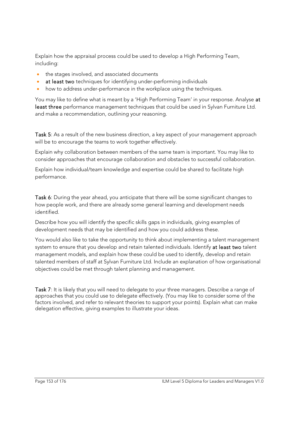Explain how the appraisal process could be used to develop a High Performing Team, including:

- the stages involved, and associated documents
- at least two techniques for identifying under-performing individuals
- how to address under-performance in the workplace using the techniques.

You may like to define what is meant by a 'High Performing Team' in your response. Analyse at least three performance management techniques that could be used in Sylvan Furniture Ltd. and make a recommendation, outlining your reasoning.

Task 5: As a result of the new business direction, a key aspect of your management approach will be to encourage the teams to work together effectively.

Explain why collaboration between members of the same team is important. You may like to consider approaches that encourage collaboration and obstacles to successful collaboration.

Explain how individual/team knowledge and expertise could be shared to facilitate high performance.

Task 6: During the year ahead, you anticipate that there will be some significant changes to how people work, and there are already some general learning and development needs identified.

Describe how you will identify the specific skills gaps in individuals, giving examples of development needs that may be identified and how you could address these.

You would also like to take the opportunity to think about implementing a talent management system to ensure that you develop and retain talented individuals. Identify at least two talent management models, and explain how these could be used to identify, develop and retain talented members of staff at Sylvan Furniture Ltd. Include an explanation of how organisational objectives could be met through talent planning and management.

Task 7: It is likely that you will need to delegate to your three managers. Describe a range of approaches that you could use to delegate effectively. (You may like to consider some of the factors involved, and refer to relevant theories to support your points). Explain what can make delegation effective, giving examples to illustrate your ideas.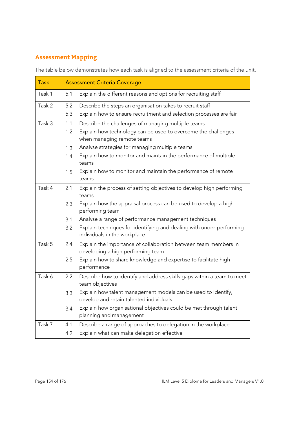## **Assessment Mapping**

The table below demonstrates how each task is aligned to the assessment criteria of the unit.

| <b>Task</b> | <b>Assessment Criteria Coverage</b> |                                                                                                          |  |
|-------------|-------------------------------------|----------------------------------------------------------------------------------------------------------|--|
| Task 1      | 5.1                                 | Explain the different reasons and options for recruiting staff                                           |  |
| Task 2      | 5.2                                 | Describe the steps an organisation takes to recruit staff                                                |  |
|             | 5.3                                 | Explain how to ensure recruitment and selection processes are fair                                       |  |
| Task 3      | 1.1                                 | Describe the challenges of managing multiple teams                                                       |  |
|             | 1.2                                 | Explain how technology can be used to overcome the challenges<br>when managing remote teams              |  |
|             | 1.3                                 | Analyse strategies for managing multiple teams                                                           |  |
|             | 1.4                                 | Explain how to monitor and maintain the performance of multiple<br>teams                                 |  |
|             | 1.5                                 | Explain how to monitor and maintain the performance of remote<br>teams                                   |  |
| Task 4      | 2.1                                 | Explain the process of setting objectives to develop high performing<br>teams                            |  |
|             | 2.3                                 | Explain how the appraisal process can be used to develop a high<br>performing team                       |  |
|             | 3.1                                 | Analyse a range of performance management techniques                                                     |  |
|             | 3.2                                 | Explain techniques for identifying and dealing with under-performing<br>individuals in the workplace     |  |
| Task 5      | 2.4                                 | Explain the importance of collaboration between team members in<br>developing a high performing team     |  |
|             | 2.5                                 | Explain how to share knowledge and expertise to facilitate high<br>performance                           |  |
| Task 6      | 2.2                                 | Describe how to identify and address skills gaps within a team to meet<br>team objectives                |  |
|             | 3.3                                 | Explain how talent management models can be used to identify,<br>develop and retain talented individuals |  |
|             | 3.4                                 | Explain how organisational objectives could be met through talent<br>planning and management             |  |
| Task 7      | 4.1                                 | Describe a range of approaches to delegation in the workplace                                            |  |
|             | 4.2                                 | Explain what can make delegation effective                                                               |  |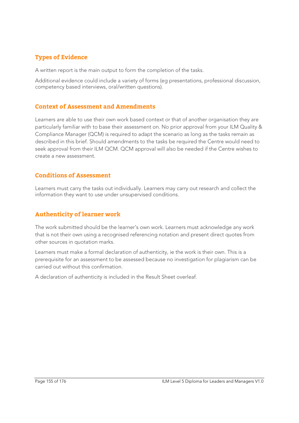### **Types of Evidence**

A written report is the main output to form the completion of the tasks.

Additional evidence could include a variety of forms (eg presentations, professional discussion, competency based interviews, oral/written questions).

#### **Context of Assessment and Amendments**

Learners are able to use their own work based context or that of another organisation they are particularly familiar with to base their assessment on. No prior approval from your ILM Quality & Compliance Manager (QCM) is required to adapt the scenario as long as the tasks remain as described in this brief. Should amendments to the tasks be required the Centre would need to seek approval from their ILM QCM. QCM approval will also be needed if the Centre wishes to create a new assessment.

#### **Conditions of Assessment**

Learners must carry the tasks out individually. Learners may carry out research and collect the information they want to use under unsupervised conditions.

#### **Authenticity of learner work**

The work submitted should be the learner's own work. Learners must acknowledge any work that is not their own using a recognised referencing notation and present direct quotes from other sources in quotation marks.

Learners must make a formal declaration of authenticity, ie the work is their own. This is a prerequisite for an assessment to be assessed because no investigation for plagiarism can be carried out without this confirmation.

A declaration of authenticity is included in the Result Sheet overleaf.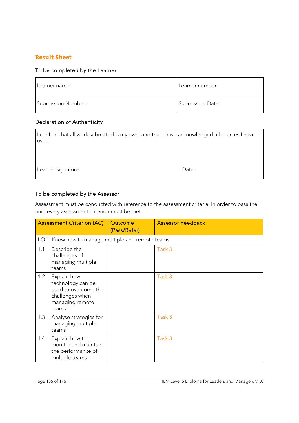#### **Result Sheet**

#### To be completed by the Learner

| Learner name:      | Learner number:         |
|--------------------|-------------------------|
| Submission Number: | <b>Submission Date:</b> |

#### Declaration of Authenticity

| I confirm that all work submitted is my own, and that I have acknowledged all sources I have<br>used. |       |  |
|-------------------------------------------------------------------------------------------------------|-------|--|
|                                                                                                       |       |  |
| Learner signature:                                                                                    | Date: |  |

#### To be completed by the Assessor

Assessment must be conducted with reference to the assessment criteria. In order to pass the unit, every assessment criterion must be met.

|     | <b>Assessment Criterion (AC)</b>                                                                        | Outcome<br>(Pass/Refer) | <b>Assessor Feedback</b> |
|-----|---------------------------------------------------------------------------------------------------------|-------------------------|--------------------------|
|     | LO 1 Know how to manage multiple and remote teams                                                       |                         |                          |
| 1.1 | Describe the<br>challenges of<br>managing multiple<br>teams                                             |                         | Task 3                   |
| 1.2 | Explain how<br>technology can be<br>used to overcome the<br>challenges when<br>managing remote<br>teams |                         | Task 3                   |
| 1.3 | Analyse strategies for<br>managing multiple<br>teams                                                    |                         | Task 3                   |
| 1.4 | Explain how to<br>monitor and maintain<br>the performance of<br>multiple teams                          |                         | Task 3                   |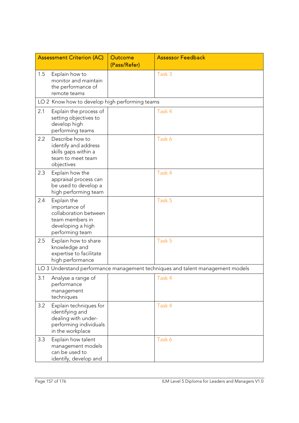|     | <b>Assessment Criterion (AC)</b>                                                                                 | Outcome      | <b>Assessor Feedback</b>                                                       |
|-----|------------------------------------------------------------------------------------------------------------------|--------------|--------------------------------------------------------------------------------|
|     |                                                                                                                  | (Pass/Refer) |                                                                                |
| 1.5 | Explain how to<br>monitor and maintain<br>the performance of<br>remote teams                                     |              | Task 3                                                                         |
|     | LO 2 Know how to develop high performing teams                                                                   |              |                                                                                |
| 2.1 | Explain the process of<br>setting objectives to<br>develop high<br>performing teams                              |              | Task 4                                                                         |
| 2.2 | Describe how to<br>identify and address<br>skills gaps within a<br>team to meet team<br>objectives               |              | Task 6                                                                         |
| 2.3 | Explain how the<br>appraisal process can<br>be used to develop a<br>high performing team                         |              | Task 4                                                                         |
| 2.4 | Explain the<br>importance of<br>collaboration between<br>team members in<br>developing a high<br>performing team |              | Task 5                                                                         |
| 2.5 | Explain how to share<br>knowledge and<br>expertise to facilitate<br>high performance                             |              | Task 5                                                                         |
|     |                                                                                                                  |              | LO 3 Understand performance management techniques and talent management models |
| 3.1 | Analyse a range of<br>performance<br>management<br>techniques                                                    |              | Task 4                                                                         |
| 3.2 | Explain techniques for<br>identifying and<br>dealing with under-<br>performing individuals<br>in the workplace   |              | Task 4                                                                         |
| 3.3 | Explain how talent<br>management models<br>can be used to<br>identify, develop and                               |              | Task 6                                                                         |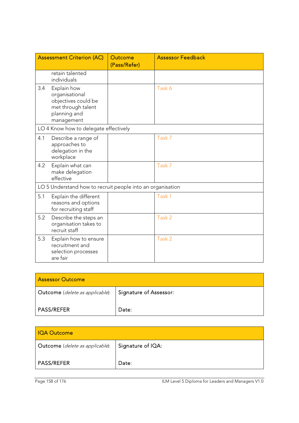|     | <b>Assessment Criterion (AC)</b>                                                                         | <b>Outcome</b><br>(Pass/Refer) | <b>Assessor Feedback</b> |
|-----|----------------------------------------------------------------------------------------------------------|--------------------------------|--------------------------|
|     | retain talented<br>individuals                                                                           |                                |                          |
| 3.4 | Explain how<br>organisational<br>objectives could be<br>met through talent<br>planning and<br>management |                                | Task 6                   |
|     | LO 4 Know how to delegate effectively                                                                    |                                |                          |
| 4.1 | Describe a range of<br>approaches to<br>delegation in the<br>workplace                                   |                                | Task 7                   |
| 4.2 | Explain what can<br>make delegation<br>effective                                                         |                                | Task 7                   |
|     | LO 5 Understand how to recruit people into an organisation                                               |                                |                          |
| 5.1 | Explain the different<br>reasons and options<br>for recruiting staff                                     |                                | Task 1                   |
| 5.2 | Describe the steps an<br>organisation takes to<br>recruit staff                                          |                                | Task 2                   |
| 5.3 | Explain how to ensure<br>recruitment and<br>selection processes<br>are fair                              |                                | Task 2                   |

| <b>Assessor Outcome</b>         |                        |  |
|---------------------------------|------------------------|--|
| Outcome (delete as applicable): | Signature of Assessor: |  |
| <b>PASS/REFER</b>               | Date:                  |  |

| <b>IQA Outcome</b>              |                   |  |
|---------------------------------|-------------------|--|
| Outcome (delete as applicable): | Signature of IQA: |  |
| <b>PASS/REFER</b>               | Date:             |  |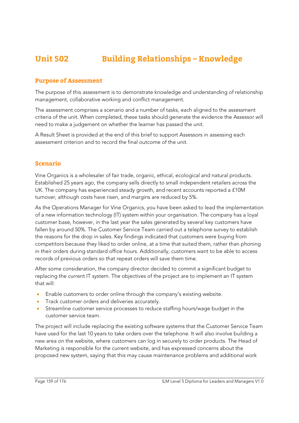# **Unit 502 Building Relationships – Knowledge**

#### **Purpose of Assessment**

The purpose of this assessment is to demonstrate knowledge and understanding of relationship management, collaborative working and conflict management.

The assessment comprises a scenario and a number of tasks, each aligned to the assessment criteria of the unit. When completed, these tasks should generate the evidence the Assessor will need to make a judgement on whether the learner has passed the unit.

A Result Sheet is provided at the end of this brief to support Assessors in assessing each assessment criterion and to record the final outcome of the unit.

#### **Scenario**

Vine Organics is a wholesaler of fair trade, organic, ethical, ecological and natural products. Established 25 years ago, the company sells directly to small independent retailers across the UK. The company has experienced steady growth, and recent accounts reported a £10M turnover, although costs have risen, and margins are reduced by 5%.

As the Operations Manager for Vine Organics, you have been asked to lead the implementation of a new information technology (IT) system within your organisation. The company has a loyal customer base, however, in the last year the sales generated by several key customers have fallen by around 50%. The Customer Service Team carried out a telephone survey to establish the reasons for the drop in sales. Key findings indicated that customers were buying from competitors because they liked to order online, at a time that suited them, rather than phoning in their orders during standard office hours. Additionally, customers want to be able to access records of previous orders so that repeat orders will save them time.

After some consideration, the company director decided to commit a significant budget to replacing the current IT system. The objectives of the project are to implement an IT system that will:

- Enable customers to order online through the company's existing website.
- **Track customer orders and deliveries accurately.**
- Streamline customer service processes to reduce staffing hours/wage budget in the customer service team.

The project will include replacing the existing software systems that the Customer Service Team have used for the last 10 years to take orders over the telephone. It will also involve building a new area on the website, where customers can log in securely to order products. The Head of Marketing is responsible for the current website, and has expressed concerns about the proposed new system, saying that this may cause maintenance problems and additional work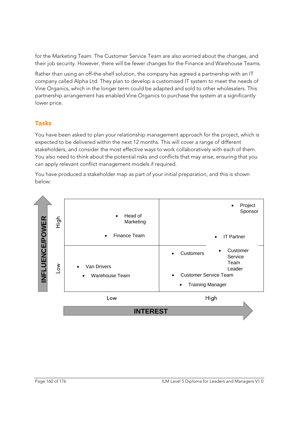for the Marketing Team. The Customer Service Team are also worried about the changes, and their job security. However, there will be fewer changes for the Finance and Warehouse Teams.

Rather than using an off-the-shelf solution, the company has agreed a partnership with an IT company called Alpha Ltd. They plan to develop a customised IT system to meet the needs of Vine Organics, which in the longer term could be adapted and sold to other wholesalers. This partnership arrangement has enabled Vine Organics to purchase the system at a significantly lower price.

#### **Tasks**

You have been asked to plan your relationship management approach for the project, which is expected to be delivered within the next 12 months. This will cover a range of different stakeholders, and consider the most effective ways to work collaboratively with each of them. You also need to think about the potential risks and conflicts that may arise, ensuring that you can apply relevant conflict management models if required.

You have produced a stakeholder map as part of your initial preparation, and this is shown below:

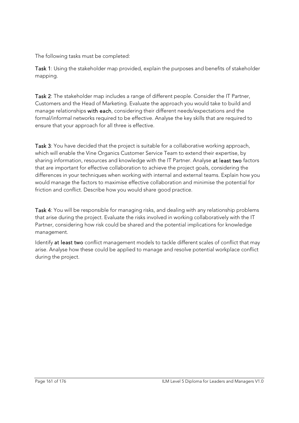The following tasks must be completed:

Task 1: Using the stakeholder map provided, explain the purposes and benefits of stakeholder mapping.

Task 2: The stakeholder map includes a range of different people. Consider the IT Partner, Customers and the Head of Marketing. Evaluate the approach you would take to build and manage relationships with each, considering their different needs/expectations and the formal/informal networks required to be effective. Analyse the key skills that are required to ensure that your approach for all three is effective.

Task 3: You have decided that the project is suitable for a collaborative working approach, which will enable the Vine Organics Customer Service Team to extend their expertise, by sharing information, resources and knowledge with the IT Partner. Analyse at least two factors that are important for effective collaboration to achieve the project goals, considering the differences in your techniques when working with internal and external teams. Explain how you would manage the factors to maximise effective collaboration and minimise the potential for friction and conflict. Describe how you would share good practice.

Task 4: You will be responsible for managing risks, and dealing with any relationship problems that arise during the project. Evaluate the risks involved in working collaboratively with the IT Partner, considering how risk could be shared and the potential implications for knowledge management.

Identify at least two conflict management models to tackle different scales of conflict that may arise. Analyse how these could be applied to manage and resolve potential workplace conflict during the project.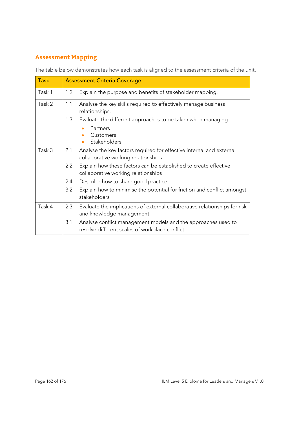## **Assessment Mapping**

The table below demonstrates how each task is aligned to the assessment criteria of the unit.

| <b>Task</b> | <b>Assessment Criteria Coverage</b> |                                                                                                                 |
|-------------|-------------------------------------|-----------------------------------------------------------------------------------------------------------------|
| Task 1      | 1.2                                 | Explain the purpose and benefits of stakeholder mapping.                                                        |
| Task 2      | 1.1                                 | Analyse the key skills required to effectively manage business<br>relationships.                                |
|             | 1.3                                 | Evaluate the different approaches to be taken when managing:                                                    |
|             |                                     | Partners                                                                                                        |
|             |                                     | Customers<br>Stakeholders                                                                                       |
| Task 3      | 2.1                                 | Analyse the key factors required for effective internal and external                                            |
|             |                                     | collaborative working relationships                                                                             |
|             | 2.2                                 | Explain how these factors can be established to create effective<br>collaborative working relationships         |
|             | 2.4                                 | Describe how to share good practice                                                                             |
|             | 3.2                                 | Explain how to minimise the potential for friction and conflict amongst<br>stakeholders                         |
| Task 4      | 2.3                                 | Evaluate the implications of external collaborative relationships for risk<br>and knowledge management          |
|             | 3.1                                 | Analyse conflict management models and the approaches used to<br>resolve different scales of workplace conflict |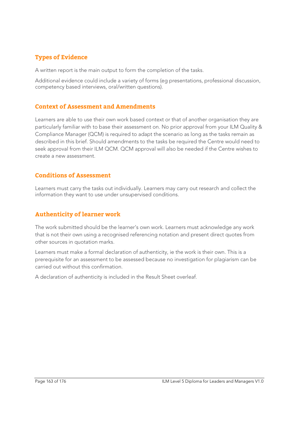### **Types of Evidence**

A written report is the main output to form the completion of the tasks.

Additional evidence could include a variety of forms (eg presentations, professional discussion, competency based interviews, oral/written questions).

#### **Context of Assessment and Amendments**

Learners are able to use their own work based context or that of another organisation they are particularly familiar with to base their assessment on. No prior approval from your ILM Quality & Compliance Manager (QCM) is required to adapt the scenario as long as the tasks remain as described in this brief. Should amendments to the tasks be required the Centre would need to seek approval from their ILM QCM. QCM approval will also be needed if the Centre wishes to create a new assessment.

#### **Conditions of Assessment**

Learners must carry the tasks out individually. Learners may carry out research and collect the information they want to use under unsupervised conditions.

#### **Authenticity of learner work**

The work submitted should be the learner's own work. Learners must acknowledge any work that is not their own using a recognised referencing notation and present direct quotes from other sources in quotation marks.

Learners must make a formal declaration of authenticity, ie the work is their own. This is a prerequisite for an assessment to be assessed because no investigation for plagiarism can be carried out without this confirmation.

A declaration of authenticity is included in the Result Sheet overleaf.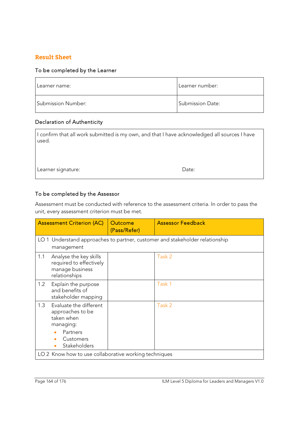#### **Result Sheet**

#### To be completed by the Learner

| Learner name:      | Learner number:         |
|--------------------|-------------------------|
| Submission Number: | <b>Submission Date:</b> |

#### Declaration of Authenticity

| used.              | I confirm that all work submitted is my own, and that I have acknowledged all sources I have |
|--------------------|----------------------------------------------------------------------------------------------|
| Learner signature: | Date:                                                                                        |

#### To be completed by the Assessor

Assessment must be conducted with reference to the assessment criteria. In order to pass the unit, every assessment criterion must be met.

|                                                       | <b>Assessment Criterion (AC)</b>                                                                               | Outcome<br>(Pass/Refer) | <b>Assessor Feedback</b>                                                     |
|-------------------------------------------------------|----------------------------------------------------------------------------------------------------------------|-------------------------|------------------------------------------------------------------------------|
|                                                       | management                                                                                                     |                         | LO 1 Understand approaches to partner, customer and stakeholder relationship |
| 1.1                                                   | Analyse the key skills<br>required to effectively<br>manage business<br>relationships                          |                         | Task 2                                                                       |
| 1.2                                                   | Explain the purpose<br>and benefits of<br>stakeholder mapping                                                  |                         | Task 1                                                                       |
| 1.3                                                   | Evaluate the different<br>approaches to be<br>taken when<br>managing:<br>Partners<br>Customers<br>Stakeholders |                         | Task 2                                                                       |
| LO 2 Know how to use collaborative working techniques |                                                                                                                |                         |                                                                              |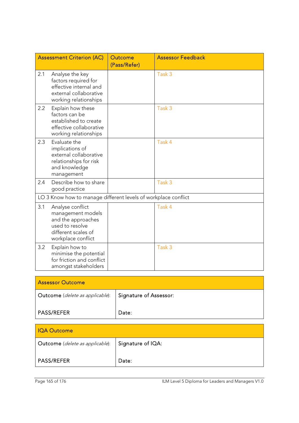|                                                                | <b>Assessment Criterion (AC)</b>                                                                                            | <b>Outcome</b><br>(Pass/Refer) | <b>Assessor Feedback</b> |
|----------------------------------------------------------------|-----------------------------------------------------------------------------------------------------------------------------|--------------------------------|--------------------------|
| 2.1                                                            | Analyse the key<br>factors required for<br>effective internal and<br>external collaborative<br>working relationships        |                                | Task 3                   |
| 2.2                                                            | Explain how these<br>factors can be<br>established to create<br>effective collaborative<br>working relationships            |                                | Task 3                   |
| 2.3                                                            | Evaluate the<br>implications of<br>external collaborative<br>relationships for risk<br>and knowledge<br>management          |                                | Task 4                   |
| 2.4                                                            | Describe how to share<br>good practice                                                                                      |                                | Task 3                   |
| LO 3 Know how to manage different levels of workplace conflict |                                                                                                                             |                                |                          |
| 3.1                                                            | Analyse conflict<br>management models<br>and the approaches<br>used to resolve<br>different scales of<br>workplace conflict |                                | Task 4                   |
| 3.2                                                            | Explain how to<br>minimise the potential<br>for friction and conflict<br>amongst stakeholders                               |                                | Task 3                   |

| <b>Assessor Outcome</b>                                  |       |  |
|----------------------------------------------------------|-------|--|
| Outcome (delete as applicable):   Signature of Assessor: |       |  |
| <b>PASS/REFER</b>                                        | Date: |  |

| <b>IQA Outcome</b>              |                   |  |
|---------------------------------|-------------------|--|
| Outcome (delete as applicable): | Signature of IQA: |  |
| <b>PASS/REFER</b>               | Date:             |  |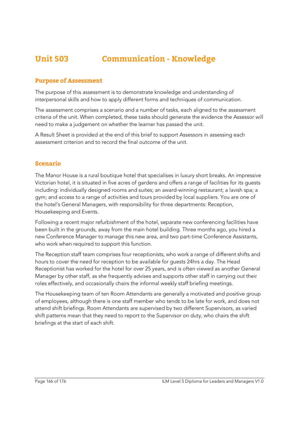# **Unit 503 Communication - Knowledge**

#### **Purpose of Assessment**

The purpose of this assessment is to demonstrate knowledge and understanding of interpersonal skills and how to apply different forms and techniques of communication.

The assessment comprises a scenario and a number of tasks, each aligned to the assessment criteria of the unit. When completed, these tasks should generate the evidence the Assessor will need to make a judgement on whether the learner has passed the unit.

A Result Sheet is provided at the end of this brief to support Assessors in assessing each assessment criterion and to record the final outcome of the unit.

#### **Scenario**

The Manor House is a rural boutique hotel that specialises in luxury short breaks. An impressive Victorian hotel, it is situated in five acres of gardens and offers a range of facilities for its guests including: individually designed rooms and suites; an award-winning restaurant; a lavish spa; a gym; and access to a range of activities and tours provided by local suppliers. You are one of the hotel's General Managers, with responsibility for three departments: Reception, Housekeeping and Events.

Following a recent major refurbishment of the hotel, separate new conferencing facilities have been built in the grounds, away from the main hotel building. Three months ago, you hired a new Conference Manager to manage this new area, and two part-time Conference Assistants, who work when required to support this function.

The Reception staff team comprises four receptionists, who work a range of different shifts and hours to cover the need for reception to be available for guests 24hrs a day. The Head Receptionist has worked for the hotel for over 25 years, and is often viewed as another General Manager by other staff, as she frequently advises and supports other staff in carrying out their roles effectively, and occasionally chairs the informal weekly staff briefing meetings.

The Housekeeping team of ten Room Attendants are generally a motivated and positive group of employees, although there is one staff member who tends to be late for work, and does not attend shift briefings. Room Attendants are supervised by two different Supervisors, as varied shift patterns mean that they need to report to the Supervisor on duty, who chairs the shift briefings at the start of each shift.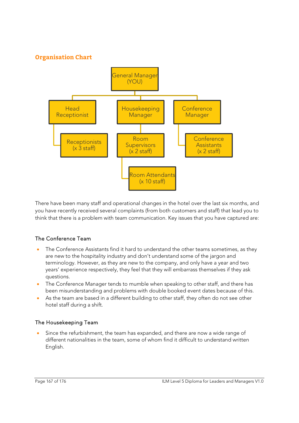#### **Organisation Chart**



There have been many staff and operational changes in the hotel over the last six months, and you have recently received several complaints (from both customers and staff) that lead you to think that there is a problem with team communication. Key issues that you have captured are:

#### The Conference Team

- The Conference Assistants find it hard to understand the other teams sometimes, as they are new to the hospitality industry and don't understand some of the jargon and terminology. However, as they are new to the company, and only have a year and two years' experience respectively, they feel that they will embarrass themselves if they ask questions.
- The Conference Manager tends to mumble when speaking to other staff, and there has been misunderstanding and problems with double booked event dates because of this.
- As the team are based in a different building to other staff, they often do not see other hotel staff during a shift.

#### The Housekeeping Team

 Since the refurbishment, the team has expanded, and there are now a wide range of different nationalities in the team, some of whom find it difficult to understand written English.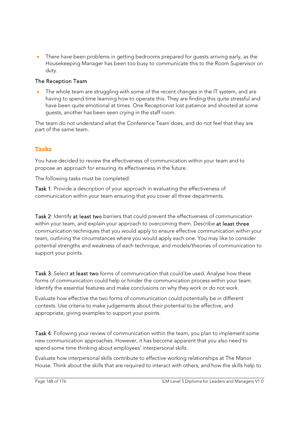• There have been problems in getting bedrooms prepared for quests arriving early, as the Housekeeping Manager has been too busy to communicate this to the Room Supervisor on duty.

#### The Reception Team

 The whole team are struggling with some of the recent changes in the IT system, and are having to spend time learning how to operate this. They are finding this quite stressful and have been quite emotional at times. One Receptionist lost patience and shouted at some guests, another has been seen crying in the staff room.

The team do not understand what the Conference Team does, and do not feel that they are part of the same team.

#### **Tasks**

You have decided to review the effectiveness of communication within your team and to propose an approach for ensuring its effectiveness in the future.

The following tasks must be completed:

Task 1: Provide a description of your approach in evaluating the effectiveness of communication within your team ensuring that you cover all three departments.

Task 2: Identify at least two barriers that could prevent the effectiveness of communication within your team, and explain your approach to overcoming them. Describe at least three communication techniques that you would apply to ensure effective communication within your team, outlining the circumstances where you would apply each one. You may like to consider potential strengths and weakness of each technique, and models/theories of communication to support your points.

Task 3: Select at least two forms of communication that could be used. Analyse how these forms of communication could help or hinder the communication process within your team. Identify the essential features and make conclusions on why they work or do not work.

Evaluate how effective the two forms of communication could potentially be in different contexts. Use criteria to make judgements about their potential to be effective, and appropriate, giving examples to support your points.

Task 4: Following your review of communication within the team, you plan to implement some new communication approaches. However, it has become apparent that you also need to spend some time thinking about employees' interpersonal skills.

Evaluate how interpersonal skills contribute to effective working relationships at The Manor House. Think about the skills that are required to interact with others, and how the skills help to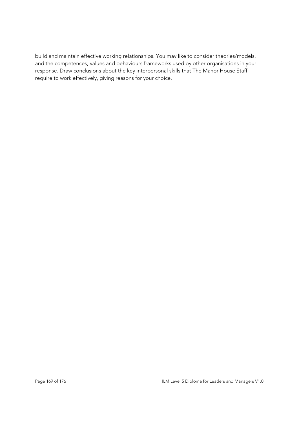build and maintain effective working relationships. You may like to consider theories/models, and the competences, values and behaviours frameworks used by other organisations in your response. Draw conclusions about the key interpersonal skills that The Manor House Staff require to work effectively, giving reasons for your choice.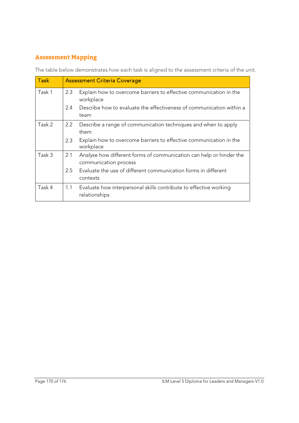## **Assessment Mapping**

The table below demonstrates how each task is aligned to the assessment criteria of the unit.

| <b>Task</b> | <b>Assessment Criteria Coverage</b> |                                                                                              |  |
|-------------|-------------------------------------|----------------------------------------------------------------------------------------------|--|
| Task 1      | 2.3                                 | Explain how to overcome barriers to effective communication in the<br>workplace              |  |
|             | 2.4                                 | Describe how to evaluate the effectiveness of communication within a<br>team                 |  |
| Task 2      | $2.2^{\circ}$                       | Describe a range of communication techniques and when to apply<br>them                       |  |
|             | 2.3                                 | Explain how to overcome barriers to effective communication in the<br>workplace              |  |
| Task 3      | 2.1                                 | Analyse how different forms of communication can help or hinder the<br>communication process |  |
|             | 2.5                                 | Evaluate the use of different communication forms in different<br>contexts                   |  |
| Task 4      | 1.1                                 | Evaluate how interpersonal skills contribute to effective working<br>relationships           |  |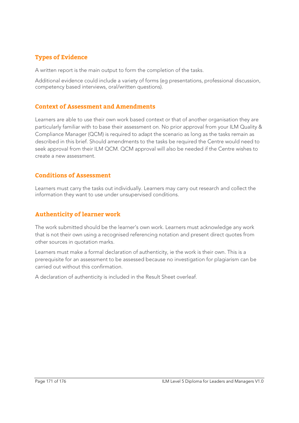### **Types of Evidence**

A written report is the main output to form the completion of the tasks.

Additional evidence could include a variety of forms (eg presentations, professional discussion, competency based interviews, oral/written questions).

#### **Context of Assessment and Amendments**

Learners are able to use their own work based context or that of another organisation they are particularly familiar with to base their assessment on. No prior approval from your ILM Quality & Compliance Manager (QCM) is required to adapt the scenario as long as the tasks remain as described in this brief. Should amendments to the tasks be required the Centre would need to seek approval from their ILM QCM. QCM approval will also be needed if the Centre wishes to create a new assessment.

#### **Conditions of Assessment**

Learners must carry the tasks out individually. Learners may carry out research and collect the information they want to use under unsupervised conditions.

#### **Authenticity of learner work**

The work submitted should be the learner's own work. Learners must acknowledge any work that is not their own using a recognised referencing notation and present direct quotes from other sources in quotation marks.

Learners must make a formal declaration of authenticity, ie the work is their own. This is a prerequisite for an assessment to be assessed because no investigation for plagiarism can be carried out without this confirmation.

A declaration of authenticity is included in the Result Sheet overleaf.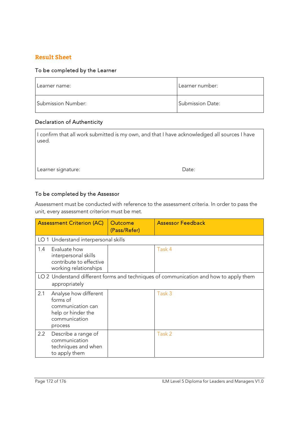#### **Result Sheet**

#### To be completed by the Learner

| Learner name:      | Learner number:         |
|--------------------|-------------------------|
| Submission Number: | <b>Submission Date:</b> |

#### Declaration of Authenticity

| I confirm that all work submitted is my own, and that I have acknowledged all sources I have<br>used. |       |
|-------------------------------------------------------------------------------------------------------|-------|
| Learner signature:                                                                                    | Date: |

#### To be completed by the Assessor

Assessment must be conducted with reference to the assessment criteria. In order to pass the unit, every assessment criterion must be met.

|     | <b>Assessment Criterion (AC)</b>                                                                         | Outcome<br>(Pass/Refer) | <b>Assessor Feedback</b>                                                              |
|-----|----------------------------------------------------------------------------------------------------------|-------------------------|---------------------------------------------------------------------------------------|
|     | LO 1 Understand interpersonal skills                                                                     |                         |                                                                                       |
| 1.4 | Evaluate how<br>interpersonal skills<br>contribute to effective<br>working relationships                 |                         | Task 4                                                                                |
|     | appropriately                                                                                            |                         | LO 2 Understand different forms and techniques of communication and how to apply them |
| 2.1 | Analyse how different<br>forms of<br>communication can<br>help or hinder the<br>communication<br>process |                         | Task 3                                                                                |
| 2.2 | Describe a range of<br>communication<br>techniques and when<br>to apply them                             |                         | Task 2                                                                                |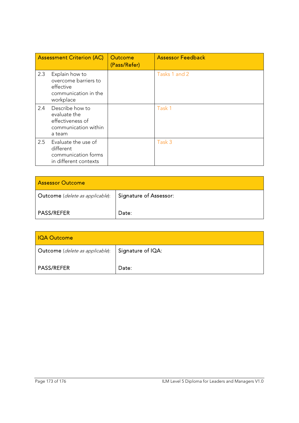|     | <b>Assessment Criterion (AC)</b>                                                         | <b>Outcome</b><br>(Pass/Refer) | <b>Assessor Feedback</b> |
|-----|------------------------------------------------------------------------------------------|--------------------------------|--------------------------|
| 2.3 | Explain how to<br>overcome barriers to<br>effective<br>communication in the<br>workplace |                                | Tasks 1 and 2            |
| 2.4 | Describe how to<br>evaluate the<br>effectiveness of<br>communication within<br>a team    |                                | Task 1                   |
| 2.5 | Evaluate the use of<br>different<br>communication forms<br>in different contexts         |                                | Task 3                   |

| <b>Assessor Outcome</b>                |                               |  |
|----------------------------------------|-------------------------------|--|
| <b>Outcome</b> (delete as applicable): | <b>Signature of Assessor:</b> |  |
| <b>PASS/REFER</b>                      | Date:                         |  |

| <b>IQA Outcome</b>              |                   |  |
|---------------------------------|-------------------|--|
| Outcome (delete as applicable): | Signature of IQA: |  |
| <b>PASS/REFER</b>               | Date:             |  |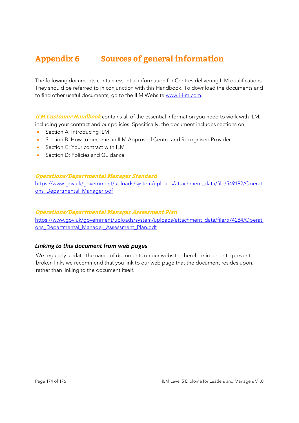# **Appendix 6 Sources of general information**

The following documents contain essential information for Centres delivering ILM qualifications. They should be referred to in conjunction with this Handbook. To download the documents and to find other useful documents, go to the ILM Website www.i-l-m.com.

**ILM Customer Handbook** contains all of the essential information you need to work with ILM, including your contract and our policies. Specifically, the document includes sections on:

- **Section A: Introducing ILM**
- Section B: How to become an ILM Approved Centre and Recognised Provider
- Section C: Your contract with II M
- Section D: Policies and Guidance

#### **Operations/Departmental Manager Standard**

https://www.gov.uk/government/uploads/system/uploads/attachment\_data/file/549192/Operati ons\_Departmental\_Manager.pdf

#### **Operations/Departmental Manager Assessment Plan**

https://www.gov.uk/government/uploads/system/uploads/attachment\_data/file/574284/Operati ons Departmental Manager Assessment Plan.pdf

#### *Linking to this document from web pages*

We regularly update the name of documents on our website, therefore in order to prevent broken links we recommend that you link to our web page that the document resides upon, rather than linking to the document itself.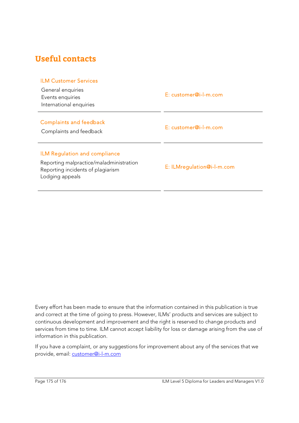## **Useful contacts**

#### ILM Customer Services

General enquiries Events enquiries International enquiries

E: customer@i-l-m.com

#### Complaints and feedback

Complaints and feedback E: customer@i-l-m.com

#### ILM Regulation and compliance

Reporting malpractice/maladministration Reporting incidents of plagiarism Lodging appeals

E: ILMregulation@i-l-m.com

Every effort has been made to ensure that the information contained in this publication is true and correct at the time of going to press. However, ILMs' products and services are subject to continuous development and improvement and the right is reserved to change products and services from time to time. ILM cannot accept liability for loss or damage arising from the use of information in this publication.

If you have a complaint, or any suggestions for improvement about any of the services that we provide, email: customer@i-l-m.com